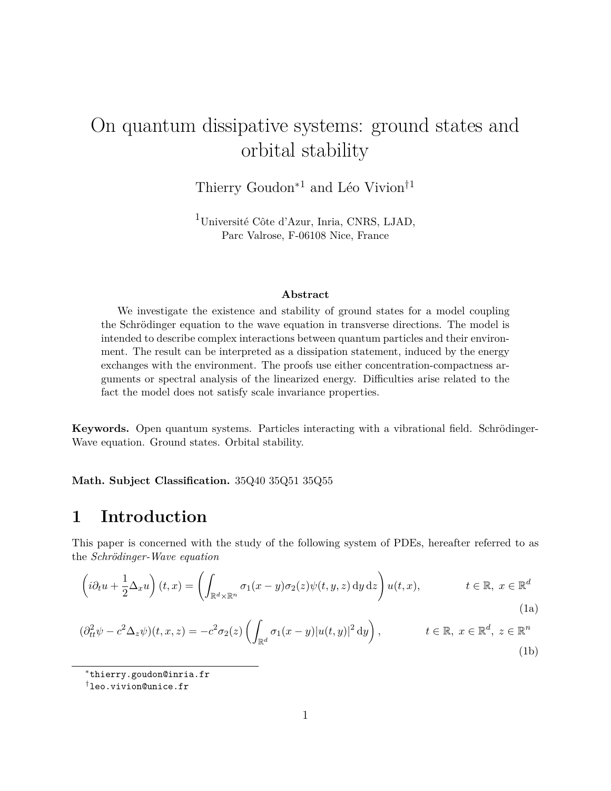# On quantum dissipative systems: ground states and orbital stability

Thierry  $\operatorname{Goudon}^{*1}$  and Léo Vivion $^{\dagger 1}$ 

<sup>1</sup>Université Côte d'Azur, Inria, CNRS, LJAD, Parc Valrose, F-06108 Nice, France

#### <span id="page-0-1"></span><span id="page-0-0"></span>**Abstract**

We investigate the existence and stability of ground states for a model coupling the Schrödinger equation to the wave equation in transverse directions. The model is intended to describe complex interactions between quantum particles and their environment. The result can be interpreted as a dissipation statement, induced by the energy exchanges with the environment. The proofs use either concentration-compactness arguments or spectral analysis of the linearized energy. Difficulties arise related to the fact the model does not satisfy scale invariance properties.

**Keywords.** Open quantum systems. Particles interacting with a vibrational field. Schrödinger-Wave equation. Ground states. Orbital stability.

**Math. Subject Classification.** 35Q40 35Q51 35Q55

## **1 Introduction**

This paper is concerned with the study of the following system of PDEs, hereafter referred to as the *Schrödinger-Wave equation*

$$
\left(i\partial_t u + \frac{1}{2}\Delta_x u\right)(t,x) = \left(\int_{\mathbb{R}^d \times \mathbb{R}^n} \sigma_1(x-y)\sigma_2(z)\psi(t,y,z) \,dy\,dz\right)u(t,x), \qquad t \in \mathbb{R}, \ x \in \mathbb{R}^d
$$
\n(1a)

$$
(\partial_{tt}^2 \psi - c^2 \Delta_z \psi)(t, x, z) = -c^2 \sigma_2(z) \left( \int_{\mathbb{R}^d} \sigma_1(x - y) |u(t, y)|^2 dy \right), \qquad t \in \mathbb{R}, \ x \in \mathbb{R}^d, \ z \in \mathbb{R}^n
$$
\n(1b)

<sup>∗</sup>thierry.goudon@inria.fr

<sup>†</sup>leo.vivion@unice.fr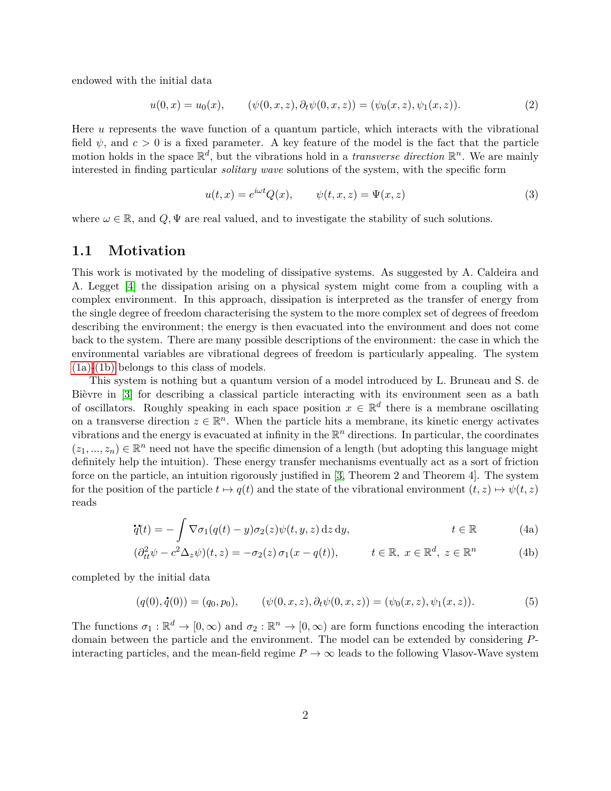endowed with the initial data

<span id="page-1-2"></span>
$$
u(0,x) = u_0(x), \qquad (\psi(0,x,z), \partial_t \psi(0,x,z)) = (\psi_0(x,z), \psi_1(x,z)). \tag{2}
$$

Here *u* represents the wave function of a quantum particle, which interacts with the vibrational field  $\psi$ , and  $c > 0$  is a fixed parameter. A key feature of the model is the fact that the particle motion holds in the space  $\mathbb{R}^d$ , but the vibrations hold in a *transverse direction*  $\mathbb{R}^n$ . We are mainly interested in finding particular *solitary wave* solutions of the system, with the specific form

<span id="page-1-3"></span>
$$
u(t,x) = e^{i\omega t} Q(x), \qquad \psi(t,x,z) = \Psi(x,z)
$$
\n(3)

where  $\omega \in \mathbb{R}$ , and  $Q, \Psi$  are real valued, and to investigate the stability of such solutions.

#### **1.1 Motivation**

This work is motivated by the modeling of dissipative systems. As suggested by A. Caldeira and A. Legget [\[4\]](#page-55-0) the dissipation arising on a physical system might come from a coupling with a complex environment. In this approach, dissipation is interpreted as the transfer of energy from the single degree of freedom characterising the system to the more complex set of degrees of freedom describing the environment; the energy is then evacuated into the environment and does not come back to the system. There are many possible descriptions of the environment: the case in which the environmental variables are vibrational degrees of freedom is particularly appealing. The system [\(1a\)](#page-0-0)[-\(1b\)](#page-0-1) belongs to this class of models.

This system is nothing but a quantum version of a model introduced by L. Bruneau and S. de Bièvre in [\[3\]](#page-55-1) for describing a classical particle interacting with its environment seen as a bath of oscillators. Roughly speaking in each space position  $x \in \mathbb{R}^d$  there is a membrane oscillating on a transverse direction  $z \in \mathbb{R}^n$ . When the particle hits a membrane, its kinetic energy activates vibrations and the energy is evacuated at infinity in the  $\mathbb{R}^n$  directions. In particular, the coordinates  $(z_1, ..., z_n) \in \mathbb{R}^n$  need not have the specific dimension of a length (but adopting this language might definitely help the intuition). These energy transfer mechanisms eventually act as a sort of friction force on the particle, an intuition rigorously justified in [\[3,](#page-55-1) Theorem 2 and Theorem 4]. The system for the position of the particle  $t \mapsto q(t)$  and the state of the vibrational environment  $(t, z) \mapsto \psi(t, z)$ reads

<span id="page-1-0"></span>
$$
\dot{q}(t) = -\int \nabla \sigma_1(q(t) - y)\sigma_2(z)\psi(t, y, z) dz dy, \qquad t \in \mathbb{R}
$$
 (4a)

<span id="page-1-1"></span>
$$
(\partial_{tt}^2 \psi - c^2 \Delta_z \psi)(t, z) = -\sigma_2(z) \sigma_1(x - q(t)), \qquad t \in \mathbb{R}, \ x \in \mathbb{R}^d, \ z \in \mathbb{R}^n \tag{4b}
$$

completed by the initial data

$$
(q(0), \dot{q}(0)) = (q_0, p_0), \qquad (\psi(0, x, z), \partial_t \psi(0, x, z)) = (\psi_0(x, z), \psi_1(x, z)). \tag{5}
$$

The functions  $\sigma_1 : \mathbb{R}^d \to [0, \infty)$  and  $\sigma_2 : \mathbb{R}^n \to [0, \infty)$  are form functions encoding the interaction domain between the particle and the environment. The model can be extended by considering *P*interacting particles, and the mean-field regime  $P \to \infty$  leads to the following Vlasov-Wave system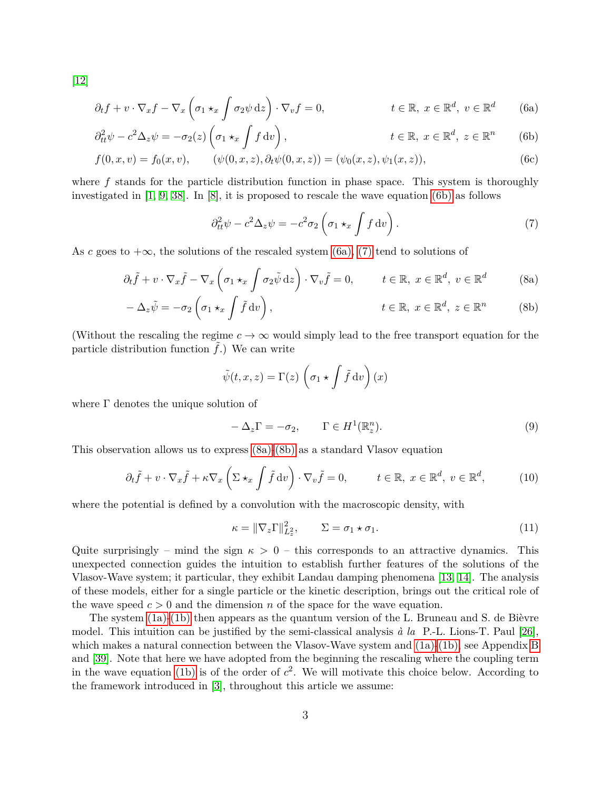[\[12\]](#page-56-0)

$$
\partial_t f + v \cdot \nabla_x f - \nabla_x \left( \sigma_1 \star_x \int \sigma_2 \psi \, dz \right) \cdot \nabla_v f = 0, \qquad t \in \mathbb{R}, \ x \in \mathbb{R}^d, \ v \in \mathbb{R}^d \tag{6a}
$$

$$
\partial_{tt}^2 \psi - c^2 \Delta_z \psi = -\sigma_2(z) \left( \sigma_1 \star_x f \, dv \right), \qquad t \in \mathbb{R}, \ x \in \mathbb{R}^d, \ z \in \mathbb{R}^n \qquad (6b)
$$

$$
f(0, x, v) = f_0(x, v), \qquad (\psi(0, x, z), \partial_t \psi(0, x, z)) = (\psi_0(x, z), \psi_1(x, z)), \qquad (6c)
$$

where f stands for the particle distribution function in phase space. This system is thoroughly investigated in  $[1, 9, 38]$  $[1, 9, 38]$  $[1, 9, 38]$ . In  $[8]$ , it is proposed to rescale the wave equation [\(6b\)](#page-2-0) as follows

<span id="page-2-2"></span><span id="page-2-1"></span><span id="page-2-0"></span>
$$
\partial_{tt}^2 \psi - c^2 \Delta_z \psi = -c^2 \sigma_2 \left( \sigma_1 \star_x \int f \, dv \right). \tag{7}
$$

As *c* goes to  $+\infty$ , the solutions of the rescaled system [\(6a\),](#page-2-1) [\(7\)](#page-2-2) tend to solutions of

$$
\partial_t \tilde{f} + v \cdot \nabla_x \tilde{f} - \nabla_x \left( \sigma_1 \star_x \int \sigma_2 \tilde{\psi} \, dz \right) \cdot \nabla_v \tilde{f} = 0, \qquad t \in \mathbb{R}, \ x \in \mathbb{R}^d, \ v \in \mathbb{R}^d \tag{8a}
$$

$$
-\Delta_z \tilde{\psi} = -\sigma_2 \left( \sigma_1 \star_x \int \tilde{f} \, dv \right), \qquad t \in \mathbb{R}, \ x \in \mathbb{R}^d, \ z \in \mathbb{R}^n \qquad (8b)
$$

(Without the rescaling the regime  $c \to \infty$  would simply lead to the free transport equation for the particle distribution function  $\hat{f}$ .) We can write

<span id="page-2-4"></span><span id="page-2-3"></span>
$$
\tilde{\psi}(t, x, z) = \Gamma(z) \left( \sigma_1 \star \int \tilde{f} \, \mathrm{d}v \right)(x)
$$

where  $\Gamma$  denotes the unique solution of

<span id="page-2-6"></span>
$$
-\Delta_z \Gamma = -\sigma_2, \qquad \Gamma \in H^1(\mathbb{R}^n_z). \tag{9}
$$

This observation allows us to express [\(8a\)-](#page-2-3)[\(8b\)](#page-2-4) as a standard Vlasov equation

$$
\partial_t \tilde{f} + v \cdot \nabla_x \tilde{f} + \kappa \nabla_x \left( \Sigma \star_x \int \tilde{f} \, dv \right) \cdot \nabla_v \tilde{f} = 0, \qquad t \in \mathbb{R}, \ x \in \mathbb{R}^d, \ v \in \mathbb{R}^d, \tag{10}
$$

where the potential is defined by a convolution with the macroscopic density, with

<span id="page-2-5"></span>
$$
\kappa = \|\nabla_z \Gamma\|_{L_z^2}^2, \qquad \Sigma = \sigma_1 \star \sigma_1. \tag{11}
$$

Quite surprisingly – mind the sign  $\kappa > 0$  – this corresponds to an attractive dynamics. This unexpected connection guides the intuition to establish further features of the solutions of the Vlasov-Wave system; it particular, they exhibit Landau damping phenomena [\[13,](#page-56-3) [14\]](#page-56-4). The analysis of these models, either for a single particle or the kinetic description, brings out the critical role of the wave speed  $c > 0$  and the dimension *n* of the space for the wave equation.

The system [\(1a\)-](#page-0-0)[\(1b\)](#page-0-1) then appears as the quantum version of the L. Bruneau and S. de Bièvre model. This intuition can be justified by the semi-classical analysis *à la* P.-L. Lions-T. Paul [\[26\]](#page-57-1), which makes a natural connection between the Vlasov-Wave system and [\(1a\)-](#page-0-0)[\(1b\),](#page-0-1) see Appendix [B](#page-48-0) and [\[39\]](#page-57-2). Note that here we have adopted from the beginning the rescaling where the coupling term in the wave equation [\(1b\)](#page-0-1) is of the order of  $c^2$ . We will motivate this choice below. According to the framework introduced in [\[3\]](#page-55-1), throughout this article we assume: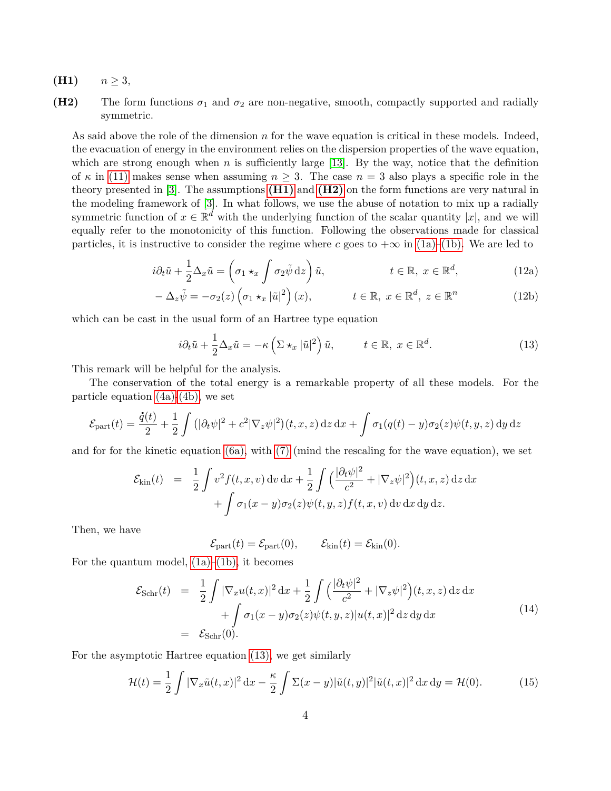- <span id="page-3-0"></span> $(H1)$  *n*  $\geq$  3,
- <span id="page-3-1"></span>**(H2)** The form functions  $\sigma_1$  and  $\sigma_2$  are non-negative, smooth, compactly supported and radially symmetric.

As said above the role of the dimension *n* for the wave equation is critical in these models. Indeed, the evacuation of energy in the environment relies on the dispersion properties of the wave equation, which are strong enough when *n* is sufficiently large [\[13\]](#page-56-3). By the way, notice that the definition of  $\kappa$  in [\(11\)](#page-2-5) makes sense when assuming  $n \geq 3$ . The case  $n = 3$  also plays a specific role in the theory presented in [\[3\]](#page-55-1). The assumptions **[\(H1\)](#page-3-0)** and **[\(H2\)](#page-3-1)** on the form functions are very natural in the modeling framework of [\[3\]](#page-55-1). In what follows, we use the abuse of notation to mix up a radially symmetric function of  $x \in \mathbb{R}^d$  with the underlying function of the scalar quantity  $|x|$ , and we will equally refer to the monotonicity of this function. Following the observations made for classical particles, it is instructive to consider the regime where *c* goes to  $+\infty$  in [\(1a\)](#page-0-0)[–\(1b\).](#page-0-1) We are led to

$$
i\partial_t \tilde{u} + \frac{1}{2} \Delta_x \tilde{u} = \left(\sigma_1 \star_x \int \sigma_2 \tilde{\psi} \,dz\right) \tilde{u}, \qquad t \in \mathbb{R}, \ x \in \mathbb{R}^d, \qquad (12a)
$$

$$
-\Delta_z \tilde{\psi} = -\sigma_2(z) \left(\sigma_1 \star_x |\tilde{u}|^2\right)(x), \qquad t \in \mathbb{R}, \ x \in \mathbb{R}^d, \ z \in \mathbb{R}^n \tag{12b}
$$

which can be cast in the usual form of an Hartree type equation

<span id="page-3-4"></span><span id="page-3-3"></span><span id="page-3-2"></span>
$$
i\partial_t \tilde{u} + \frac{1}{2} \Delta_x \tilde{u} = -\kappa \left( \Sigma \star_x |\tilde{u}|^2 \right) \tilde{u}, \qquad t \in \mathbb{R}, \ x \in \mathbb{R}^d.
$$
 (13)

This remark will be helpful for the analysis.

The conservation of the total energy is a remarkable property of all these models. For the particle equation [\(4a\)](#page-1-0)[-\(4b\),](#page-1-1) we set

$$
\mathcal{E}_{\text{part}}(t) = \frac{\dot{q}(t)}{2} + \frac{1}{2} \int \left( |\partial_t \psi|^2 + c^2 |\nabla_z \psi|^2 \right) (t, x, z) \, dz \, dx + \int \sigma_1(q(t) - y) \sigma_2(z) \psi(t, y, z) \, dy \, dz
$$

and for for the kinetic equation [\(6a\),](#page-2-1) with [\(7\)](#page-2-2) (mind the rescaling for the wave equation), we set

$$
\mathcal{E}_{\text{kin}}(t) = \frac{1}{2} \int v^2 f(t, x, v) dv dx + \frac{1}{2} \int \left( \frac{|\partial_t \psi|^2}{c^2} + |\nabla_z \psi|^2 \right) (t, x, z) dz dx
$$

$$
+ \int \sigma_1(x - y) \sigma_2(z) \psi(t, y, z) f(t, x, v) dv dx dy dz.
$$

Then, we have

$$
\mathcal{E}_{\text{part}}(t) = \mathcal{E}_{\text{part}}(0), \qquad \mathcal{E}_{\text{kin}}(t) = \mathcal{E}_{\text{kin}}(0).
$$

For the quantum model,  $(1a)–(1b)$ , it becomes

<span id="page-3-5"></span>
$$
\mathcal{E}_{\text{Schr}}(t) = \frac{1}{2} \int |\nabla_x u(t,x)|^2 dx + \frac{1}{2} \int \left( \frac{|\partial_t \psi|^2}{c^2} + |\nabla_z \psi|^2 \right) (t, x, z) dz dx + \int \sigma_1 (x - y) \sigma_2(z) \psi(t, y, z) |u(t, x)|^2 dz dy dx = \mathcal{E}_{\text{Schr}}(0).
$$
\n(14)

For the asymptotic Hartree equation [\(13\),](#page-3-2) we get similarly

<span id="page-3-6"></span>
$$
\mathcal{H}(t) = \frac{1}{2} \int |\nabla_x \tilde{u}(t,x)|^2 dx - \frac{\kappa}{2} \int \Sigma(x-y) |\tilde{u}(t,y)|^2 |\tilde{u}(t,x)|^2 dx dy = \mathcal{H}(0).
$$
 (15)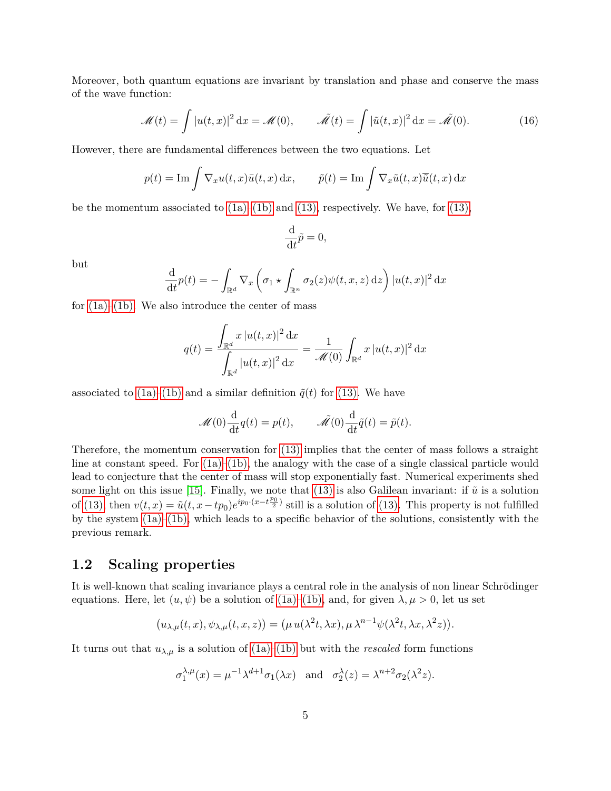Moreover, both quantum equations are invariant by translation and phase and conserve the mass of the wave function:

$$
\mathcal{M}(t) = \int |u(t,x)|^2 dx = \mathcal{M}(0), \qquad \tilde{\mathcal{M}}(t) = \int |\tilde{u}(t,x)|^2 dx = \tilde{\mathcal{M}}(0).
$$
 (16)

However, there are fundamental differences between the two equations. Let

$$
p(t) = \text{Im} \int \nabla_x u(t, x) \bar{u}(t, x) dx, \qquad \tilde{p}(t) = \text{Im} \int \nabla_x \tilde{u}(t, x) \bar{\tilde{u}}(t, x) dx
$$

be the momentum associated to  $(1a)$ – $(1b)$  and  $(13)$ , respectively. We have, for  $(13)$ ,

$$
\frac{\mathrm{d}}{\mathrm{d}t}\tilde{p}=0,
$$

but

$$
\frac{\mathrm{d}}{\mathrm{d}t}p(t) = -\int_{\mathbb{R}^d} \nabla_x \left( \sigma_1 \star \int_{\mathbb{R}^n} \sigma_2(z) \psi(t, x, z) \,\mathrm{d}z \right) |u(t, x)|^2 \,\mathrm{d}x
$$

for  $(1a)$ – $(1b)$ . We also introduce the center of mass

$$
q(t) = \frac{\int_{\mathbb{R}^d} x |u(t,x)|^2 dx}{\int_{\mathbb{R}^d} |u(t,x)|^2 dx} = \frac{1}{\mathcal{M}(0)} \int_{\mathbb{R}^d} x |u(t,x)|^2 dx
$$

associated to  $(1a)–(1b)$  $(1a)–(1b)$  and a similar definition  $\tilde{q}(t)$  for  $(13)$ . We have

$$
\mathcal{M}(0)\frac{\mathrm{d}}{\mathrm{d}t}q(t) = p(t), \qquad \tilde{\mathcal{M}}(0)\frac{\mathrm{d}}{\mathrm{d}t}\tilde{q}(t) = \tilde{p}(t).
$$

Therefore, the momentum conservation for [\(13\)](#page-3-2) implies that the center of mass follows a straight line at constant speed. For  $(1a)$ – $(1b)$ , the analogy with the case of a single classical particle would lead to conjecture that the center of mass will stop exponentially fast. Numerical experiments shed some light on this issue [\[15\]](#page-56-5). Finally, we note that  $(13)$  is also Galilean invariant: if  $\tilde{u}$  is a solution of [\(13\),](#page-3-2) then  $v(t, x) = \tilde{u}(t, x - tp_0)e^{ip_0 \cdot (x - t\frac{p_0}{2})}$  still is a solution of [\(13\).](#page-3-2) This property is not fulfilled by the system [\(1a\)–](#page-0-0)[\(1b\),](#page-0-1) which leads to a specific behavior of the solutions, consistently with the previous remark.

#### <span id="page-4-0"></span>**1.2 Scaling properties**

It is well-known that scaling invariance plays a central role in the analysis of non linear Schrödinger equations. Here, let  $(u, \psi)$  be a solution of [\(1a\)](#page-0-0)[–\(1b\),](#page-0-1) and, for given  $\lambda, \mu > 0$ , let us set

$$
(u_{\lambda,\mu}(t,x),\psi_{\lambda,\mu}(t,x,z)) = (\mu u(\lambda^2 t,\lambda x),\mu \lambda^{n-1} \psi(\lambda^2 t,\lambda x,\lambda^2 z)).
$$

It turns out that  $u_{\lambda,\mu}$  is a solution of [\(1a\)–](#page-0-0)[\(1b\)](#page-0-1) but with the *rescaled* form functions

$$
\sigma_1^{\lambda,\mu}(x) = \mu^{-1} \lambda^{d+1} \sigma_1(\lambda x)
$$
 and  $\sigma_2^{\lambda}(z) = \lambda^{n+2} \sigma_2(\lambda^2 z)$ .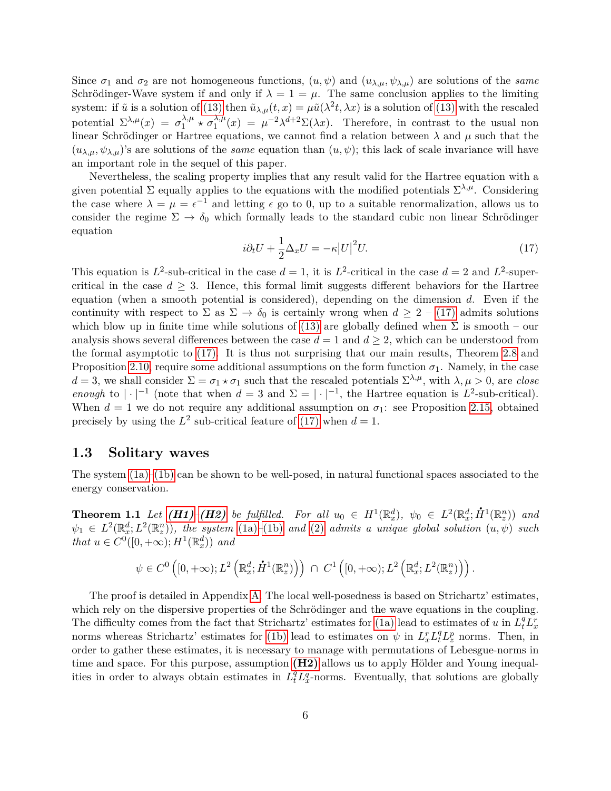Since  $\sigma_1$  and  $\sigma_2$  are not homogeneous functions,  $(u, \psi)$  and  $(u_{\lambda,\mu}, \psi_{\lambda,\mu})$  are solutions of the *same* Schrödinger-Wave system if and only if  $\lambda = 1 = \mu$ . The same conclusion applies to the limiting system: if  $\tilde{u}$  is a solution of [\(13\)](#page-3-2) then  $\tilde{u}_{\lambda,\mu}(t,x) = \mu \tilde{u}(\lambda^2 t, \lambda x)$  is a solution of (13) with the rescaled potential  $\Sigma^{\lambda,\mu}(x) = \sigma_1^{\lambda,\mu}$  $\frac{\lambda}{1}$   $\star$   $\sigma_1^{\lambda,\mu}$  $\int_{1}^{\lambda,\mu}(x) = \mu^{-2}\lambda^{d+2}\Sigma(\lambda x)$ . Therefore, in contrast to the usual non linear Schrödinger or Hartree equations, we cannot find a relation between  $\lambda$  and  $\mu$  such that the  $(u_{\lambda,\mu}, \psi_{\lambda,\mu})$ 's are solutions of the *same* equation than  $(u, \psi)$ ; this lack of scale invariance will have an important role in the sequel of this paper.

Nevertheless, the scaling property implies that any result valid for the Hartree equation with a given potential  $\Sigma$  equally applies to the equations with the modified potentials  $\Sigma^{\lambda,\mu}$ . Considering the case where  $\lambda = \mu = \epsilon^{-1}$  and letting  $\epsilon$  go to 0, up to a suitable renormalization, allows us to consider the regime  $\Sigma \to \delta_0$  which formally leads to the standard cubic non linear Schrödinger equation

<span id="page-5-0"></span>
$$
i\partial_t U + \frac{1}{2}\Delta_x U = -\kappa |U|^2 U.
$$
\n(17)

This equation is  $L^2$ -sub-critical in the case  $d = 1$ , it is  $L^2$ -critical in the case  $d = 2$  and  $L^2$ -supercritical in the case  $d \geq 3$ . Hence, this formal limit suggests different behaviors for the Hartree equation (when a smooth potential is considered), depending on the dimension *d*. Even if the continuity with respect to  $\Sigma$  as  $\Sigma \to \delta_0$  is certainly wrong when  $d \geq 2$  – [\(17\)](#page-5-0) admits solutions which blow up in finite time while solutions of [\(13\)](#page-3-2) are globally defined when  $\Sigma$  is smooth – our analysis shows several differences between the case  $d = 1$  and  $d \geq 2$ , which can be understood from the formal asymptotic to [\(17\).](#page-5-0) It is thus not surprising that our main results, Theorem [2.8](#page-11-0) and Proposition [2.10,](#page-12-0) require some additional assumptions on the form function  $\sigma_1$ . Namely, in the case  $d = 3$ , we shall consider  $\Sigma = \sigma_1 \star \sigma_1$  such that the rescaled potentials  $\Sigma^{\lambda,\mu}$ , with  $\lambda,\mu > 0$ , are *close enough* to  $|\cdot|^{-1}$  (note that when  $d = 3$  and  $\Sigma = |\cdot|^{-1}$ , the Hartree equation is  $L^2$ -sub-critical). When  $d = 1$  we do not require any additional assumption on  $\sigma_1$ : see Proposition [2.15,](#page-14-0) obtained precisely by using the  $L^2$  sub-critical feature of [\(17\)](#page-5-0) when  $d = 1$ .

#### **1.3 Solitary waves**

The system  $(1a)$ – $(1b)$  can be shown to be well-posed, in natural functional spaces associated to the energy conservation.

<span id="page-5-1"></span>**Theorem 1.1** Let  $(H1)-(H2)$  $(H1)-(H2)$  $(H1)-(H2)$  be fulfilled. For all  $u_0 \in H^1(\mathbb{R}^d_x)$ ,  $\psi_0 \in L^2(\mathbb{R}^d_x; \dot{H}^1(\mathbb{R}^n_x))$  and  $\psi_1 \in L^2(\mathbb{R}^d_x; L^2(\mathbb{R}^n_z)),$  the system [\(1a\)](#page-0-0)–[\(1b\)](#page-0-1) and [\(2\)](#page-1-2) admits a unique global solution  $(u, \psi)$  such *that*  $u \in C^0([0, +\infty); H^1(\mathbb{R}^d_x))$  *and* 

$$
\psi \in C^{0}\left([0,+\infty);L^{2}\left(\mathbb{R}_{x}^{d};\dot{H}^{1}(\mathbb{R}_{z}^{n})\right)\right) \;\cap\; C^{1}\left([0,+\infty);L^{2}\left(\mathbb{R}_{x}^{d};L^{2}(\mathbb{R}_{z}^{n})\right)\right).
$$

The proof is detailed in Appendix [A.](#page-42-0) The local well-posedness is based on Strichartz' estimates, which rely on the dispersive properties of the Schrödinger and the wave equations in the coupling. The difficulty comes from the fact that Strichartz' estimates for [\(1a\)](#page-0-0) lead to estimates of *u* in  $L_t^q L_x^r$ norms whereas Strichartz' estimates for [\(1b\)](#page-0-1) lead to estimates on  $\psi$  in  $L_x^r L_t^q L_z^p$  norms. Then, in order to gather these estimates, it is necessary to manage with permutations of Lebesgue-norms in time and space. For this purpose, assumption **[\(H2\)](#page-3-1)** allows us to apply Hölder and Young inequalities in order to always obtain estimates in  $L_t^q L_x^q$ -norms. Eventually, that solutions are globally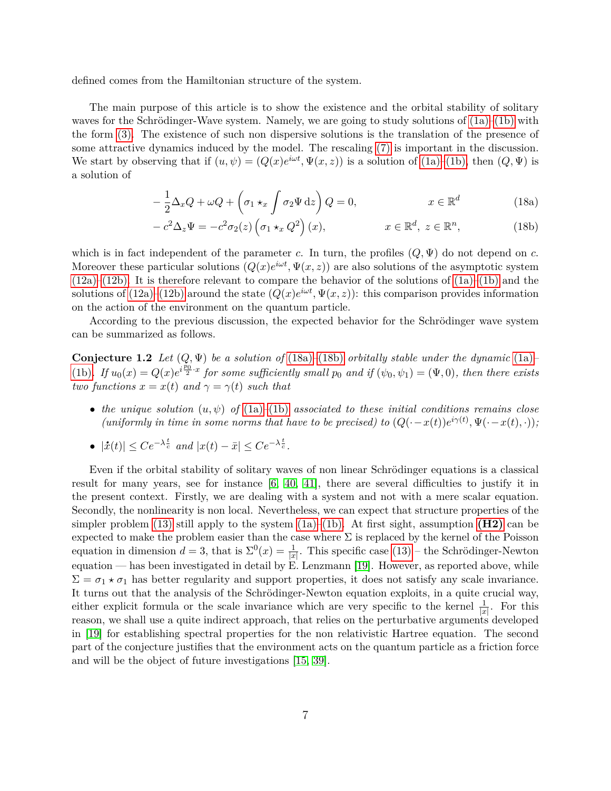defined comes from the Hamiltonian structure of the system.

The main purpose of this article is to show the existence and the orbital stability of solitary waves for the Schrödinger-Wave system. Namely, we are going to study solutions of  $(1a)–(1b)$  $(1a)–(1b)$  with the form [\(3\).](#page-1-3) The existence of such non dispersive solutions is the translation of the presence of some attractive dynamics induced by the model. The rescaling [\(7\)](#page-2-2) is important in the discussion. We start by observing that if  $(u, \psi) = (Q(x)e^{i\omega t}, \Psi(x, z))$  is a solution of  $(1a)$ – $(1b)$ , then  $(Q, \Psi)$  is a solution of

<span id="page-6-0"></span>
$$
-\frac{1}{2}\Delta_x Q + \omega Q + \left(\sigma_1 \star_x \int \sigma_2 \Psi \,dz\right) Q = 0, \qquad x \in \mathbb{R}^d \qquad (18a)
$$

<span id="page-6-1"></span>
$$
-c^2 \Delta_z \Psi = -c^2 \sigma_2(z) \left(\sigma_1 \star_x Q^2\right)(x), \qquad x \in \mathbb{R}^d, \ z \in \mathbb{R}^n, \qquad (18b)
$$

which is in fact independent of the parameter *c*. In turn, the profiles  $(Q, \Psi)$  do not depend on *c*. Moreover these particular solutions  $(Q(x)e^{i\omega t}, \Psi(x, z))$  are also solutions of the asymptotic system  $(12a)$ – $(12b)$ . It is therefore relevant to compare the behavior of the solutions of  $(1a)$ – $(1b)$  and the solutions of [\(12a\)](#page-3-3)[–\(12b\)](#page-3-4) around the state  $(Q(x)e^{i\omega t}, \Psi(x, z))$ : this comparison provides information on the action of the environment on the quantum particle.

According to the previous discussion, the expected behavior for the Schrödinger wave system can be summarized as follows.

**Conjecture 1.2** *Let* (*Q,* Ψ) *be a solution of* [\(18a\)](#page-6-0)*–*[\(18b\)](#page-6-1) *orbitally stable under the dynamic* [\(1a\)](#page-0-0)*–* [\(1b\)](#page-0-1). If  $u_0(x) = Q(x)e^{i\frac{p_0}{2} \cdot x}$  for some sufficiently small  $p_0$  and if  $(\psi_0, \psi_1) = (\Psi, 0)$ , then there exists *two functions*  $x = x(t)$  *and*  $\gamma = \gamma(t)$  *such that* 

- *the unique solution* (*u, ψ*) *of* [\(1a\)](#page-0-0)*–*[\(1b\)](#page-0-1) *associated to these initial conditions remains close (uniformly in time in some norms that have to be precised) to*  $(Q(-x(t))e^{i\gamma(t)}, \Psi(-x(t), \cdot))$ *;*
- $\bullet$   $|\dot{x}(t)|$  ≤  $Ce^{-\lambda \frac{t}{c}}$  *and*  $|x(t) \bar{x}|$  ≤  $Ce^{-\lambda \frac{t}{c}}$ .

Even if the orbital stability of solitary waves of non linear Schrödinger equations is a classical result for many years, see for instance [\[6,](#page-56-6) [40,](#page-58-0) [41\]](#page-58-1), there are several difficulties to justify it in the present context. Firstly, we are dealing with a system and not with a mere scalar equation. Secondly, the nonlinearity is non local. Nevertheless, we can expect that structure properties of the simpler problem [\(13\)](#page-3-2) still apply to the system  $(1a)$ –[\(1b\).](#page-0-1) At first sight, assumption **[\(H2\)](#page-3-1)** can be expected to make the problem easier than the case where  $\Sigma$  is replaced by the kernel of the Poisson equation in dimension  $d = 3$ , that is  $\Sigma^0(x) = \frac{1}{|x|}$ . This specific case [\(13\)](#page-3-2) – the Schrödinger-Newton equation — has been investigated in detail by E. Lenzmann [\[19\]](#page-56-7). However, as reported above, while  $\Sigma = \sigma_1 \star \sigma_1$  has better regularity and support properties, it does not satisfy any scale invariance. It turns out that the analysis of the Schrödinger-Newton equation exploits, in a quite crucial way, either explicit formula or the scale invariance which are very specific to the kernel  $\frac{1}{|x|}$ . For this reason, we shall use a quite indirect approach, that relies on the perturbative arguments developed in [\[19\]](#page-56-7) for establishing spectral properties for the non relativistic Hartree equation. The second part of the conjecture justifies that the environment acts on the quantum particle as a friction force and will be the object of future investigations [\[15,](#page-56-5) [39\]](#page-57-2).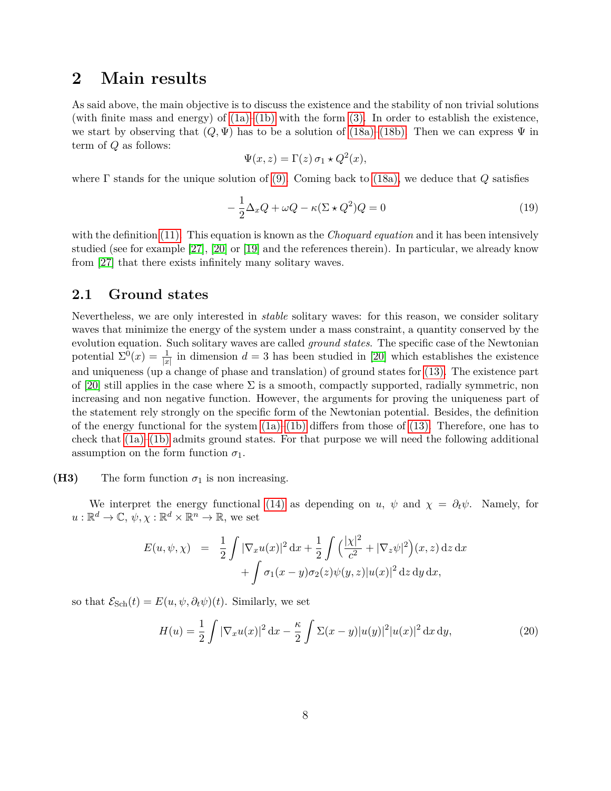## **2 Main results**

As said above, the main objective is to discuss the existence and the stability of non trivial solutions (with finite mass and energy) of  $(1a)$ – $(1b)$  with the form  $(3)$ . In order to establish the existence, we start by observing that  $(Q, \Psi)$  has to be a solution of [\(18a\)](#page-6-0)[–\(18b\).](#page-6-1) Then we can express  $\Psi$  in term of *Q* as follows:

$$
\Psi(x, z) = \Gamma(z) \,\sigma_1 \star Q^2(x),
$$

where Γ stands for the unique solution of [\(9\).](#page-2-6) Coming back to [\(18a\),](#page-6-0) we deduce that *Q* satisfies

<span id="page-7-1"></span>
$$
-\frac{1}{2}\Delta_x Q + \omega Q - \kappa (\Sigma \star Q^2) Q = 0
$$
\n(19)

with the definition [\(11\).](#page-2-5) This equation is known as the *Choquard equation* and it has been intensively studied (see for example [\[27\]](#page-57-3), [\[20\]](#page-56-8) or [\[19\]](#page-56-7) and the references therein). In particular, we already know from [\[27\]](#page-57-3) that there exists infinitely many solitary waves.

### **2.1 Ground states**

Nevertheless, we are only interested in *stable* solitary waves: for this reason, we consider solitary waves that minimize the energy of the system under a mass constraint, a quantity conserved by the evolution equation. Such solitary waves are called *ground states*. The specific case of the Newtonian potential  $\Sigma^{0}(x) = \frac{1}{|x|}$  in dimension  $d = 3$  has been studied in [\[20\]](#page-56-8) which establishes the existence and uniqueness (up a change of phase and translation) of ground states for [\(13\).](#page-3-2) The existence part of [\[20\]](#page-56-8) still applies in the case where  $\Sigma$  is a smooth, compactly supported, radially symmetric, non increasing and non negative function. However, the arguments for proving the uniqueness part of the statement rely strongly on the specific form of the Newtonian potential. Besides, the definition of the energy functional for the system  $(1a)$ – $(1b)$  differs from those of  $(13)$ . Therefore, one has to check that [\(1a\)–](#page-0-0)[\(1b\)](#page-0-1) admits ground states. For that purpose we will need the following additional assumption on the form function  $\sigma_1$ .

#### <span id="page-7-0"></span>**(H3)** The form function  $\sigma_1$  is non increasing.

We interpret the energy functional [\(14\)](#page-3-5) as depending on *u*,  $\psi$  and  $\chi = \partial_t \psi$ . Namely, for  $u: \mathbb{R}^d \to \mathbb{C}, \psi, \chi: \mathbb{R}^d \times \mathbb{R}^n \to \mathbb{R},$  we set

$$
E(u, \psi, \chi) = \frac{1}{2} \int |\nabla_x u(x)|^2 dx + \frac{1}{2} \int \left( \frac{|\chi|^2}{c^2} + |\nabla_z \psi|^2 \right) (x, z) dz dx + \int \sigma_1 (x - y) \sigma_2(z) \psi(y, z) |u(x)|^2 dz dy dx,
$$

so that  $\mathcal{E}_{Sch}(t) = E(u, \psi, \partial_t \psi)(t)$ . Similarly, we set

<span id="page-7-2"></span>
$$
H(u) = \frac{1}{2} \int |\nabla_x u(x)|^2 dx - \frac{\kappa}{2} \int \Sigma(x - y) |u(y)|^2 |u(x)|^2 dx dy,
$$
 (20)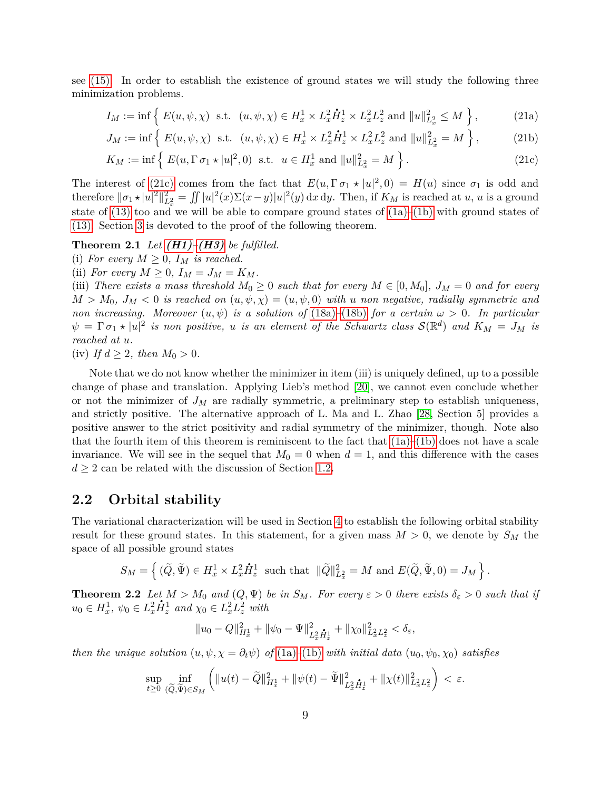see [\(15\).](#page-3-6) In order to establish the existence of ground states we will study the following three minimization problems.

$$
I_M := \inf \left\{ E(u, \psi, \chi) \text{ s.t. } (u, \psi, \chi) \in H_x^1 \times L_x^2 \dot{H}_z^1 \times L_x^2 L_z^2 \text{ and } \|u\|_{L_x^2}^2 \le M \right\},\tag{21a}
$$

<span id="page-8-0"></span>
$$
J_M := \inf \left\{ E(u, \psi, \chi) \text{ s.t. } (u, \psi, \chi) \in H^1_x \times L^2_x \dot{H}^1_z \times L^2_x L^2_z \text{ and } ||u||^2_{L^2_x} = M \right\},\tag{21b}
$$

<span id="page-8-2"></span>
$$
K_M := \inf \left\{ E(u, \Gamma \sigma_1 \star |u|^2, 0) \text{ s.t. } u \in H_x^1 \text{ and } \|u\|_{L_x^2}^2 = M \right\}. \tag{21c}
$$

The interest of [\(21c\)](#page-8-0) comes from the fact that  $E(u, \Gamma \sigma_1 \star |u|^2, 0) = H(u)$  since  $\sigma_1$  is odd and therefore  $\|\sigma_1\star|u|^2\|_{L_x^2}^2 = \iint |u|^2(x)\Sigma(x-y)|u|^2(y) dx dy$ . Then, if  $K_M$  is reached at u, u is a ground state of  $(13)$  too and we will be able to compare ground states of  $(1a)–(1b)$  $(1a)–(1b)$  with ground states of [\(13\).](#page-3-2) Section [3](#page-17-0) is devoted to the proof of the following theorem.

#### **Theorem 2.1** *Let*  $(H1)$ – $(H3)$  *be fulfilled.*

(i) For every  $M \geq 0$ ,  $I_M$  is reached.

(ii) *For every*  $M \geq 0$ ,  $I_M = J_M = K_M$ .

(iii) *There exists a mass threshold*  $M_0 \geq 0$  *such that for every*  $M \in [0, M_0]$ *,*  $J_M = 0$  *and for every*  $M > M_0$ ,  $J_M < 0$  *is reached on*  $(u, \psi, \chi) = (u, \psi, 0)$  *with u non negative, radially symmetric and non increasing. Moreover*  $(u, \psi)$  *is a solution of* [\(18a\)](#page-6-0)–[\(18b\)](#page-6-1) *for a certain*  $\omega > 0$ *. In particular*  $\psi = \Gamma \sigma_1 * |u|^2$  *is non positive, u is an element of the Schwartz class*  $\mathcal{S}(\mathbb{R}^d)$  *and*  $K_M = J_M$  *is reached at u.*

(iv) *If*  $d \geq 2$ *, then*  $M_0 > 0$ *.* 

Note that we do not know whether the minimizer in item (iii) is uniquely defined, up to a possible change of phase and translation. Applying Lieb's method [\[20\]](#page-56-8), we cannot even conclude whether or not the minimizer of  $J_M$  are radially symmetric, a preliminary step to establish uniqueness, and strictly positive. The alternative approach of L. Ma and L. Zhao [\[28,](#page-57-4) Section 5] provides a positive answer to the strict positivity and radial symmetry of the minimizer, though. Note also that the fourth item of this theorem is reminiscent to the fact that  $(1a)$ – $(1b)$  does not have a scale invariance. We will see in the sequel that  $M_0 = 0$  when  $d = 1$ , and this difference with the cases  $d \geq 2$  can be related with the discussion of Section [1.2.](#page-4-0)

### **2.2 Orbital stability**

The variational characterization will be used in Section [4](#page-23-0) to establish the following orbital stability result for these ground states. In this statement, for a given mass  $M > 0$ , we denote by  $S_M$  the space of all possible ground states

$$
S_M = \left\{ (\widetilde{Q}, \widetilde{\Psi}) \in H^1_x \times L^2_x \dot{H}^1_z \text{ such that } \|\widetilde{Q}\|^2_{L^2_x} = M \text{ and } E(\widetilde{Q}, \widetilde{\Psi}, 0) = J_M \right\}.
$$

<span id="page-8-1"></span>**Theorem 2.2** *Let*  $M > M_0$  *and*  $(Q, \Psi)$  *be in*  $S_M$ *. For every*  $\varepsilon > 0$  *there exists*  $\delta_{\varepsilon} > 0$  *such that if*  $u_0 \in H_x^1$ ,  $\psi_0 \in L_x^2 \dot{H}_z^1$  and  $\chi_0 \in L_x^2 L_z^2$  with

$$
||u_0 - Q||_{H_x^1}^2 + ||\psi_0 - \Psi||_{L_x^2 \dot{H}_x^1}^2 + ||\chi_0||_{L_x^2 L_x^2}^2 < \delta_{\varepsilon},
$$

*then the unique solution*  $(u, \psi, \chi = \partial_t \psi)$  *of* [\(1a\)](#page-0-0)–[\(1b\)](#page-0-1) *with initial data*  $(u_0, \psi_0, \chi_0)$  *satisfies* 

$$
\sup_{t\geq 0} \inf_{(\widetilde{Q}, \widetilde{\Psi})\in S_M} \left( \|u(t) - \widetilde{Q}\|_{H_x^1}^2 + \|\psi(t) - \widetilde{\Psi}\|_{L_x^2 \dot{H}_x^1}^2 + \|\chi(t)\|_{L_x^2 L_x^2}^2 \right) < \varepsilon.
$$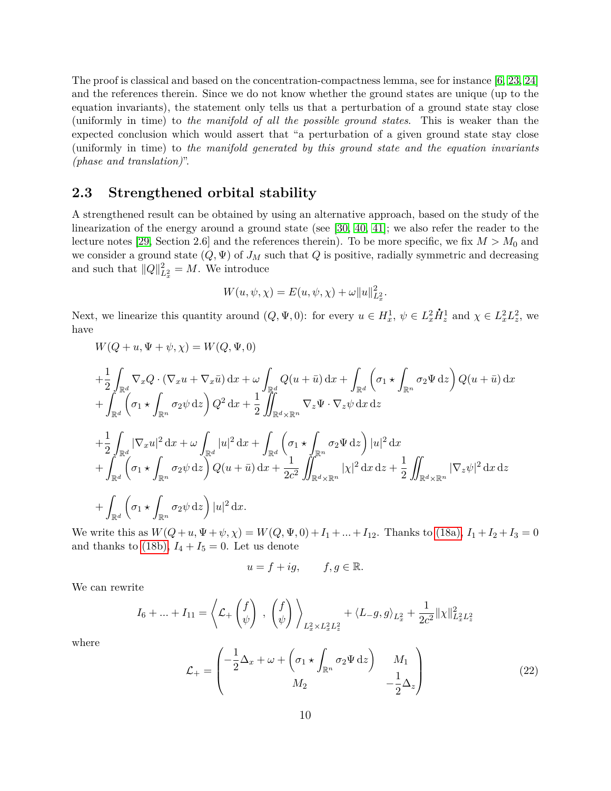The proof is classical and based on the concentration-compactness lemma, see for instance [\[6,](#page-56-6) [23,](#page-57-5) [24\]](#page-57-6) and the references therein. Since we do not know whether the ground states are unique (up to the equation invariants), the statement only tells us that a perturbation of a ground state stay close (uniformly in time) to *the manifold of all the possible ground states*. This is weaker than the expected conclusion which would assert that "a perturbation of a given ground state stay close (uniformly in time) to *the manifold generated by this ground state and the equation invariants (phase and translation)*".

### **2.3 Strengthened orbital stability**

A strengthened result can be obtained by using an alternative approach, based on the study of the linearization of the energy around a ground state (see [\[30,](#page-57-7) [40,](#page-58-0) [41\]](#page-58-1); we also refer the reader to the lecture notes [\[29,](#page-57-8) Section 2.6] and the references therein). To be more specific, we fix  $M > M_0$  and we consider a ground state  $(Q, \Psi)$  of  $J_M$  such that  $Q$  is positive, radially symmetric and decreasing and such that  $||Q||_{L_x^2}^2 = M$ . We introduce

$$
W(u, \psi, \chi) = E(u, \psi, \chi) + \omega ||u||_{L_x^2}^2.
$$

Next, we linearize this quantity around  $(Q, \Psi, 0)$ : for every  $u \in H_x^1$ ,  $\psi \in L_x^2$  $\dot{H}_z^1$  and  $\chi \in L_x^2 L_z^2$ , we have

$$
W(Q+u, \Psi+\psi, \chi) = W(Q, \Psi, 0)
$$

$$
+\frac{1}{2}\int_{\mathbb{R}^d} \nabla_x Q \cdot (\nabla_x u + \nabla_x \bar{u}) dx + \omega \int_{\mathbb{R}^d} Q(u + \bar{u}) dx + \int_{\mathbb{R}^d} \left(\sigma_1 \star \int_{\mathbb{R}^n} \sigma_2 \Psi dz\right) Q(u + \bar{u}) dx
$$
  
+ 
$$
\int_{\mathbb{R}^d} \left(\sigma_1 \star \int_{\mathbb{R}^n} \sigma_2 \psi dz\right) Q^2 dx + \frac{1}{2} \iint_{\mathbb{R}^d \times \mathbb{R}^n} \nabla_x \Psi \cdot \nabla_z \psi dx dz
$$
  
+ 
$$
\frac{1}{2} \int_{\mathbb{R}^d} |\nabla_x u|^2 dx + \omega \int_{\mathbb{R}^d} |u|^2 dx + \int_{\mathbb{R}^d} \left(\sigma_1 \star \int_{\mathbb{R}^n} \sigma_2 \Psi dz\right) |u|^2 dx
$$
  
+ 
$$
\int_{\mathbb{R}^d} \left(\sigma_1 \star \int_{\mathbb{R}^n} \sigma_2 \psi dz\right) Q(u + \bar{u}) dx + \frac{1}{2c^2} \iint_{\mathbb{R}^d \times \mathbb{R}^n} |\chi|^2 dx dz + \frac{1}{2} \iint_{\mathbb{R}^d \times \mathbb{R}^n} |\nabla_z \psi|^2 dx dz
$$
  
+ 
$$
\int_{\mathbb{R}^d} \left(\sigma_1 \star \int_{\mathbb{R}^n} \sigma_2 \psi dz\right) |u|^2 dx.
$$

We write this as  $W(Q+u, \Psi+\psi, \chi) = W(Q, \Psi, 0) + I_1 + ... + I_{12}$ . Thanks to [\(18a\),](#page-6-0)  $I_1 + I_2 + I_3 = 0$ and thanks to [\(18b\),](#page-6-1)  $I_4 + I_5 = 0$ . Let us denote

$$
u = f + ig, \qquad f, g \in \mathbb{R}.
$$

We can rewrite

$$
I_6 + \ldots + I_{11} = \left\langle \mathcal{L}_+ \begin{pmatrix} f \\ \psi \end{pmatrix} \right\rangle, \left. \begin{pmatrix} f \\ \psi \end{pmatrix} \right\rangle_{L_x^2 \times L_x^2 L_z^2} + \left\langle L_{-}g, g \right\rangle_{L_x^2} + \frac{1}{2c^2} ||\chi||_{L_x^2 L_z^2}^2
$$

where

<span id="page-9-0"></span>
$$
\mathcal{L}_{+} = \begin{pmatrix} -\frac{1}{2}\Delta_{x} + \omega + \left(\sigma_{1} \star \int_{\mathbb{R}^{n}} \sigma_{2} \Psi \,dz\right) & M_{1} \\ M_{2} & -\frac{1}{2}\Delta_{z} \end{pmatrix}
$$
(22)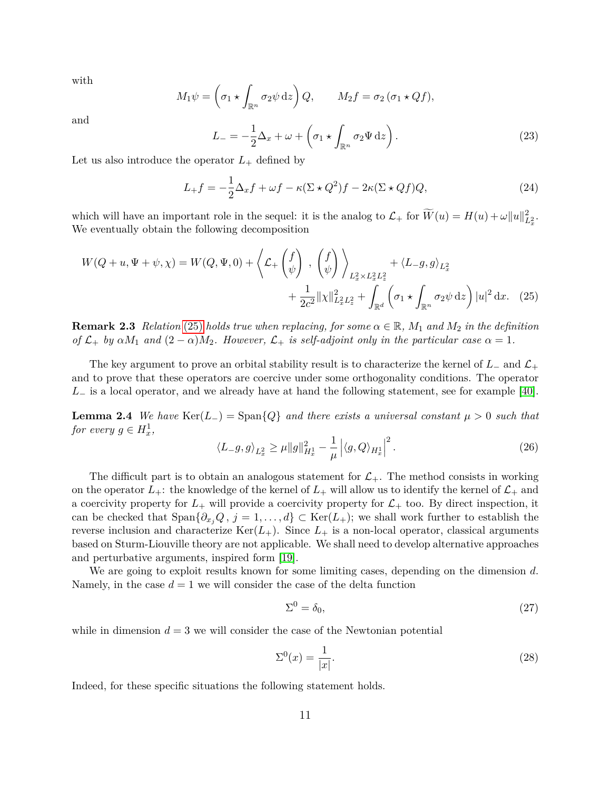with

$$
M_1 \psi = \left(\sigma_1 \star \int_{\mathbb{R}^n} \sigma_2 \psi \,dz\right) Q, \qquad M_2 f = \sigma_2 \left(\sigma_1 \star Qf\right),
$$

and

$$
L_{-} = -\frac{1}{2}\Delta_{x} + \omega + \left(\sigma_{1} \star \int_{\mathbb{R}^{n}} \sigma_{2} \Psi \,dz\right). \tag{23}
$$

Let us also introduce the operator  $L_{+}$  defined by

$$
L_{+}f = -\frac{1}{2}\Delta_{x}f + \omega f - \kappa(\Sigma \star Q^{2})f - 2\kappa(\Sigma \star Qf)Q, \qquad (24)
$$

which will have an important role in the sequel: it is the analog to  $\mathcal{L}_+$  for  $\widetilde{W}(u) = H(u) + \omega ||u||^2_{L^2_x}$ . We eventually obtain the following decomposition

$$
W(Q+u, \Psi+\psi, \chi) = W(Q, \Psi, 0) + \left\langle \mathcal{L}_+ \begin{pmatrix} f \\ \psi \end{pmatrix} \right\rangle_{L_x^2 \times L_x^2 L_z^2} + \left\langle L_{-g, g} \right\rangle_{L_x^2} + \frac{1}{2c^2} ||\chi||_{L_x^2 L_z^2}^2 + \int_{\mathbb{R}^d} \left( \sigma_1 \star \int_{\mathbb{R}^n} \sigma_2 \psi \, dz \right) |u|^2 dx. \tag{25}
$$

**Remark 2.3** *Relation* [\(25\)](#page-10-0) *holds true when replacing, for some*  $\alpha \in \mathbb{R}$ *,*  $M_1$  *and*  $M_2$  *in the definition of*  $\mathcal{L}_+$  *by*  $\alpha M_1$  *and*  $(2 - \alpha)M_2$ *. However,*  $\mathcal{L}_+$  *is self-adjoint only in the particular case*  $\alpha = 1$ *.* 

The key argument to prove an orbital stability result is to characterize the kernel of  $L_-\,$  and  $\mathcal{L}_+$ and to prove that these operators are coercive under some orthogonality conditions. The operator *L*<sub>−</sub> is a local operator, and we already have at hand the following statement, see for example [\[40\]](#page-58-0).

<span id="page-10-4"></span>**Lemma 2.4** *We have*  $\text{Ker}(L_{-}) = \text{Span}\{Q\}$  *and there exists a universal constant*  $\mu > 0$  *such that for every*  $g \in H_x^1$ ,

<span id="page-10-0"></span>
$$
\langle L-g, g \rangle_{L_x^2} \ge \mu \|g\|_{H_x^1}^2 - \frac{1}{\mu} \left| \langle g, Q \rangle_{H_x^1} \right|^2. \tag{26}
$$

The difficult part is to obtain an analogous statement for  $\mathcal{L}_{+}$ . The method consists in working on the operator  $L_{+}$ : the knowledge of the kernel of  $L_{+}$  will allow us to identify the kernel of  $L_{+}$  and a coercivity property for  $L_+$  will provide a coercivity property for  $\mathcal{L}_+$  too. By direct inspection, it can be checked that  $\text{Span}\{\partial_{x_i}Q, j=1,\ldots,d\}\subset \text{Ker}(L_+);$  we shall work further to establish the reverse inclusion and characterize  $\text{Ker}(L_+)$ . Since  $L_+$  is a non-local operator, classical arguments based on Sturm-Liouville theory are not applicable. We shall need to develop alternative approaches and perturbative arguments, inspired form [\[19\]](#page-56-7).

We are going to exploit results known for some limiting cases, depending on the dimension *d*. Namely, in the case  $d = 1$  we will consider the case of the delta function

<span id="page-10-1"></span>
$$
\Sigma^0 = \delta_0,\tag{27}
$$

while in dimension  $d = 3$  we will consider the case of the Newtonian potential

<span id="page-10-3"></span><span id="page-10-2"></span>
$$
\Sigma^0(x) = \frac{1}{|x|}.\tag{28}
$$

Indeed, for these specific situations the following statement holds.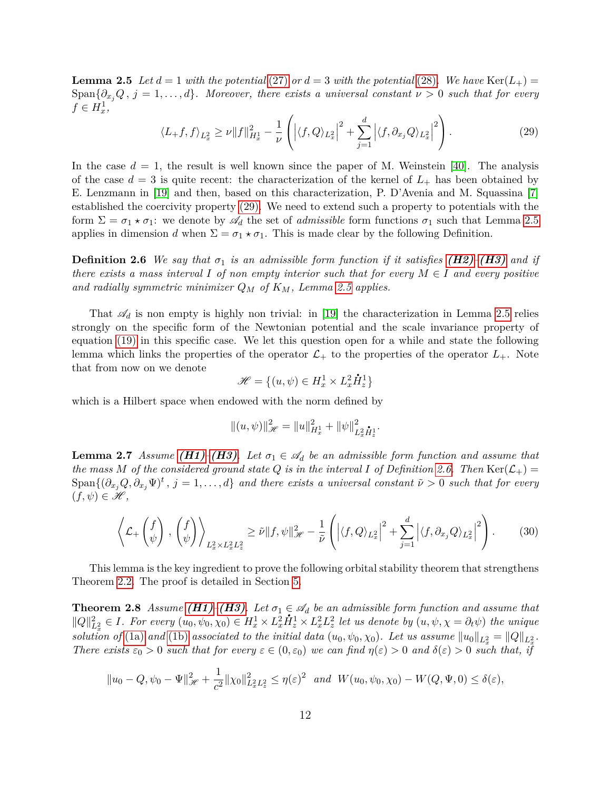**Lemma 2.5** Let  $d = 1$  with the potential [\(27\)](#page-10-1) or  $d = 3$  with the potential [\(28\)](#page-10-2). We have Ker( $L_{+}$ ) = Span $\{\partial_x, Q, j = 1, \ldots, d\}$ *. Moreover, there exists a universal constant*  $\nu > 0$  such that for every  $f \in H_x^1$ ,

<span id="page-11-1"></span>
$$
\langle L_{+}f, f \rangle_{L_{x}^{2}} \geq \nu \|f\|_{H_{x}^{1}}^{2} - \frac{1}{\nu} \left( \left| \langle f, Q \rangle_{L_{x}^{2}} \right|^{2} + \sum_{j=1}^{d} \left| \langle f, \partial_{x_{j}} Q \rangle_{L_{x}^{2}} \right|^{2} \right).
$$
\n(29)

In the case  $d = 1$ , the result is well known since the paper of M. Weinstein [\[40\]](#page-58-0). The analysis of the case  $d = 3$  is quite recent: the characterization of the kernel of  $L_{+}$  has been obtained by E. Lenzmann in [\[19\]](#page-56-7) and then, based on this characterization, P. D'Avenia and M. Squassina [\[7\]](#page-56-9) established the coercivity property [\(29\).](#page-11-1) We need to extend such a property to potentials with the form  $\Sigma = \sigma_1 \star \sigma_1$ : we denote by  $\mathscr{A}_d$  the set of *admissible* form functions  $\sigma_1$  such that Lemma [2.5](#page-10-3) applies in dimension *d* when  $\Sigma = \sigma_1 \star \sigma_1$ . This is made clear by the following Definition.

<span id="page-11-2"></span>**Definition 2.6** *We say that*  $\sigma_1$  *is an admissible form function if it satisfies [\(H2\)](#page-3-1)*–*[\(H3\)](#page-7-0) and if there exists a mass interval*  $I$  *of non empty interior such that for every*  $M \in I$  *and every positive and radially symmetric minimizer Q<sup>M</sup> of KM, Lemma [2.5](#page-10-3) applies.*

That  $\mathscr{A}_d$  is non empty is highly non trivial: in [\[19\]](#page-56-7) the characterization in Lemma [2.5](#page-10-3) relies strongly on the specific form of the Newtonian potential and the scale invariance property of equation [\(19\)](#page-7-1) in this specific case. We let this question open for a while and state the following lemma which links the properties of the operator  $\mathcal{L}_+$  to the properties of the operator  $L_+$ . Note that from now on we denote **.**

$$
\mathcal{H} = \{(u, \psi) \in H_x^1 \times L_x^2 \mathring{H}_z^1\}
$$

which is a Hilbert space when endowed with the norm defined by

$$
\|(u,\psi)\|_{\mathscr{H}}^2 = \|u\|_{H_x^1}^2 + \|\psi\|_{L_x^2 \mathring{H}_x^1}^2.
$$

<span id="page-11-3"></span>**Lemma 2.7** *Assume* (*H1*)–(*H3*)*.* Let  $\sigma_1 \in \mathcal{A}_d$  be an admissible form function and assume that *the mass M of the considered ground state Q is in the interval I of Definition* [2.6.](#page-11-2) *Then* Ker( $\mathcal{L}_+$ ) =  $\text{Span}\{(\partial_{x_j}Q, \partial_{x_j}\Psi)^t, j=1,\ldots,d\}$  and there exists a universal constant  $\tilde{\nu} > 0$  such that for every  $(f, \psi) \in \mathscr{H},$ 

<span id="page-11-4"></span>
$$
\left\langle \mathcal{L}_+\left(f_{\psi}\right), \left(f_{\psi}\right) \right\rangle_{L_x^2 \times L_x^2 L_z^2} \ge \tilde{\nu} \|f, \psi\|_{\mathcal{H}}^2 - \frac{1}{\tilde{\nu}} \left( \left| \langle f, Q \rangle_{L_x^2} \right|^2 + \sum_{j=1}^d \left| \langle f, \partial_{x_j} Q \rangle_{L_x^2} \right|^2 \right). \tag{30}
$$

This lemma is the key ingredient to prove the following orbital stability theorem that strengthens Theorem [2.2.](#page-8-1) The proof is detailed in Section [5.](#page-26-0)

<span id="page-11-0"></span>**Theorem 2.8** *Assume*  $(H1)$ <sup>*–*</sup> $(H3)$ *. Let*  $\sigma_1 \in \mathcal{A}_d$  *be an admissible form function and assume that*  $||Q||_{L_x^2}^2 \in I$ . For every  $(u_0, \psi_0, \chi_0) \in H_x^1 \times L_x^2 H_z^1 \times L_x^2 L_z^2$  let us denote by  $(u, \psi, \chi = \partial_t \psi)$  the unique *solution of* [\(1a\)](#page-0-0) *and* [\(1b\)](#page-0-1) *associated to the initial data*  $(u_0, \psi_0, \chi_0)$ . Let us assume  $||u_0||_{L_x^2} = ||Q||_{L_x^2}$ . *There exists*  $\varepsilon_0 > 0$  *such that for every*  $\varepsilon \in (0, \varepsilon_0)$  *we can find*  $\eta(\varepsilon) > 0$  *and*  $\delta(\varepsilon) > 0$  *such that, if* 

$$
||u_0 - Q, \psi_0 - \Psi||_{\mathcal{H}}^2 + \frac{1}{c^2} ||\chi_0||_{L_x^2 L_z^2}^2 \le \eta(\varepsilon)^2
$$
 and  $W(u_0, \psi_0, \chi_0) - W(Q, \Psi, 0) \le \delta(\varepsilon)$ ,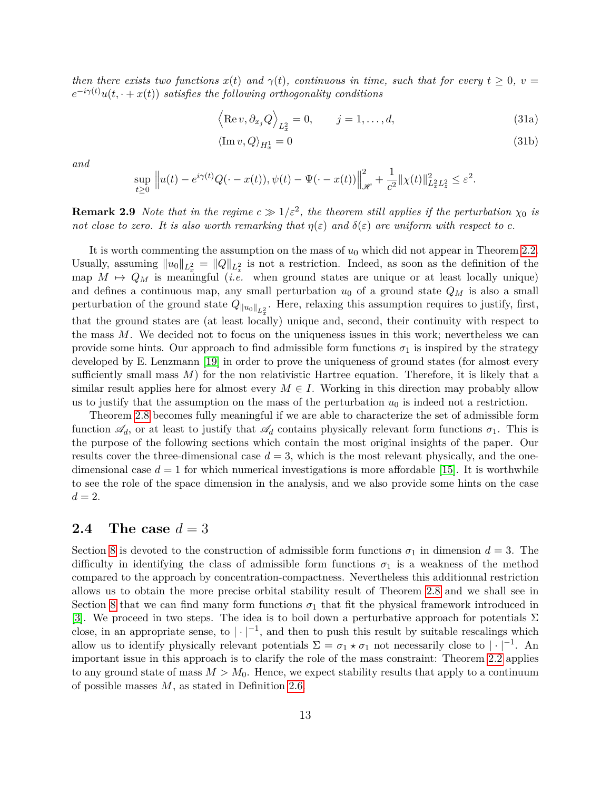*then there exists two functions*  $x(t)$  *and*  $\gamma(t)$ *, continuous in time, such that for every*  $t \geq 0$ *, v* =  $e^{-i\gamma(t)}u(t,\cdot+x(t))$  *satisfies the following orthogonality conditions* 

<span id="page-12-1"></span>
$$
\left\langle \operatorname{Re} v, \partial_{x_j} Q \right\rangle_{L^2_x} = 0, \qquad j = 1, \dots, d,
$$
\n(31a)

<span id="page-12-2"></span>
$$
\langle \operatorname{Im} v, Q \rangle_{H_x^1} = 0 \tag{31b}
$$

*and*

$$
\sup_{t\geq 0} ||u(t) - e^{i\gamma(t)}Q(\cdot - x(t)), \psi(t) - \Psi(\cdot - x(t))||_{\mathcal{H}}^2 + \frac{1}{c^2} ||\chi(t)||_{L_x^2 L_z^2}^2 \leq \varepsilon^2.
$$

**Remark 2.9** *Note that in the regime*  $c \gg 1/\varepsilon^2$ , the theorem still applies if the perturbation  $\chi_0$  *is not close to zero. It is also worth remarking that*  $\eta(\varepsilon)$  *and*  $\delta(\varepsilon)$  *are uniform with respect to c.* 

It is worth commenting the assumption on the mass of *u*<sup>0</sup> which did not appear in Theorem [2.2.](#page-8-1) Usually, assuming  $||u_0||_{L_x^2} = ||Q||_{L_x^2}$  is not a restriction. Indeed, as soon as the definition of the map  $M \mapsto Q_M$  is meaningful (*i.e.* when ground states are unique or at least locally unique) and defines a continuous map, any small perturbation  $u_0$  of a ground state  $Q_M$  is also a small perturbation of the ground state  $Q_{\|u_0\|_{L_x^2}}$ . Here, relaxing this assumption requires to justify, first, that the ground states are (at least locally) unique and, second, their continuity with respect to the mass *M*. We decided not to focus on the uniqueness issues in this work; nevertheless we can provide some hints. Our approach to find admissible form functions  $\sigma_1$  is inspired by the strategy developed by E. Lenzmann [\[19\]](#page-56-7) in order to prove the uniqueness of ground states (for almost every sufficiently small mass  $M$ ) for the non relativistic Hartree equation. Therefore, it is likely that a similar result applies here for almost every  $M \in I$ . Working in this direction may probably allow us to justify that the assumption on the mass of the perturbation  $u_0$  is indeed not a restriction.

Theorem [2.8](#page-11-0) becomes fully meaningful if we are able to characterize the set of admissible form function  $\mathscr{A}_d$ , or at least to justify that  $\mathscr{A}_d$  contains physically relevant form functions  $\sigma_1$ . This is the purpose of the following sections which contain the most original insights of the paper. Our results cover the three-dimensional case  $d = 3$ , which is the most relevant physically, and the onedimensional case  $d = 1$  for which numerical investigations is more affordable [\[15\]](#page-56-5). It is worthwhile to see the role of the space dimension in the analysis, and we also provide some hints on the case  $d=2$ .

#### **2.4** The case  $d=3$

<span id="page-12-0"></span>Section [8](#page-37-0) is devoted to the construction of admissible form functions  $\sigma_1$  in dimension  $d = 3$ . The difficulty in identifying the class of admissible form functions  $\sigma_1$  is a weakness of the method compared to the approach by concentration-compactness. Nevertheless this additionnal restriction allows us to obtain the more precise orbital stability result of Theorem [2.8](#page-11-0) and we shall see in Section [8](#page-37-0) that we can find many form functions  $\sigma_1$  that fit the physical framework introduced in [\[3\]](#page-55-1). We proceed in two steps. The idea is to boil down a perturbative approach for potentials  $\Sigma$ close, in an appropriate sense, to  $|\cdot|^{-1}$ , and then to push this result by suitable rescalings which allow us to identify physically relevant potentials  $\Sigma = \sigma_1 \star \sigma_1$  not necessarily close to  $|\cdot|^{-1}$ . An important issue in this approach is to clarify the role of the mass constraint: Theorem [2.2](#page-8-1) applies to any ground state of mass  $M > M_0$ . Hence, we expect stability results that apply to a continuum of possible masses *M*, as stated in Definition [2.6.](#page-11-2)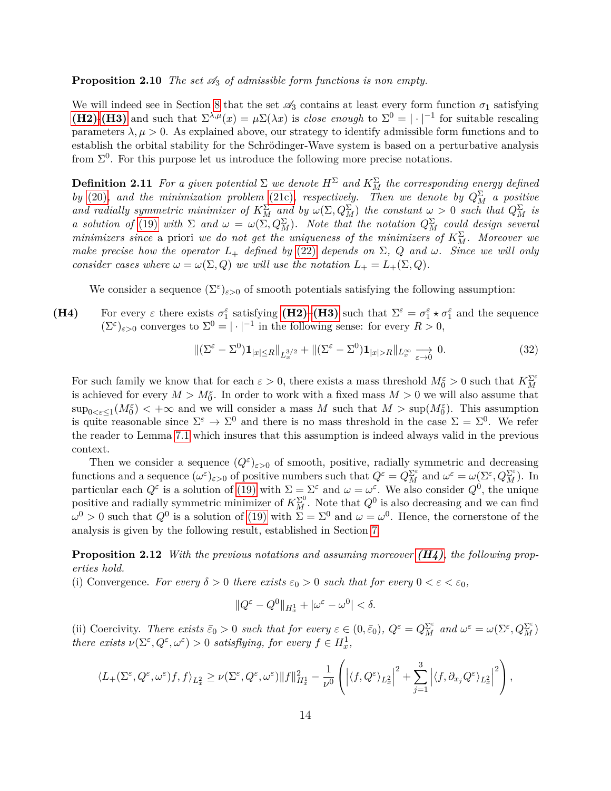**Proposition 2.10** *The set*  $\mathcal{A}_3$  *of admissible form functions is non empty.* 

We will indeed see in Section [8](#page-37-0) that the set  $\mathscr{A}_3$  contains at least every form function  $\sigma_1$  satisfying **[\(H2\)](#page-3-1)-[\(H3\)](#page-7-0)** and such that  $\Sigma^{\lambda,\mu}(x) = \mu \Sigma(\lambda x)$  is *close enough* to  $\Sigma^0 = |\cdot|^{-1}$  for suitable rescaling parameters  $\lambda, \mu > 0$ . As explained above, our strategy to identify admissible form functions and to establish the orbital stability for the Schrödinger-Wave system is based on a perturbative analysis from  $\Sigma^0$ . For this purpose let us introduce the following more precise notations.

<span id="page-13-2"></span>**Definition 2.11** *For a given potential*  $\Sigma$  *we denote*  $H^{\Sigma}$  *and*  $K_M^{\Sigma}$  *the corresponding energy defined by* [\(20\)](#page-7-2)*,* and the minimization problem [\(21c\)](#page-8-0)*,* respectively. Then we denote by  $Q_M^{\Sigma}$  a positive *and radially symmetric minimizer of*  $K_M^{\Sigma}$  *and by*  $\omega(\Sigma, Q_M^{\Sigma})$  *the constant*  $\omega > 0$  *such that*  $Q_M^{\Sigma}$  *is a* solution of [\(19\)](#page-7-1) with  $\Sigma$  and  $\omega = \omega(\Sigma, Q_M^{\Sigma})$ . Note that the notation  $Q_M^{\Sigma}$  could design several *minimizers since* a priori *we do not get the uniqueness of the minimizers of*  $K_M^{\Sigma}$ . Moreover we *make precise how the operator*  $L_+$  *defined by* [\(22\)](#page-9-0) *depends on*  $\Sigma$ ,  $Q$  *and*  $\omega$ *. Since we will only consider cases where*  $\omega = \omega(\Sigma, Q)$  *we will use the notation*  $L_{+} = L_{+}(\Sigma, Q)$ *.* 

<span id="page-13-0"></span>We consider a sequence  $(\Sigma^{\varepsilon})_{\varepsilon>0}$  of smooth potentials satisfying the following assumption:

**(H4)** For every  $\varepsilon$  there exists  $\sigma_1^{\varepsilon}$  satisfying **[\(H2\)](#page-3-1)–<b>[\(H3\)](#page-7-0)** such that  $\Sigma^{\varepsilon} = \sigma_1^{\varepsilon} \star \sigma_1^{\varepsilon}$  and the sequence  $(\Sigma^{\varepsilon})_{\varepsilon>0}$  converges to  $\Sigma^0 = |\cdot|^{-1}$  in the following sense: for every  $R > 0$ ,

<span id="page-13-3"></span>
$$
\|(\Sigma^{\varepsilon} - \Sigma^0)\mathbf{1}_{|x| \le R} \|_{L_x^{3/2}} + \|(\Sigma^{\varepsilon} - \Sigma^0)\mathbf{1}_{|x| > R} \|_{L_x^{\infty}} \underset{\varepsilon \to 0}{\longrightarrow} 0. \tag{32}
$$

For such family we know that for each  $\varepsilon > 0$ , there exists a mass threshold  $M_0^{\varepsilon} > 0$  such that  $K_M^{\Sigma^{\varepsilon}}$ is achieved for every  $M > M_0^{\varepsilon}$ . In order to work with a fixed mass  $M > 0$  we will also assume that  $\sup_{0 \le \varepsilon \le 1} (M_0^{\varepsilon}) < +\infty$  and we will consider a mass M such that  $M > \sup(M_0^{\varepsilon})$ . This assumption is quite reasonable since  $\Sigma^{\varepsilon} \to \Sigma^0$  and there is no mass threshold in the case  $\Sigma = \Sigma^0$ . We refer the reader to Lemma [7.1](#page-32-0) which insures that this assumption is indeed always valid in the previous context.

Then we consider a sequence  $(Q^{\varepsilon})_{\varepsilon>0}$  of smooth, positive, radially symmetric and decreasing functions and a sequence  $(\omega^{\varepsilon})_{\varepsilon>0}$  of positive numbers such that  $Q^{\varepsilon} = Q_M^{\Sigma^{\varepsilon}}$  and  $\omega^{\varepsilon} = \omega(\Sigma^{\varepsilon}, Q_M^{\Sigma^{\varepsilon}})$ . In particular each  $Q^{\varepsilon}$  is a solution of [\(19\)](#page-7-1) with  $\Sigma = \Sigma^{\varepsilon}$  and  $\omega = \omega^{\varepsilon}$ . We also consider  $Q^0$ , the unique positive and radially symmetric minimizer of  $K_M^{\Sigma^0}$ . Note that  $Q^0$  is also decreasing and we can find  $ω<sup>0</sup> > 0$  such that  $Q<sup>0</sup>$  is a solution of [\(19\)](#page-7-1) with  $\Sigma = \Sigma<sup>0</sup>$  and  $ω = ω<sup>0</sup>$ . Hence, the cornerstone of the analysis is given by the following result, established in Section [7.](#page-32-1)

<span id="page-13-1"></span>**Proposition 2.12** *With the previous notations and assuming moreover [\(H4\)](#page-13-0), the following properties hold.*

(i) Convergence. For every  $\delta > 0$  there exists  $\varepsilon_0 > 0$  such that for every  $0 < \varepsilon < \varepsilon_0$ ,

$$
||Q^{\varepsilon}-Q^0||_{H_x^1}+|\omega^{\varepsilon}-\omega^0|<\delta.
$$

(ii) Coercivity. There exists  $\bar{\varepsilon}_0 > 0$  such that for every  $\varepsilon \in (0, \bar{\varepsilon}_0)$ ,  $Q^{\varepsilon} = Q_M^{\Sigma^{\varepsilon}}$  and  $\omega^{\varepsilon} = \omega(\Sigma^{\varepsilon}, Q_M^{\Sigma^{\varepsilon}})$ *there exists*  $\nu(\Sigma^{\varepsilon}, Q^{\varepsilon}, \omega^{\varepsilon}) > 0$  *satisflying, for every*  $f \in H_x^1$ ,

$$
\langle L_{+}(\Sigma^{\varepsilon}, Q^{\varepsilon}, \omega^{\varepsilon})f, f \rangle_{L_{x}^{2}} \geq \nu(\Sigma^{\varepsilon}, Q^{\varepsilon}, \omega^{\varepsilon}) \|f\|_{H_{x}^{1}}^{2} - \frac{1}{\nu^{0}} \left( \left| \langle f, Q^{\varepsilon} \rangle_{L_{x}^{2}} \right|^{2} + \sum_{j=1}^{3} \left| \langle f, \partial_{x_{j}} Q^{\varepsilon} \rangle_{L_{x}^{2}} \right|^{2} \right),
$$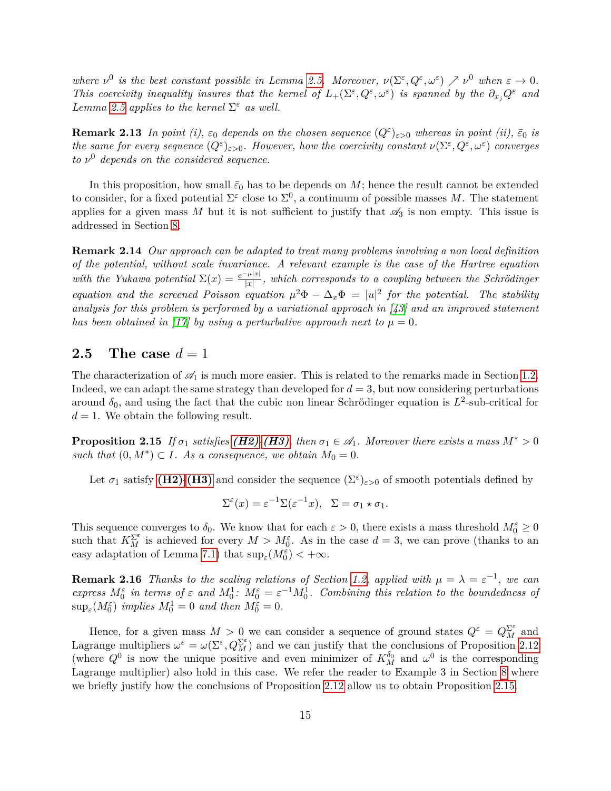*where*  $\nu^0$  *is the best constant possible in Lemma [2.5.](#page-10-3) Moreover,*  $\nu(\Sigma^{\varepsilon}, Q^{\varepsilon}, \omega^{\varepsilon}) \nearrow \nu^0$  *when*  $\varepsilon \to 0$ *. This coercivity inequality insures that the kernel of*  $L_+(\Sigma^{\varepsilon}, Q^{\varepsilon}, \omega^{\varepsilon})$  *is spanned by the*  $\partial_{x_j} Q^{\varepsilon}$  *and Lemma* [2.5](#page-10-3) *applies to the kernel*  $\Sigma^{\varepsilon}$  *as well.* 

**Remark 2.13** *In point* (*i*),  $\varepsilon_0$  *depends on the chosen sequence*  $(Q^{\varepsilon})_{\varepsilon>0}$  *whereas in point* (*ii*),  $\bar{\varepsilon}_0$  *is the same for every sequence*  $(Q^{\varepsilon})_{\varepsilon>0}$ *. However, how the coercivity constant*  $\nu(\Sigma^{\varepsilon}, Q^{\varepsilon}, \omega^{\varepsilon})$  *converges to ν* <sup>0</sup> *depends on the considered sequence.*

In this proposition, how small  $\bar{\varepsilon}_0$  has to be depends on *M*; hence the result cannot be extended to consider, for a fixed potential  $\Sigma^{\varepsilon}$  close to  $\Sigma^{0}$ , a continuum of possible masses M. The statement applies for a given mass M but it is not sufficient to justify that  $\mathscr{A}_3$  is non empty. This issue is addressed in Section [8.](#page-37-0)

**Remark 2.14** *Our approach can be adapted to treat many problems involving a non local definition of the potential, without scale invariance. A relevant example is the case of the Hartree equation with the Yukawa potential*  $\Sigma(x) = \frac{e^{-\mu|x|}}{|x|}$ , which corresponds to a coupling between the Schrödinger *equation and the screened Poisson equation*  $\mu^2 \Phi - \Delta_x \Phi = |u|^2$  for the potential. The stability *analysis for this problem is performed by a variational approach in [\[43\]](#page-58-2) and an improved statement has been obtained in [\[17\]](#page-56-10) by using a perturbative approach next to*  $\mu = 0$ *.* 

#### **2.5** The case  $d=1$

The characterization of  $\mathcal{A}_1$  is much more easier. This is related to the remarks made in Section [1.2.](#page-4-0) Indeed, we can adapt the same strategy than developed for  $d = 3$ , but now considering perturbations around  $\delta_0$ , and using the fact that the cubic non linear Schrödinger equation is  $L^2$ -sub-critical for  $d = 1$ . We obtain the following result.

<span id="page-14-0"></span>**Proposition 2.15** *If*  $\sigma_1$  *satisfies* (*H2*)*-*(*H3*)*,* then  $\sigma_1 \in \mathcal{A}_1$ *. Moreover there exists a mass*  $M^* > 0$ *such that*  $(0, M^*) \subset I$ *. As a consequence, we obtain*  $M_0 = 0$ *.* 

Let  $\sigma_1$  satisfy [\(H2\)](#page-3-1)-[\(H3\)](#page-7-0) and consider the sequence  $(\Sigma^{\varepsilon})_{\varepsilon>0}$  of smooth potentials defined by

$$
\Sigma^{\varepsilon}(x) = \varepsilon^{-1} \Sigma(\varepsilon^{-1} x), \quad \Sigma = \sigma_1 \star \sigma_1.
$$

This sequence converges to  $\delta_0$ . We know that for each  $\varepsilon > 0$ , there exists a mass threshold  $M_0^{\varepsilon} \geq 0$ such that  $K_M^{\Sigma^{\varepsilon}}$  is achieved for every  $M > M_0^{\varepsilon}$ . As in the case  $d = 3$ , we can prove (thanks to an easy adaptation of Lemma [7.1\)](#page-32-0) that  $\sup_{\varepsilon} (M_0^{\varepsilon}) < +\infty$ .

**Remark 2.16** *Thanks to the scaling relations of Section [1.2,](#page-4-0) applied with*  $\mu = \lambda = \varepsilon^{-1}$ , we can *express*  $M_0^{\varepsilon}$  *in terms of*  $\varepsilon$  *and*  $M_0^1$ *:*  $M_0^{\varepsilon} = \varepsilon^{-1} M_0^1$ *. Combining this relation to the boundedness of*  $\sup_{\varepsilon} (M_0^{\varepsilon})$  *implies*  $M_0^1 = 0$  *and then*  $M_0^{\varepsilon} = 0$ *.* 

Hence, for a given mass  $M > 0$  we can consider a sequence of ground states  $Q^{\varepsilon} = Q_M^{\Sigma^{\varepsilon}}$  and Lagrange multipliers  $\omega^{\varepsilon} = \omega(\Sigma^{\varepsilon}, Q_M^{\Sigma^{\varepsilon}})$  and we can justify that the conclusions of Proposition [2.12](#page-13-1) (where  $Q^0$  is now the unique positive and even minimizer of  $K_M^{\delta_0}$  and  $\omega^0$  is the corresponding Lagrange multiplier) also hold in this case. We refer the reader to Example 3 in Section [8](#page-37-0) where we briefly justify how the conclusions of Proposition [2.12](#page-13-1) allow us to obtain Proposition [2.15.](#page-14-0)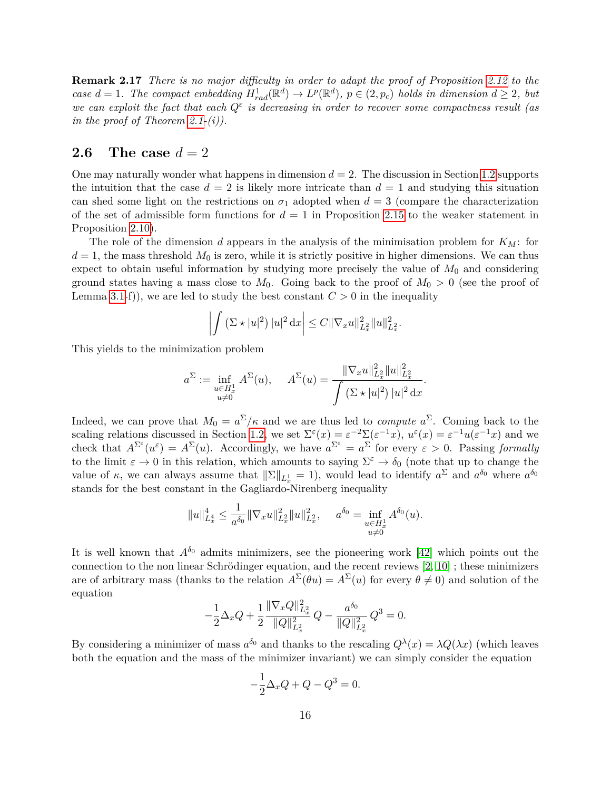**Remark 2.17** *There is no major difficulty in order to adapt the proof of Proposition [2.12](#page-13-1) to the case*  $d = 1$ *. The compact embedding*  $H_{rad}^1(\mathbb{R}^d) \to L^p(\mathbb{R}^d)$ *,*  $p \in (2, p_c)$  holds in dimension  $d \geq 2$ *, but we can exploit the fact that each*  $Q^{\varepsilon}$  *is decreasing in order to recover some compactness result (as in the proof of Theorem [2.1-](#page-8-2)(i)).*

### **2.6** The case  $d=2$

One may naturally wonder what happens in dimension  $d = 2$ . The discussion in Section [1.2](#page-4-0) supports the intuition that the case  $d = 2$  is likely more intricate than  $d = 1$  and studying this situation can shed some light on the restrictions on  $\sigma_1$  adopted when  $d = 3$  (compare the characterization of the set of admissible form functions for  $d = 1$  in Proposition [2.15](#page-14-0) to the weaker statement in Proposition [2.10\)](#page-12-0).

The role of the dimension *d* appears in the analysis of the minimisation problem for *KM*: for  $d = 1$ , the mass threshold  $M_0$  is zero, while it is strictly positive in higher dimensions. We can thus expect to obtain useful information by studying more precisely the value of  $M_0$  and considering ground states having a mass close to  $M_0$ . Going back to the proof of  $M_0 > 0$  (see the proof of Lemma [3.1-](#page-17-1)f)), we are led to study the best constant  $C > 0$  in the inequality

$$
\left| \int \left( \Sigma \star |u|^2 \right) |u|^2 \, \mathrm{d}x \right| \leq C \| \nabla_x u \|_{L_x^2}^2 \| u \|_{L_x^2}^2.
$$

This yields to the minimization problem

$$
a^{\Sigma} := \inf_{\substack{u \in H_x^1 \\ u \neq 0}} A^{\Sigma}(u), \quad A^{\Sigma}(u) = \frac{\|\nabla_x u\|_{L_x^2}^2 \|u\|_{L_x^2}^2}{\int (\Sigma \star |u|^2) |u|^2 dx}.
$$

Indeed, we can prove that  $M_0 = a^{\Sigma}/\kappa$  and we are thus led to *compute*  $a^{\Sigma}$ . Coming back to the scaling relations discussed in Section [1.2,](#page-4-0) we set  $\Sigma^{\varepsilon}(x) = \varepsilon^{-2} \Sigma(\varepsilon^{-1} x)$ ,  $u^{\varepsilon}(x) = \varepsilon^{-1} u(\varepsilon^{-1} x)$  and we check that  $A^{\Sigma^{\varepsilon}}(u^{\varepsilon}) = A^{\Sigma}(u)$ . Accordingly, we have  $a^{\Sigma^{\varepsilon}} = a^{\Sigma}$  for every  $\varepsilon > 0$ . Passing *formally* to the limit  $\varepsilon \to 0$  in this relation, which amounts to saying  $\Sigma^{\varepsilon} \to \delta_0$  (note that up to change the value of *κ*, we can always assume that  $\|\Sigma\|_{L_x^1} = 1$ , would lead to identify  $a^{\Sigma}$  and  $a^{\delta_0}$  where  $a^{\delta_0}$ stands for the best constant in the Gagliardo-Nirenberg inequality

$$
||u||_{L_x^4}^4 \leq \frac{1}{a^{\delta_0}} ||\nabla_x u||_{L_x^2}^2 ||u||_{L_x^2}^2, \quad a^{\delta_0} = \inf_{\substack{u \in H_x^1 \\ u \neq 0}} A^{\delta_0}(u).
$$

It is well known that  $A^{\delta_0}$  admits minimizers, see the pioneering work [\[42\]](#page-58-3) which points out the connection to the non linear Schrödinger equation, and the recent reviews [\[2,](#page-55-3) [10\]](#page-56-11) ; these minimizers are of arbitrary mass (thanks to the relation  $A^{\Sigma}(\theta u) = A^{\Sigma}(u)$  for every  $\theta \neq 0$ ) and solution of the equation

$$
-\frac{1}{2}\Delta_x Q + \frac{1}{2}\frac{\|\nabla_x Q\|_{L_x^2}^2}{\|Q\|_{L_x^2}^2}\,Q - \frac{a^{\delta_0}}{\|Q\|_{L_x^2}^2}\,Q^3 = 0.
$$

By considering a minimizer of mass  $a^{\delta_0}$  and thanks to the rescaling  $Q^{\lambda}(x) = \lambda Q(\lambda x)$  (which leaves both the equation and the mass of the minimizer invariant) we can simply consider the equation

$$
-\frac{1}{2}\Delta_x Q + Q - Q^3 = 0.
$$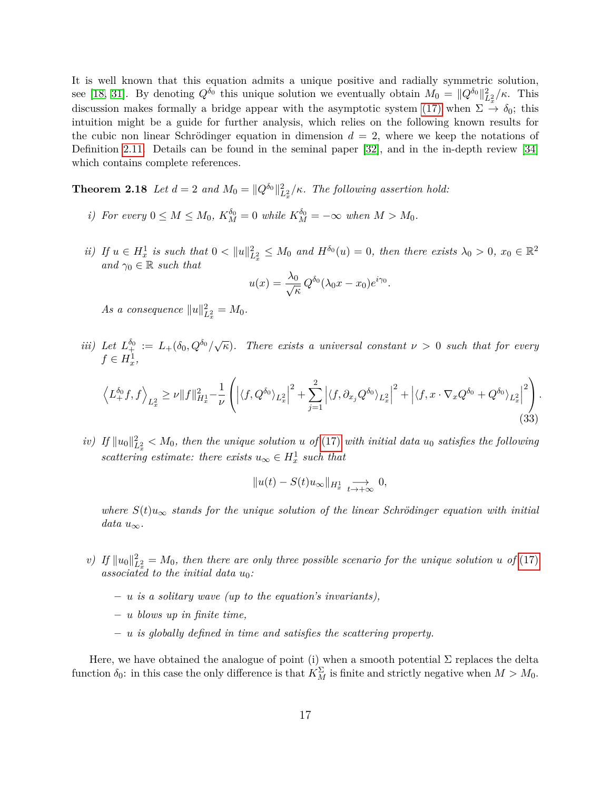It is well known that this equation admits a unique positive and radially symmetric solution, see [\[18,](#page-56-12) [31\]](#page-57-9). By denoting  $Q^{\delta_0}$  this unique solution we eventually obtain  $M_0 = ||Q^{\delta_0}||_{L_x^2}^2/\kappa$ . This discussion makes formally a bridge appear with the asymptotic system [\(17\)](#page-5-0) when  $\Sigma \to \delta_0$ ; this intuition might be a guide for further analysis, which relies on the following known results for the cubic non linear Schrödinger equation in dimension  $d = 2$ , where we keep the notations of Definition [2.11.](#page-13-2) Details can be found in the seminal paper [\[32\]](#page-57-10), and in the in-depth review [\[34\]](#page-57-11) which contains complete references.

**Theorem 2.18** *Let*  $d = 2$  *and*  $M_0 = ||Q^{\delta_0}||^2_{L_x^2}/\kappa$ . The following assertion hold:

- *i*) For every  $0 \le M \le M_0$ ,  $K_M^{\delta_0} = 0$  while  $K_M^{\delta_0} = -\infty$  when  $M > M_0$ .
- ii) If  $u \in H_x^1$  is such that  $0 < ||u||_{L_x^2}^2 \leq M_0$  and  $H^{\delta_0}(u) = 0$ , then there exists  $\lambda_0 > 0$ ,  $x_0 \in \mathbb{R}^2$ *and*  $\gamma_0 \in \mathbb{R}$  *such that*

$$
u(x) = \frac{\lambda_0}{\sqrt{\kappa}} Q^{\delta_0} (\lambda_0 x - x_0) e^{i\gamma_0}.
$$

*As a consequence*  $||u||_{L_x^2}^2 = M_0$ .

*iii)* Let  $L_{+}^{\delta_0} := L_{+}(\delta_0, Q^{\delta_0}/\sqrt{\kappa})$ . There exists a universal constant  $\nu > 0$  such that for every  $f \in H_x^1$ ,

<span id="page-16-0"></span>
$$
\left\langle L_+^{\delta_0}f, f \right\rangle_{L_x^2} \ge \nu \|f\|_{H_x^1}^2 - \frac{1}{\nu} \left( \left| \langle f, Q^{\delta_0} \rangle_{L_x^2} \right|^2 + \sum_{j=1}^2 \left| \langle f, \partial_{x_j} Q^{\delta_0} \rangle_{L_x^2} \right|^2 + \left| \langle f, x \cdot \nabla_x Q^{\delta_0} + Q^{\delta_0} \rangle_{L_x^2} \right|^2 \right). \tag{33}
$$

 $iv)$  *If*  $||u_0||_{L_x^2}^2 < M_0$ , then the unique solution *u* of [\(17\)](#page-5-0) *with initial data*  $u_0$  *satisfies the following scattering estimate: there exists*  $u_{\infty} \in H_x^1$  *such that* 

$$
||u(t) - S(t)u_{\infty}||_{H_x^1} \underset{t \to +\infty}{\longrightarrow} 0,
$$

*where*  $S(t)u_{\infty}$  *stands for the unique solution of the linear Schrödinger equation with initial*  $data u_{\infty}$ .

- *v*) If  $||u_0||_{L_x^2}^2 = M_0$ , then there are only three possible scenario for the unique solution *u* of [\(17\)](#page-5-0) *associated to the initial data u*0*:*
	- **–** *u is a solitary wave (up to the equation's invariants),*
	- **–** *u blows up in finite time,*
	- **–** *u is globally defined in time and satisfies the scattering property.*

Here, we have obtained the analogue of point (i) when a smooth potential  $\Sigma$  replaces the delta function  $\delta_0$ : in this case the only difference is that  $K_M^{\Sigma}$  is finite and strictly negative when  $M > M_0$ .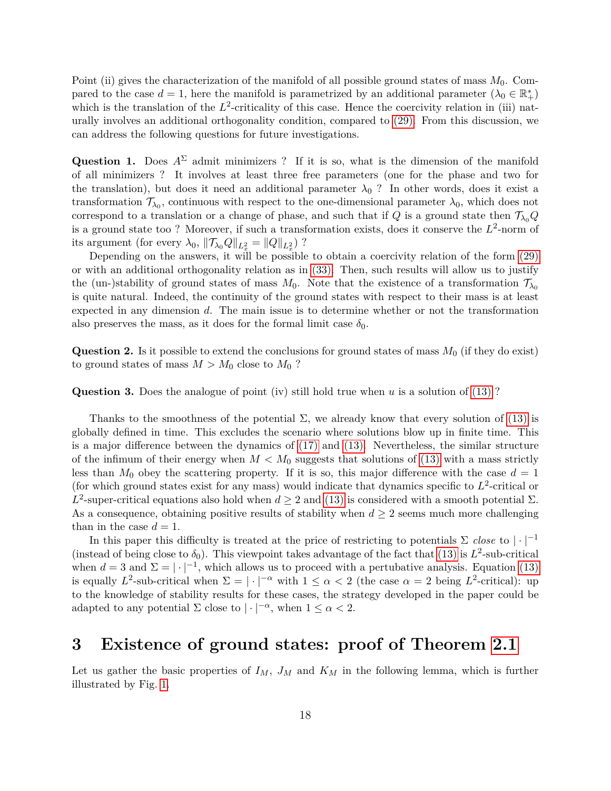Point (ii) gives the characterization of the manifold of all possible ground states of mass *M*0. Compared to the case  $d = 1$ , here the manifold is parametrized by an additional parameter  $(\lambda_0 \in \mathbb{R}^*_+)$ which is the translation of the  $L^2$ -criticality of this case. Hence the coercivity relation in (iii) naturally involves an additional orthogonality condition, compared to [\(29\).](#page-11-1) From this discussion, we can address the following questions for future investigations.

**Question 1.** Does  $A^{\Sigma}$  admit minimizers ? If it is so, what is the dimension of the manifold of all minimizers ? It involves at least three free parameters (one for the phase and two for the translation), but does it need an additional parameter  $\lambda_0$  ? In other words, does it exist a transformation  $\mathcal{T}_{\lambda_0}$ , continuous with respect to the one-dimensional parameter  $\lambda_0$ , which does not correspond to a translation or a change of phase, and such that if *Q* is a ground state then  $\mathcal{T}_{\lambda_0}Q$ is a ground state too? Moreover, if such a transformation exists, does it conserve the  $L^2$ -norm of its argument (for every  $\lambda_0$ ,  $\|\mathcal{T}_{\lambda_0}Q\|_{L_x^2} = \|Q\|_{L_x^2}$ )?

Depending on the answers, it will be possible to obtain a coercivity relation of the form [\(29\)](#page-11-1) or with an additional orthogonality relation as in [\(33\).](#page-16-0) Then, such results will allow us to justify the (un-)stability of ground states of mass  $M_0$ . Note that the existence of a transformation  $\mathcal{T}_{\lambda_0}$ is quite natural. Indeed, the continuity of the ground states with respect to their mass is at least expected in any dimension *d*. The main issue is to determine whether or not the transformation also preserves the mass, as it does for the formal limit case  $\delta_0$ .

**Question 2.** Is it possible to extend the conclusions for ground states of mass *M*<sup>0</sup> (if they do exist) to ground states of mass  $M > M_0$  close to  $M_0$ ?

**Question 3.** Does the analogue of point (iv) still hold true when *u* is a solution of [\(13\)](#page-3-2) ?

Thanks to the smoothness of the potential  $\Sigma$ , we already know that every solution of [\(13\)](#page-3-2) is globally defined in time. This excludes the scenario where solutions blow up in finite time. This is a major difference between the dynamics of [\(17\)](#page-5-0) and [\(13\).](#page-3-2) Nevertheless, the similar structure of the infimum of their energy when  $M < M_0$  suggests that solutions of [\(13\)](#page-3-2) with a mass strictly less than  $M_0$  obey the scattering property. If it is so, this major difference with the case  $d = 1$ (for which ground states exist for any mass) would indicate that dynamics specific to  $L^2$ -critical or *L*<sup>2</sup>-super-critical equations also hold when *d*  $\geq$  2 and [\(13\)](#page-3-2) is considered with a smooth potential Σ. As a consequence, obtaining positive results of stability when  $d \geq 2$  seems much more challenging than in the case  $d = 1$ .

In this paper this difficulty is treated at the price of restricting to potentials  $\Sigma$  *close* to  $|\cdot|^{-1}$ (instead of being close to  $\delta_0$ ). This viewpoint takes advantage of the fact that [\(13\)](#page-3-2) is  $L^2$ -sub-critical when  $d = 3$  and  $\Sigma = |\cdot|^{-1}$ , which allows us to proceed with a pertubative analysis. Equation [\(13\)](#page-3-2) is equally  $L^2$ -sub-critical when  $\Sigma = |\cdot|^{-\alpha}$  with  $1 \leq \alpha < 2$  (the case  $\alpha = 2$  being  $L^2$ -critical): up to the knowledge of stability results for these cases, the strategy developed in the paper could be adapted to any potential  $\Sigma$  close to  $|\cdot|^{-\alpha}$ , when  $1 \leq \alpha < 2$ .

## <span id="page-17-0"></span>**3 Existence of ground states: proof of Theorem [2.1](#page-8-2)**

<span id="page-17-1"></span>Let us gather the basic properties of  $I_M$ ,  $J_M$  and  $K_M$  in the following lemma, which is further illustrated by Fig. [1.](#page-18-0)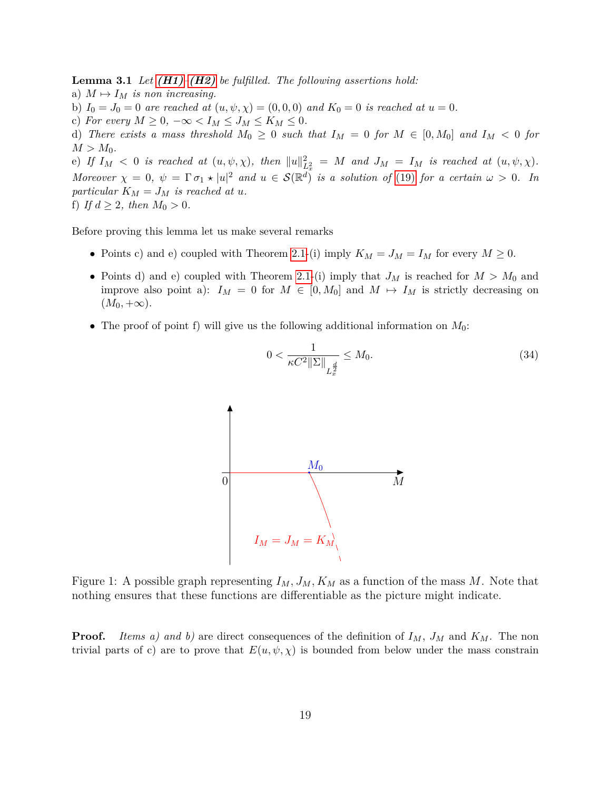**Lemma 3.1** *Let [\(H1\)](#page-3-0)–[\(H2\)](#page-3-1) be fulfilled. The following assertions hold:*

- a)  $M \mapsto I_M$  *is non increasing.*
- b)  $I_0 = J_0 = 0$  *are reached at*  $(u, \psi, \chi) = (0, 0, 0)$  *and*  $K_0 = 0$  *is reached at*  $u = 0$ *.*
- c) For every  $M \geq 0$ ,  $-\infty < I_M \leq J_M \leq K_M \leq 0$ .
- d) *There exists a mass threshold*  $M_0 \geq 0$  *such that*  $I_M = 0$  *for*  $M \in [0, M_0]$  *and*  $I_M < 0$  *for*  $M > M_0$ .

(e) If  $I_M < 0$  is reached at  $(u, \psi, \chi)$ , then  $||u||_{L_x^2}^2 = M$  and  $J_M = I_M$  is reached at  $(u, \psi, \chi)$ . *Moreover*  $\chi = 0$ ,  $\psi = \Gamma \sigma_1 \star |u|^2$  *and*  $u \in \mathcal{S}(\mathbb{R}^d)$  *is a solution of* [\(19\)](#page-7-1) *for a certain*  $\omega > 0$ *. In particular*  $K_M = J_M$  *is reached at u.* f) *If*  $d \geq 2$ *, then*  $M_0 > 0$ *.* 

Before proving this lemma let us make several remarks

- Points c) and e) coupled with Theorem [2.1-](#page-8-2)(i) imply  $K_M = J_M = I_M$  for every  $M \geq 0$ .
- Points d) and e) coupled with Theorem [2.1-](#page-8-2)(i) imply that  $J_M$  is reached for  $M > M_0$  and improve also point a):  $I_M = 0$  for  $M \in [0, M_0]$  and  $M \mapsto I_M$  is strictly decreasing on  $(M_0, +\infty).$
- <span id="page-18-0"></span>• The proof of point f) will give us the following additional information on *M*0:



 $0 < \frac{1}{\sqrt{2^{9/15}}}$  $\kappa C^2 \|\Sigma\|_{L_x^{\frac{d}{2}}}$ *x*  $\leq M_0.$  (34)

Figure 1: A possible graph representing  $I_M$ ,  $J_M$ ,  $K_M$  as a function of the mass M. Note that nothing ensures that these functions are differentiable as the picture might indicate.

**Proof.** *Items a) and b)* are direct consequences of the definition of  $I_M$ ,  $J_M$  and  $K_M$ . The non trivial parts of c) are to prove that  $E(u, \psi, \chi)$  is bounded from below under the mass constrain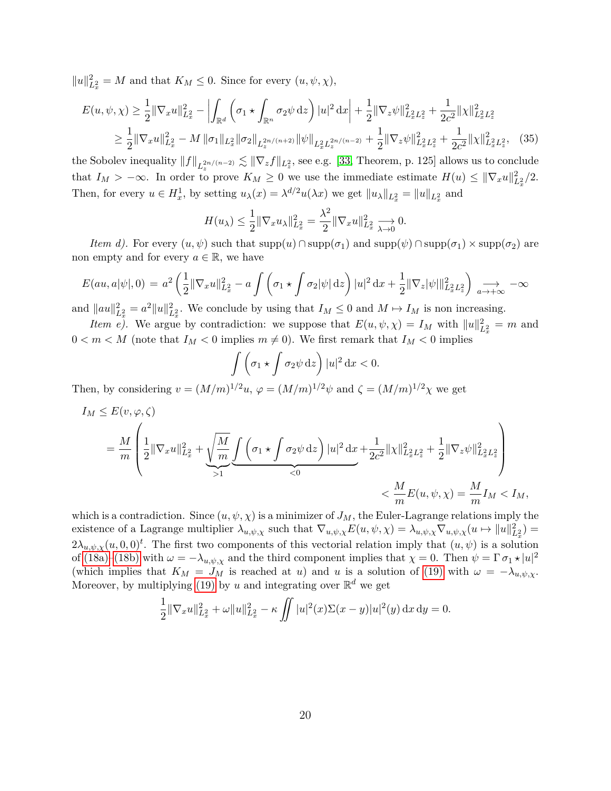$||u||_{L_x^2}^2 = M$  and that  $K_M \leq 0$ . Since for every  $(u, \psi, \chi)$ ,

$$
E(u, \psi, \chi) \ge \frac{1}{2} \|\nabla_x u\|_{L_x^2}^2 - \left| \int_{\mathbb{R}^d} \left( \sigma_1 \star \int_{\mathbb{R}^n} \sigma_2 \psi \, dz \right) |u|^2 \, dx \right| + \frac{1}{2} \|\nabla_z \psi\|_{L_x^2 L_x^2}^2 + \frac{1}{2c^2} \|\chi\|_{L_x^2 L_x^2}^2
$$
  

$$
\ge \frac{1}{2} \|\nabla_x u\|_{L_x^2}^2 - M \|\sigma_1\|_{L_x^2} \|\sigma_2\|_{L_x^{2n/(n+2)}} \|\psi\|_{L_x^2 L_x^{2n/(n-2)}} + \frac{1}{2} \|\nabla_z \psi\|_{L_x^2 L_x^2}^2 + \frac{1}{2c^2} \|\chi\|_{L_x^2 L_x^2}^2, \tag{35}
$$

the Sobolev inequality  $||f||_{L_z^{2n/(n-2)}} \lesssim ||\nabla_z f||_{L_z^2}$ , see e.g. [\[33,](#page-57-12) Theorem, p. 125] allows us to conclude that  $I_M > -\infty$ . In order to prove  $K_M \geq 0$  we use the immediate estimate  $H(u) \leq ||\nabla_x u||^2_{L^2_x}/2$ . Then, for every  $u \in H_x^1$ , by setting  $u_\lambda(x) = \lambda^{d/2} u(\lambda x)$  we get  $||u_\lambda||_{L_x^2} = ||u||_{L_x^2}$  and

<span id="page-19-0"></span>
$$
H(u_{\lambda}) \leq \frac{1}{2} \|\nabla_x u_{\lambda}\|_{L_x^2}^2 = \frac{\lambda^2}{2} \|\nabla_x u\|_{L_x^2}^2 \xrightarrow[\lambda \to 0]{} 0.
$$

*Item d).* For every  $(u, \psi)$  such that  $supp(u) \cap supp(\sigma_1)$  and  $supp(\psi) \cap supp(\sigma_1) \times supp(\sigma_2)$  are non empty and for every  $a \in \mathbb{R}$ , we have

$$
E(au, a|\psi|, 0) = a^2 \left(\frac{1}{2} \|\nabla_x u\|_{L_x^2}^2 - a \int \left(\sigma_1 \star \int \sigma_2 |\psi| \, \mathrm{d}z\right) |u|^2 \, \mathrm{d}x + \frac{1}{2} \|\nabla_z |\psi| \|_{L_x^2 L_z^2}^2\right) \underset{a \to +\infty}{\longrightarrow} -\infty
$$

and  $\|au\|_{L_x^2}^2 = a^2 \|u\|_{L_x^2}^2$ . We conclude by using that  $I_M \leq 0$  and  $M \mapsto I_M$  is non increasing.

*Item e)*. We argue by contradiction: we suppose that  $E(u, \psi, \chi) = I_M$  with  $||u||_{L_x^2}^2 = m$  and  $0 < m < M$  (note that  $I_M < 0$  implies  $m \neq 0$ ). We first remark that  $I_M < 0$  implies

$$
\int \left(\sigma_1 \star \int \sigma_2 \psi \,dz\right) |u|^2 \,dx < 0.
$$

Then, by considering  $v = (M/m)^{1/2}u$ ,  $\varphi = (M/m)^{1/2}\psi$  and  $\zeta = (M/m)^{1/2}\chi$  we get

$$
I_M \leq E(v, \varphi, \zeta)
$$
  
=  $\frac{M}{m} \left( \frac{1}{2} ||\nabla_x u||_{L_x^2}^2 + \underbrace{\sqrt{\frac{M}{m}} \int_{>1}^{\infty} \left( \sigma_1 \star \int \sigma_2 \psi \, dz \right) |u|^2 dx}_{< 0} + \frac{1}{2c^2} ||\chi||_{L_x^2 L_x^2}^2 + \frac{1}{2} ||\nabla_z \psi||_{L_x^2 L_x^2}^2 \right)$   
 $< \frac{M}{m} E(u, \psi, \chi) = \frac{M}{m} I_M < I_M$ ,

which is a contradiction. Since  $(u, \psi, \chi)$  is a minimizer of  $J_M$ , the Euler-Lagrange relations imply the existence of a Lagrange multiplier  $\lambda_{u,\psi,\chi}$  such that  $\nabla_{u,\psi,\chi}E(u,\psi,\chi) = \lambda_{u,\psi,\chi}\nabla_{u,\psi,\chi}(u \mapsto ||u||^2_{L^2_x}) =$  $2\lambda_{u,\psi,\chi}(u,0,0)^t$ . The first two components of this vectorial relation imply that  $(u,\psi)$  is a solution of [\(18a\)](#page-6-0)[–\(18b\)](#page-6-1) with  $\omega = -\lambda_{u,\psi,\chi}$  and the third component implies that  $\chi = 0$ . Then  $\psi = \Gamma \sigma_1 \star |u|^2$ (which implies that  $K_M = J_M$  is reached at *u*) and *u* is a solution of [\(19\)](#page-7-1) with  $\omega = -\lambda_{u,\psi,\chi}$ . Moreover, by multiplying [\(19\)](#page-7-1) by *u* and integrating over  $\mathbb{R}^d$  we get

$$
\frac{1}{2} \|\nabla_x u\|_{L_x^2}^2 + \omega \|u\|_{L_x^2}^2 - \kappa \iint |u|^2(x)\Sigma(x-y)|u|^2(y) \, \mathrm{d}x \, \mathrm{d}y = 0.
$$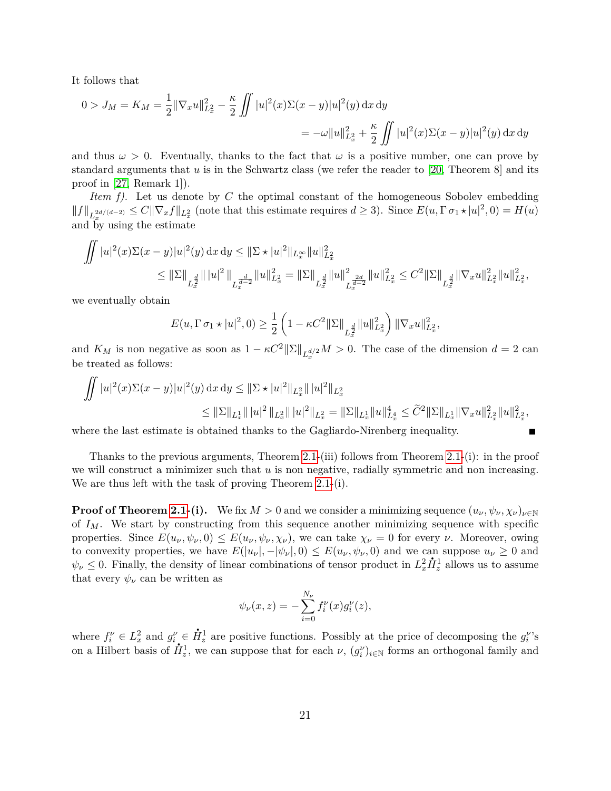It follows that

$$
0 > J_M = K_M = \frac{1}{2} ||\nabla_x u||_{L_x^2}^2 - \frac{\kappa}{2} \iint |u|^2(x) \Sigma(x - y) |u|^2(y) dx dy
$$
  
= 
$$
-\omega ||u||_{L_x^2}^2 + \frac{\kappa}{2} \iint |u|^2(x) \Sigma(x - y) |u|^2(y) dx dy
$$

and thus  $\omega > 0$ . Eventually, thanks to the fact that  $\omega$  is a positive number, one can prove by standard arguments that  $u$  is in the Schwartz class (we refer the reader to [\[20,](#page-56-8) Theorem 8] and its proof in [\[27,](#page-57-3) Remark 1]).

*Item f).* Let us denote by *C* the optimal constant of the homogeneous Sobolev embedding  $||f||_{L_x^{2d/(d-2)}} \leq C||\nabla_x f||_{L_x^2}$  (note that this estimate requires  $d \geq 3$ ). Since  $E(u, \Gamma \sigma_1 \star |u|^2, 0) = H(u)$ and by using the estimate

$$
\iint |u|^2(x)\Sigma(x-y)|u|^2(y) dx dy \leq \|\Sigma \star |u|^2\|_{L_x^{\infty}} \|u\|_{L_x^2}^2
$$
  
\n
$$
\leq \|\Sigma\|_{L_x^{\frac{d}{2}}} \|u\|^2 \|u\|_{L_x^{\frac{d}{d-2}}}^2 \|u\|_{L_x^2}^2 = \|\Sigma\|_{L_x^{\frac{d}{2}}} \|u\|_{L_x^{\frac{2d}{d-2}}}^2 \|u\|_{L_x^2}^2 \leq C^2 \|\Sigma\|_{L_x^{\frac{d}{2}}} \|\nabla_x u\|_{L_x^2}^2 \|u\|_{L_x^2}^2,
$$

we eventually obtain

$$
E(u, \Gamma \sigma_1 \star |u|^2, 0) \ge \frac{1}{2} \left( 1 - \kappa C^2 \|\Sigma\|_{L_x^{\frac{d}{2}}} \|u\|_{L_x^2}^2 \right) \|\nabla_x u\|_{L_x^2}^2,
$$

and  $K_M$  is non negative as soon as  $1 - \kappa C^2 ||\Sigma||_{L_x^{d/2}} M > 0$ . The case of the dimension  $d = 2$  can be treated as follows:

$$
\iint |u|^2(x)\Sigma(x-y)|u|^2(y)\,dx\,dy \leq \|\Sigma \star |u|^2\|_{L_x^2} \|\,|u|^2\|_{L_x^2}
$$
  

$$
\leq \|\Sigma\|_{L_x^1} \|\,|u|^2\,\|_{L_x^2} \|\,|u|^2\|_{L_x^2} = \|\Sigma\|_{L_x^1} \|u\|_{L_x^4}^4 \leq \tilde{C}^2 \|\Sigma\|_{L_x^1} \|\nabla_x u\|_{L_x^2}^2 \|u\|_{L_x^2}^2,
$$

Г

where the last estimate is obtained thanks to the Gagliardo-Nirenberg inequality.

Thanks to the previous arguments, Theorem [2.1-](#page-8-2)(iii) follows from Theorem [2.1-](#page-8-2)(i): in the proof we will construct a minimizer such that *u* is non negative, radially symmetric and non increasing. We are thus left with the task of proving Theorem [2.1-](#page-8-2)(i).

**Proof of Theorem [2.1-](#page-8-2)**(i). We fix  $M > 0$  and we consider a minimizing sequence  $(u_{\nu}, \psi_{\nu}, \chi_{\nu})_{\nu \in \mathbb{N}}$ of *IM*. We start by constructing from this sequence another minimizing sequence with specific properties. Since  $E(u_\nu, \psi_\nu, 0) \leq E(u_\nu, \psi_\nu, \chi_\nu)$ , we can take  $\chi_\nu = 0$  for every  $\nu$ . Moreover, owing to convexity properties, we have  $E(|u_{\nu}|, -|\psi_{\nu}|, 0) \leq E(u_{\nu}, \psi_{\nu}, 0)$  and we can suppose  $u_{\nu} \geq 0$  and  $\psi_{\nu} \leq 0$ . Finally, the density of linear combinations of tensor product in  $L_x^2 \dot{H}_z^1$  allows us to assume that every  $\psi_{\nu}$  can be written as

$$
\psi_{\nu}(x,z) = -\sum_{i=0}^{N_{\nu}} f_i^{\nu}(x) g_i^{\nu}(z),
$$

where  $f_i^{\nu} \in L_x^2$  and  $g_i^{\nu} \in$  $\vec{H}_z^1$  are positive functions. Possibly at the price of decomposing the  $g_i^{\nu}$ 's on a Hilbert basis of  $\dot{H}_z^1$ , we can suppose that for each  $\nu$ ,  $(g_i^{\nu})_{i\in\mathbb{N}}$  forms an orthogonal family and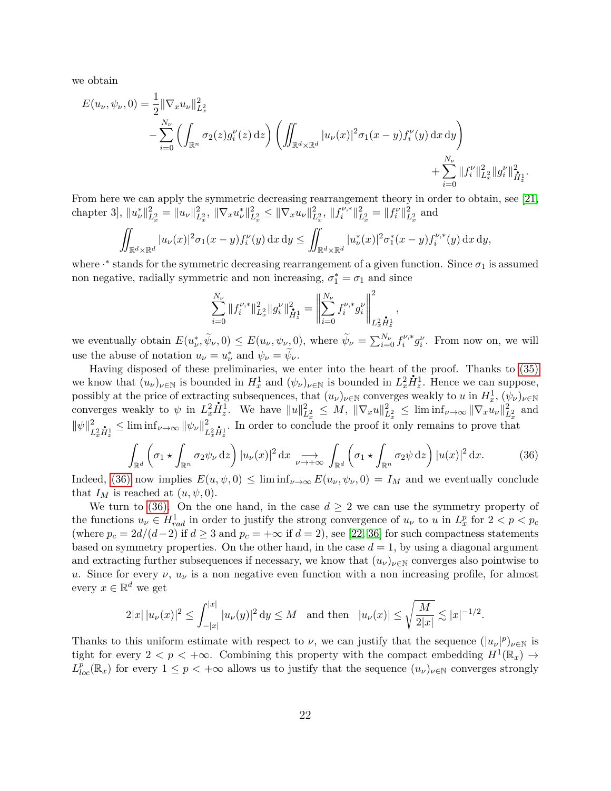we obtain

$$
E(u_{\nu}, \psi_{\nu}, 0) = \frac{1}{2} || \nabla_x u_{\nu} ||_{L_x^2}^2
$$
  
-
$$
\sum_{i=0}^{N_{\nu}} \left( \int_{\mathbb{R}^n} \sigma_2(z) g_i^{\nu}(z) dz \right) \left( \iint_{\mathbb{R}^d \times \mathbb{R}^d} |u_{\nu}(x)|^2 \sigma_1(x - y) f_i^{\nu}(y) dx dy \right)
$$
  
+
$$
\sum_{i=0}^{N_{\nu}} ||f_i^{\nu}||_{L_x^2}^2 ||g_i^{\nu}||_{\dot{H}_x^1}^2.
$$

From here we can apply the symmetric decreasing rearrangement theory in order to obtain, see [\[21,](#page-56-13)  $\langle \text{chapter 3]}, \, \|u^*_{\nu}\|_{L_x^2}^2 = \|u_{\nu}\|_{L_x^2}^2, \, \|\nabla_x u^*_{\nu}\|_{L_x^2}^2 \leq \|\nabla_x u_{\nu}\|_{L_x^2}^2, \, \|f^{\nu,*}_{i}\|_{L_x^2}^2$  $||u^{\nu,*}||_{L_x^2}^2 = ||f_i^{\nu}||_{L_x^2}^2$  and

$$
\iint_{\mathbb{R}^d \times \mathbb{R}^d} |u_{\nu}(x)|^2 \sigma_1(x - y) f_i^{\nu}(y) \,dx \,dy \le \iint_{\mathbb{R}^d \times \mathbb{R}^d} |u_{\nu}^*(x)|^2 \sigma_1^*(x - y) f_i^{\nu,*}(y) \,dx \,dy,
$$

where  $\cdot^*$  stands for the symmetric decreasing rearrangement of a given function. Since  $\sigma_1$  is assumed non negative, radially symmetric and non increasing,  $\sigma_1^* = \sigma_1$  and since

$$
\sum_{i=0}^{N_{\nu}}\|f_i^{\nu,*}\|_{L_x^2}^2\|g_i^{\nu}\|_{\dot{H}_x^1}^2=\left\|\sum_{i=0}^{N_{\nu}}f_i^{\nu,*}g_i^{\nu}\right\|_{L_x^2\dot{H}_x^1}^2,
$$

we eventually obtain  $E(u_{\nu}^*, \widetilde{\psi}_{\nu}, 0) \leq E(u_{\nu}, \psi_{\nu, 0})$ , where  $\widetilde{\psi}_{\nu} = \sum_{i=0}^{N_{\nu}} f_i^{\nu,*}$  $i^{V,*}g_i^V$ . From now on, we will use the abuse of notation  $u_{\nu} = u_{\nu}^*$  and  $\psi_{\nu} = \tilde{\psi}_{\nu}$ .

Having disposed of these preliminaries, we enter into the heart of the proof. Thanks to  $(35)$ we know that  $(u_\nu)_{\nu \in \mathbb{N}}$  is bounded in  $H_x^1$  and  $(\psi_\nu)_{\nu \in \mathbb{N}}$  is bounded in  $L_x^2 \dot{H}_z^1$ . Hence we can suppose, possibly at the price of extracting subsequences, that  $(u_\nu)_{\nu \in \mathbb{N}}$  converges weakly to  $u$  in  $H_x^1$ ,  $(\psi_\nu)_{\nu \in \mathbb{N}}$ converges weakly to  $\psi$  in  $L_x^2 \dot{H}_z^1$ . We have  $||u||_{L_x^2}^2 \leq M$ ,  $||\nabla_x u||_{L_x^2}^2 \leq \liminf_{\nu \to \infty} ||\nabla_x u_{\nu}||_{L_x^2}^2$  and  $\|\psi\|^2$  $\sum_{L_x^2 \dot{H}_x^1}^2 \leq \liminf_{\nu \to \infty} {\|\psi_{\nu}\|}_{L}^2$  $\frac{2}{L_x^2 \dot{H}_x^1}$ . In order to conclude the proof it only remains to prove that

<span id="page-21-0"></span>
$$
\int_{\mathbb{R}^d} \left( \sigma_1 \star \int_{\mathbb{R}^n} \sigma_2 \psi_\nu \, \mathrm{d}z \right) |u_\nu(x)|^2 \, \mathrm{d}x \underset{\nu \to +\infty}{\longrightarrow} \int_{\mathbb{R}^d} \left( \sigma_1 \star \int_{\mathbb{R}^n} \sigma_2 \psi \, \mathrm{d}z \right) |u(x)|^2 \, \mathrm{d}x. \tag{36}
$$

Indeed, [\(36\)](#page-21-0) now implies  $E(u, \psi, 0) \leq \liminf_{\nu \to \infty} E(u_{\nu}, \psi_{\nu}, 0) = I_M$  and we eventually conclude that  $I_M$  is reached at  $(u, \psi, 0)$ .

We turn to [\(36\).](#page-21-0) On the one hand, in the case  $d \geq 2$  we can use the symmetry property of the functions  $u_{\nu} \in H_{rad}^1$  in order to justify the strong convergence of  $u_{\nu}$  to  $u$  in  $L_x^p$  for  $2 < p < p_c$ (where  $p_c = 2d/(d-2)$  if  $d \geq 3$  and  $p_c = +\infty$  if  $d = 2$ ), see [\[22,](#page-56-14) [36\]](#page-57-13) for such compactness statements based on symmetry properties. On the other hand, in the case  $d = 1$ , by using a diagonal argument and extracting further subsequences if necessary, we know that  $(u_\nu)_{\nu \in \mathbb{N}}$  converges also pointwise to *u*. Since for every  $\nu$ ,  $u_{\nu}$  is a non negative even function with a non increasing profile, for almost every  $x \in \mathbb{R}^d$  we get

$$
2|x|\,|u_{\nu}(x)|^2\leq \int_{-|x|}^{|x|}|u_{\nu}(y)|^2\,\mathrm{d}y\leq M\quad\text{and then}\quad |u_{\nu}(x)|\leq \sqrt{\frac{M}{2|x|}}\lesssim |x|^{-1/2}.
$$

Thanks to this uniform estimate with respect to *ν*, we can justify that the sequence  $(|u_\nu|^p)_{\nu \in \mathbb{N}}$  is tight for every  $2 < p < +\infty$ . Combining this property with the compact embedding  $H^1(\mathbb{R}_x) \to$  $L^{\bar{p}}_{loc}(\mathbb{R}_x)$  for every  $1 \leq p < +\infty$  allows us to justify that the sequence  $(u_\nu)_{\nu \in \mathbb{N}}$  converges strongly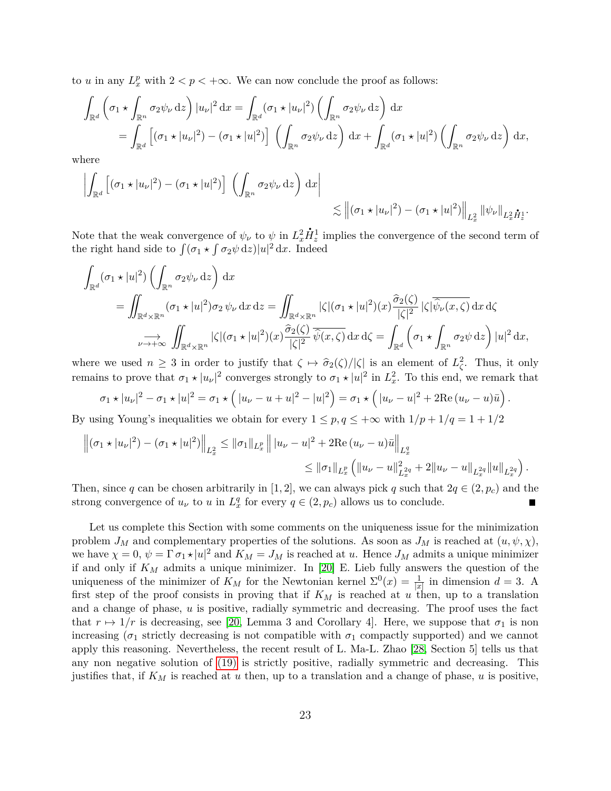to *u* in any  $L_x^p$  with  $2 < p < +\infty$ . We can now conclude the proof as follows:

$$
\int_{\mathbb{R}^d} \left( \sigma_1 \star \int_{\mathbb{R}^n} \sigma_2 \psi_{\nu} \,dz \right) |u_{\nu}|^2 dx = \int_{\mathbb{R}^d} (\sigma_1 \star |u_{\nu}|^2) \left( \int_{\mathbb{R}^n} \sigma_2 \psi_{\nu} \,dz \right) dx
$$
\n
$$
= \int_{\mathbb{R}^d} \left[ (\sigma_1 \star |u_{\nu}|^2) - (\sigma_1 \star |u|^2) \right] \left( \int_{\mathbb{R}^n} \sigma_2 \psi_{\nu} \,dz \right) dx + \int_{\mathbb{R}^d} (\sigma_1 \star |u|^2) \left( \int_{\mathbb{R}^n} \sigma_2 \psi_{\nu} \,dz \right) dx,
$$

where

$$
\left| \int_{\mathbb{R}^d} \left[ (\sigma_1 \star |u_\nu|^2) - (\sigma_1 \star |u|^2) \right] \left( \int_{\mathbb{R}^n} \sigma_2 \psi_\nu \, \mathrm{d}z \right) \, \mathrm{d}x \right| \leq \left\| (\sigma_1 \star |u_\nu|^2) - (\sigma_1 \star |u|^2) \right\|_{L_x^2} \left\| \psi_\nu \right\|_{L_x^2 \dot{H}_x^1}.
$$

Note that the weak convergence of  $\psi_{\nu}$  to  $\psi$  in  $L_x^2$  $\dot{H}_z^1$  implies the convergence of the second term of the right hand side to  $\int (\sigma_1 \star \int \sigma_2 \psi \,dz)|u|^2 dx$ . Indeed

$$
\int_{\mathbb{R}^d} (\sigma_1 \star |u|^2) \left( \int_{\mathbb{R}^n} \sigma_2 \psi_{\nu} dz \right) dx
$$
\n
$$
= \iint_{\mathbb{R}^d \times \mathbb{R}^n} (\sigma_1 \star |u|^2) \sigma_2 \psi_{\nu} dx dz = \iint_{\mathbb{R}^d \times \mathbb{R}^n} |\zeta| (\sigma_1 \star |u|^2) (x) \frac{\widehat{\sigma}_2(\zeta)}{|\zeta|^2} |\zeta| \overline{\widehat{\psi}_{\nu}(x,\zeta)} dx d\zeta
$$
\n
$$
\xrightarrow[\nu \to +\infty]{} \iint_{\mathbb{R}^d \times \mathbb{R}^n} |\zeta| (\sigma_1 \star |u|^2) (x) \frac{\widehat{\sigma}_2(\zeta)}{|\zeta|^2} \overline{\widehat{\psi}(x,\zeta)} dx d\zeta = \int_{\mathbb{R}^d} \left( \sigma_1 \star \int_{\mathbb{R}^n} \sigma_2 \psi dz \right) |u|^2 dx,
$$

where we used  $n \geq 3$  in order to justify that  $\zeta \mapsto \frac{\hat{\sigma}_2(\zeta)}{|\zeta|}$  is an element of  $L^2_{\zeta}$ . Thus, it only remains to prove that  $\sigma_1 \star |u_\nu|^2$  converges strongly to  $\sigma_1 \star |u|^2$  in  $L_x^2$ . To this end, we remark that

$$
\sigma_1 \star |u_{\nu}|^2 - \sigma_1 \star |u|^2 = \sigma_1 \star (|u_{\nu} - u + u|^2 - |u|^2) = \sigma_1 \star (|u_{\nu} - u|^2 + 2 \text{Re} (u_{\nu} - u) \bar{u}).
$$

By using Young's inequalities we obtain for every  $1 \leq p, q \leq +\infty$  with  $1/p + 1/q = 1 + 1/2$ 

$$
\left\| (\sigma_1 \star |u_\nu|^2) - (\sigma_1 \star |u|^2) \right\|_{L_x^2} \leq ||\sigma_1||_{L_x^p} \left\| |u_\nu - u|^2 + 2 \text{Re} (u_\nu - u) \bar{u} \right\|_{L_x^q}
$$
  

$$
\leq ||\sigma_1||_{L_x^p} \left( ||u_\nu - u||_{L_x^{2q}}^2 + 2||u_\nu - u||_{L_x^{2q}}^2 ||u||_{L_x^{2q}} \right).
$$

Then, since *q* can be chosen arbitrarily in [1, 2], we can always pick *q* such that  $2q \in (2, p_c)$  and the strong convergence of  $u_{\nu}$  to  $u$  in  $L_x^q$  for every  $q \in (2, p_c)$  allows us to conclude.

Let us complete this Section with some comments on the uniqueness issue for the minimization problem  $J_M$  and complementary properties of the solutions. As soon as  $J_M$  is reached at  $(u, \psi, \chi)$ , we have  $\chi = 0$ ,  $\psi = \Gamma \sigma_1 \star |u|^2$  and  $K_M = J_M$  is reached at *u*. Hence  $J_M$  admits a unique minimizer if and only if *K<sup>M</sup>* admits a unique minimizer. In [\[20\]](#page-56-8) E. Lieb fully answers the question of the uniqueness of the minimizer of  $K_M$  for the Newtonian kernel  $\Sigma^0(x) = \frac{1}{|x|}$  in dimension  $d = 3$ . A first step of the proof consists in proving that if *K<sup>M</sup>* is reached at *u* then, up to a translation and a change of phase, *u* is positive, radially symmetric and decreasing. The proof uses the fact that  $r \mapsto 1/r$  is decreasing, see [\[20,](#page-56-8) Lemma 3 and Corollary 4]. Here, we suppose that  $\sigma_1$  is non increasing ( $\sigma_1$  strictly decreasing is not compatible with  $\sigma_1$  compactly supported) and we cannot apply this reasoning. Nevertheless, the recent result of L. Ma-L. Zhao [\[28,](#page-57-4) Section 5] tells us that any non negative solution of [\(19\)](#page-7-1) is strictly positive, radially symmetric and decreasing. This justifies that, if *K<sup>M</sup>* is reached at *u* then, up to a translation and a change of phase, *u* is positive,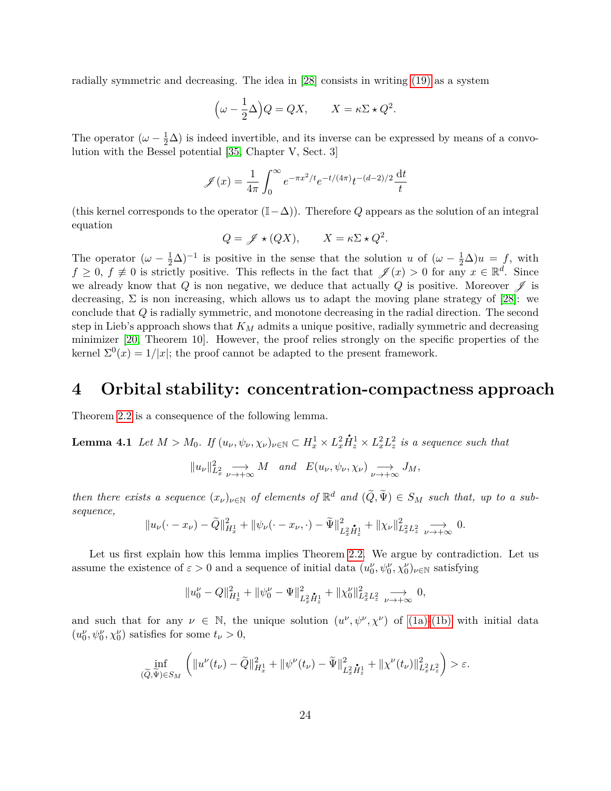radially symmetric and decreasing. The idea in [\[28\]](#page-57-4) consists in writing [\(19\)](#page-7-1) as a system

$$
\left(\omega - \frac{1}{2}\Delta\right)Q = QX, \qquad X = \kappa\Sigma \star Q^2.
$$

The operator  $(\omega - \frac{1}{2}\Delta)$  is indeed invertible, and its inverse can be expressed by means of a convolution with the Bessel potential [\[35,](#page-57-14) Chapter V, Sect. 3]

$$
\mathscr{J}(x) = \frac{1}{4\pi} \int_0^\infty e^{-\pi x^2/t} e^{-t/(4\pi)} t^{-(d-2)/2} \frac{dt}{t}
$$

(this kernel corresponds to the operator (I−∆)). Therefore *Q* appears as the solution of an integral equation

$$
Q = \mathscr{J} \star (QX), \qquad X = \kappa \Sigma \star Q^2.
$$

The operator  $(\omega - \frac{1}{2}\Delta)^{-1}$  is positive in the sense that the solution *u* of  $(\omega - \frac{1}{2}\Delta)u = f$ , with  $f \geq 0$ ,  $f \neq 0$  is strictly positive. This reflects in the fact that  $\mathscr{J}(x) > 0$  for any  $x \in \mathbb{R}^d$ . Since we already know that  $Q$  is non negative, we deduce that actually  $Q$  is positive. Moreover  $\mathscr{J}$  is decreasing,  $\Sigma$  is non increasing, which allows us to adapt the moving plane strategy of [\[28\]](#page-57-4): we conclude that *Q* is radially symmetric, and monotone decreasing in the radial direction. The second step in Lieb's approach shows that *K<sup>M</sup>* admits a unique positive, radially symmetric and decreasing minimizer [\[20,](#page-56-8) Theorem 10]. However, the proof relies strongly on the specific properties of the kernel  $\Sigma^{0}(x) = 1/|x|$ ; the proof cannot be adapted to the present framework.

### <span id="page-23-0"></span>**4 Orbital stability: concentration-compactness approach**

Theorem [2.2](#page-8-1) is a consequence of the following lemma.

<span id="page-23-1"></span>**Lemma 4.1** *Let*  $M > M_0$ *. If*  $(u_{\nu}, \psi_{\nu}, \chi_{\nu})_{\nu \in \mathbb{N}} \subset H_x^1 \times L_x^2$  $\dot{H}_z^1 \times L_x^2 L_z^2$  *is a sequence such that* 

$$
||u_{\nu}||_{L_x^2}^2 \longrightarrow M
$$
 and  $E(u_{\nu}, \psi_{\nu}, \chi_{\nu}) \longrightarrow J_M$ ,

*then there exists a sequence*  $(x_\nu)_{\nu \in \mathbb{N}}$  *of elements of*  $\mathbb{R}^d$  *and*  $(\tilde{Q}, \tilde{\Psi}) \in S_M$  *such that, up to a subsequence,*

$$
||u_{\nu}(\cdot - x_{\nu}) - \tilde{Q}||_{H_x^1}^2 + ||\psi_{\nu}(\cdot - x_{\nu}, \cdot) - \tilde{\Psi}||_{L_x^2 \dot{H}_x^1}^2 + ||\chi_{\nu}||_{L_x^2 L_x^2}^2 \underset{\nu \to +\infty}{\longrightarrow} 0.
$$

Let us first explain how this lemma implies Theorem [2.2.](#page-8-1) We argue by contradiction. Let us assume the existence of  $\varepsilon > 0$  and a sequence of initial data  $(u_0^{\nu}, \psi_0^{\nu}, \chi_0^{\nu})_{\nu \in \mathbb{N}}$  satisfying

$$
||u_0^{\nu}-Q||^2_{H_x^1}+||\psi_0^{\nu}-\Psi||^2_{L_x^2 \mathring{H}^1_z}+||\chi_0^{\nu}||^2_{L_x^2 L_z^2} \underset{\nu \to +\infty}{\longrightarrow} 0,
$$

and such that for any  $\nu \in \mathbb{N}$ , the unique solution  $(u^{\nu}, \psi^{\nu}, \chi^{\nu})$  of [\(1a\)](#page-0-0)[-\(1b\)](#page-0-1) with initial data  $(u_0^{\nu}, \psi_0^{\nu}, \chi_0^{\nu})$  satisfies for some  $t_{\nu} > 0$ ,

$$
\inf_{(\widetilde{Q}, \widetilde{\Psi}) \in S_M} \left( \|u^{\nu}(t_{\nu}) - \widetilde{Q}\|_{H_x^1}^2 + \|\psi^{\nu}(t_{\nu}) - \widetilde{\Psi}\|_{L_x^2 \dot{H}_x^1}^2 + \|\chi^{\nu}(t_{\nu})\|_{L_x^2 L_x^2}^2 \right) > \varepsilon.
$$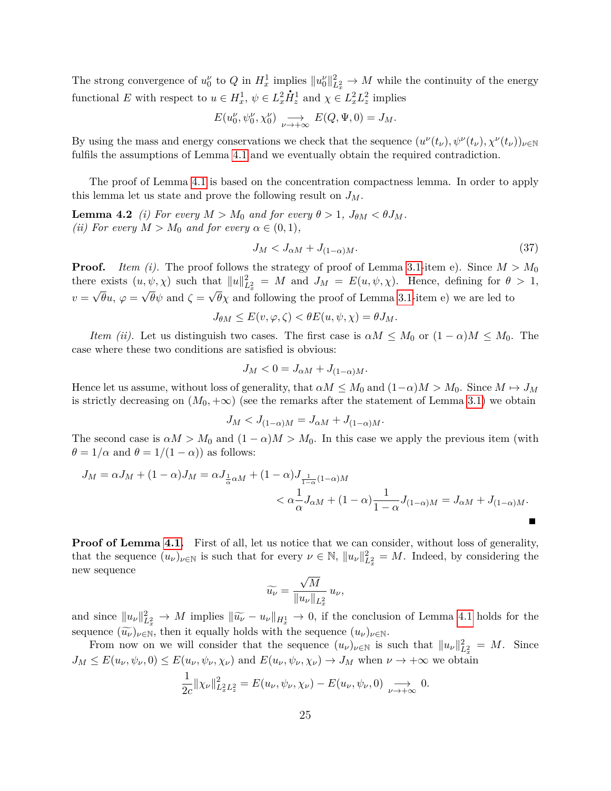The strong convergence of  $u_0^{\nu}$  to  $Q$  in  $H_x^1$  implies  $||u_0^{\nu}||_{L_x^2}^2 \to M$  while the continuity of the energy functional *E* with respect to  $u \in H_x^1$ ,  $\psi \in L_x^2 \dot{H}_z^1$  and  $\chi \in L_x^2 L_z^2$  implies

$$
E(u_0^{\nu}, \psi_0^{\nu}, \chi_0^{\nu}) \underset{\nu \to +\infty}{\longrightarrow} E(Q, \Psi, 0) = J_M.
$$

By using the mass and energy conservations we check that the sequence  $(u^{\nu}(t_{\nu}), \psi^{\nu}(t_{\nu}), \chi^{\nu}(t_{\nu}))_{\nu \in \mathbb{N}}$ fulfils the assumptions of Lemma [4.1](#page-23-1) and we eventually obtain the required contradiction.

The proof of Lemma [4.1](#page-23-1) is based on the concentration compactness lemma. In order to apply this lemma let us state and prove the following result on *JM*.

**Lemma 4.2** *(i)* For every  $M > M_0$  and for every  $\theta > 1$ ,  $J_{\theta M} < \theta J_M$ . *(ii)* For every  $M > M_0$  *and for every*  $\alpha \in (0, 1)$ *,* 

<span id="page-24-0"></span>
$$
J_M < J_{\alpha M} + J_{(1-\alpha)M}.\tag{37}
$$

**Proof.** *Item (i).* The proof follows the strategy of proof of Lemma [3.1-](#page-17-1)item e). Since  $M > M_0$ there exists  $(u, \psi, \chi)$  such that  $||u||_{L_x^2}^2 = M$  and  $J_M = E(u, \psi, \chi)$ . Hence, defining for  $\theta > 1$ ,  $v = \sqrt{\theta}u$ ,  $\varphi = \sqrt{\theta}\psi$  and  $\zeta = \sqrt{\theta}\chi$  and following the proof of Lemma [3.1-](#page-17-1)item e) we are led to

$$
J_{\theta M} \le E(v, \varphi, \zeta) < \theta E(u, \psi, \chi) = \theta J_M.
$$

*Item (ii).* Let us distinguish two cases. The first case is  $\alpha M \leq M_0$  or  $(1 - \alpha)M \leq M_0$ . The case where these two conditions are satisfied is obvious:

$$
J_M < 0 = J_{\alpha M} + J_{(1-\alpha)M}.
$$

Hence let us assume, without loss of generality, that  $\alpha M \leq M_0$  and  $(1-\alpha)M > M_0$ . Since  $M \mapsto J_M$ is strictly decreasing on  $(M_0, +\infty)$  (see the remarks after the statement of Lemma [3.1\)](#page-17-1) we obtain

$$
J_M < J_{(1-\alpha)M} = J_{\alpha M} + J_{(1-\alpha)M}.
$$

The second case is  $\alpha M > M_0$  and  $(1 - \alpha)M > M_0$ . In this case we apply the previous item (with  $\theta = 1/\alpha$  and  $\theta = 1/(1 - \alpha)$  as follows:

$$
J_M = \alpha J_M + (1 - \alpha) J_M = \alpha J_{\frac{1}{\alpha}\alpha M} + (1 - \alpha) J_{\frac{1}{1 - \alpha}(1 - \alpha)M}
$$
  

$$
< \alpha \frac{1}{\alpha} J_{\alpha M} + (1 - \alpha) \frac{1}{1 - \alpha} J_{(1 - \alpha)M} = J_{\alpha M} + J_{(1 - \alpha)M}.
$$

**Proof of Lemma [4.1.](#page-23-1)** First of all, let us notice that we can consider, without loss of generality, that the sequence  $(u_\nu)_{\nu \in \mathbb{N}}$  is such that for every  $\nu \in \mathbb{N}$ ,  $||u_\nu||_{L_x^2}^2 = M$ . Indeed, by considering the new sequence √

$$
\widetilde{u_{\nu}} = \frac{\sqrt{M}}{\|u_{\nu}\|_{L_x^2}} u_{\nu},
$$

and since  $||u_\nu||_{L_x^2}^2 \to M$  implies  $||\widetilde{u_\nu} - u_\nu||_{H_x^1} \to 0$ , if the conclusion of Lemma [4.1](#page-23-1) holds for the sequence  $(\widetilde{u_{\nu}})_{\nu \in \mathbb{N}}$ , then it equally holds with the sequence  $(u_{\nu})_{\nu \in \mathbb{N}}$ .

From now on we will consider that the sequence  $(u_\nu)_{\nu \in \mathbb{N}}$  is such that  $||u_\nu||_{L^2_x}^2 = M$ . Since  $J_M \leq E(u_\nu, \psi_\nu, 0) \leq E(u_\nu, \psi_\nu, \chi_\nu)$  and  $E(u_\nu, \psi_\nu, \chi_\nu) \to J_M$  when  $\nu \to +\infty$  we obtain

$$
\frac{1}{2c}||\chi_{\nu}||_{L_x^2L_z^2}^2 = E(u_{\nu}, \psi_{\nu}, \chi_{\nu}) - E(u_{\nu}, \psi_{\nu}, 0) \underset{\nu \to +\infty}{\longrightarrow} 0.
$$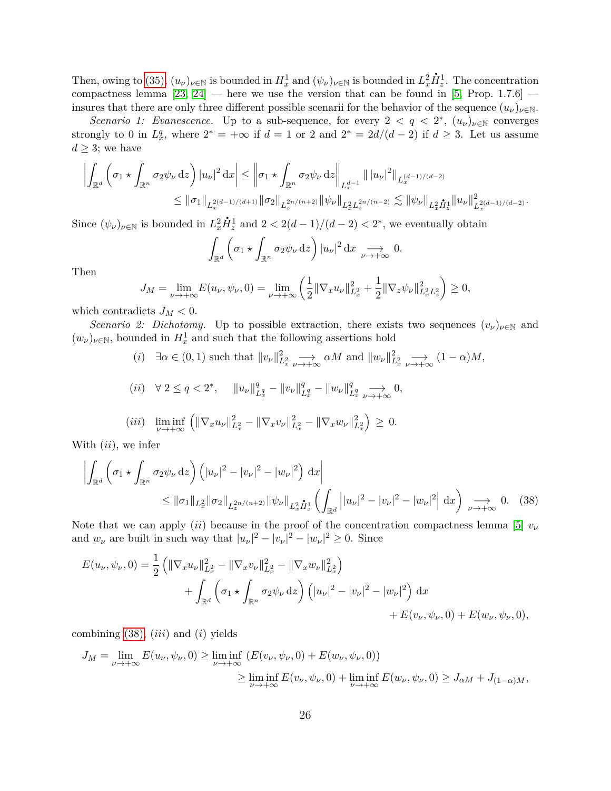Then, owing to [\(35\),](#page-19-0)  $(u_\nu)_{\nu \in \mathbb{N}}$  is bounded in  $H_x^1$  and  $(\psi_\nu)_{\nu \in \mathbb{N}}$  is bounded in  $L_x^2$  $\dot{H}_z^1$ . The concentration compactness lemma  $[23, 24]$  $[23, 24]$  — here we use the version that can be found in [\[5,](#page-55-4) Prop. 1.7.6] insures that there are only three different possible scenarii for the behavior of the sequence  $(u_\nu)_{\nu \in \mathbb{N}}$ .

*Scenario 1: Evanescence.* Up to a sub-sequence, for every  $2 < q < 2^*$ ,  $(u_\nu)_{\nu \in \mathbb{N}}$  converges strongly to 0 in  $L_x^q$ , where  $2^* = +\infty$  if  $d = 1$  or 2 and  $2^* = 2d/(d-2)$  if  $d \ge 3$ . Let us assume  $d \geq 3$ ; we have

$$
\left| \int_{\mathbb{R}^d} \left( \sigma_1 \star \int_{\mathbb{R}^n} \sigma_2 \psi_{\nu} \,dz \right) |u_{\nu}|^2 \,dx \right| \leq \left\| \sigma_1 \star \int_{\mathbb{R}^n} \sigma_2 \psi_{\nu} \,dz \right\|_{L_x^{d-1}} |||u_{\nu}|^2||_{L_x^{(d-1)/(d-2)}} \leq ||\sigma_1||_{L_x^{2(d-1)/(d+1)}} ||\sigma_2||_{L_x^{2n/(n+2)}} ||\psi_{\nu}||_{L_x^2 L_x^{2n/(n-2)}} \lesssim ||\psi_{\nu}||_{L_x^2 \dot{H}_x^{1}} ||u_{\nu}||_{L_x^{2(d-1)/(d-2)}}^2.
$$

Since  $(\psi_{\nu})_{\nu \in \mathbb{N}}$  is bounded in  $L_x^2$  $\dot{H}_z^1$  and  $2 < 2(d-1)/(d-2) < 2^*$ , we eventually obtain

<span id="page-25-0"></span>
$$
\int_{\mathbb{R}^d} \left( \sigma_1 \star \int_{\mathbb{R}^n} \sigma_2 \psi_{\nu} \, \mathrm{d}z \right) |u_{\nu}|^2 \, \mathrm{d}x \underset{\nu \to +\infty}{\longrightarrow} 0.
$$

Then

$$
J_M = \lim_{\nu \to +\infty} E(u_{\nu}, \psi_{\nu}, 0) = \lim_{\nu \to +\infty} \left( \frac{1}{2} \| \nabla_x u_{\nu} \|_{L_x^2}^2 + \frac{1}{2} \| \nabla_z \psi_{\nu} \|_{L_x^2 L_z^2}^2 \right) \ge 0,
$$

which contradicts  $J_M < 0$ .

*Scenario 2: Dichotomy.* Up to possible extraction, there exists two sequences  $(v_{\nu})_{\nu \in \mathbb{N}}$  and  $(w_{\nu})_{\nu \in \mathbb{N}}$ , bounded in  $H_x^1$  and such that the following assertions hold

(i) 
$$
\exists \alpha \in (0, 1)
$$
 such that  $||v_{\nu}||_{L_x^2}^2 \longrightarrow \alpha M$  and  $||w_{\nu}||_{L_x^2}^2 \longrightarrow (1 - \alpha)M$ ,  
\n(ii)  $\forall 2 \le q < 2^*$ ,  $||u_{\nu}||_{L_x^q}^q - ||v_{\nu}||_{L_x^q}^q - ||w_{\nu}||_{L_x^q}^q \longrightarrow 0$ ,  
\n(iii)  $\liminf_{\nu \to +\infty} (||\nabla_x u_{\nu}||_{L_x^2}^2 - ||\nabla_x v_{\nu}||_{L_x^2}^2 - ||\nabla_x w_{\nu}||_{L_x^2}^2) \ge 0$ .

With (*ii*), we infer

$$
\left| \int_{\mathbb{R}^d} \left( \sigma_1 \star \int_{\mathbb{R}^n} \sigma_2 \psi_{\nu} \, dz \right) \left( |u_{\nu}|^2 - |v_{\nu}|^2 - |w_{\nu}|^2 \right) \, dx \right| \leq \|\sigma_1\|_{L_x^2} \|\sigma_2\|_{L_x^{2n/(n+2)}} \|\psi_{\nu}\|_{L_x^2} \dot{H}_x^1 \left( \int_{\mathbb{R}^d} \left| |u_{\nu}|^2 - |v_{\nu}|^2 - |w_{\nu}|^2 \right| \, dx \right) \underset{\nu \to +\infty}{\longrightarrow} 0. \tag{38}
$$

Note that we can apply *(ii)* because in the proof of the concentration compactness lemma [\[5\]](#page-55-4)  $v_{\nu}$ and  $w_{\nu}$  are built in such way that  $|u_{\nu}|^2 - |v_{\nu}|^2 - |w_{\nu}|^2 \ge 0$ . Since

$$
E(u_{\nu}, \psi_{\nu}, 0) = \frac{1}{2} \left( \|\nabla_x u_{\nu}\|_{L_x^2}^2 - \|\nabla_x v_{\nu}\|_{L_x^2}^2 - \|\nabla_x w_{\nu}\|_{L_x^2}^2 \right) + \int_{\mathbb{R}^d} \left( \sigma_1 \star \int_{\mathbb{R}^n} \sigma_2 \psi_{\nu} dz \right) \left( |u_{\nu}|^2 - |v_{\nu}|^2 - |w_{\nu}|^2 \right) dx + E(v_{\nu}, \psi_{\nu}, 0) + E(w_{\nu}, \psi_{\nu}, 0),
$$

combining [\(38\),](#page-25-0) (*iii*) and (*i*) yields

$$
J_M = \lim_{\nu \to +\infty} E(u_{\nu}, \psi_{\nu}, 0) \ge \liminf_{\nu \to +\infty} (E(v_{\nu}, \psi_{\nu}, 0) + E(w_{\nu}, \psi_{\nu}, 0))
$$
  

$$
\ge \liminf_{\nu \to +\infty} E(v_{\nu}, \psi_{\nu}, 0) + \liminf_{\nu \to +\infty} E(w_{\nu}, \psi_{\nu}, 0) \ge J_{\alpha M} + J_{(1-\alpha)M},
$$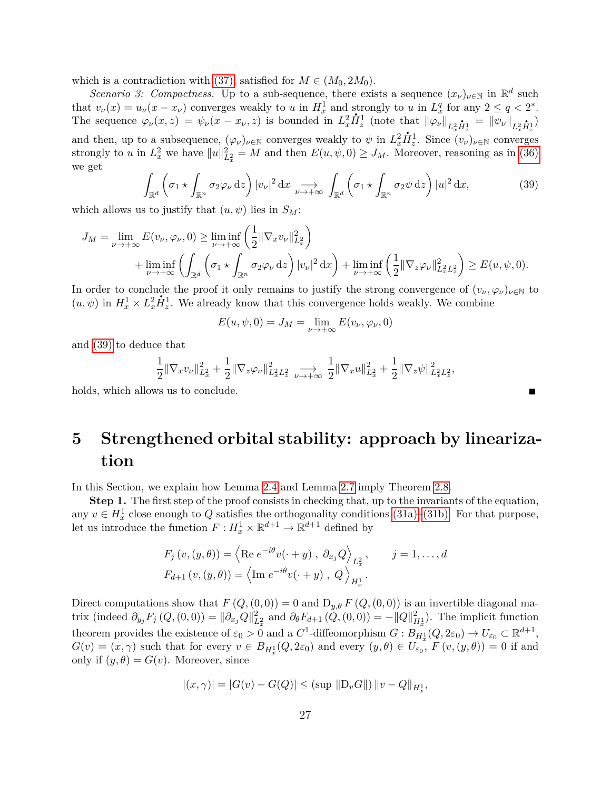which is a contradiction with [\(37\),](#page-24-0) satisfied for  $M \in (M_0, 2M_0)$ .

*Scenario 3: Compactness.* Up to a sub-sequence, there exists a sequence  $(x_{\nu})_{\nu \in \mathbb{N}}$  in  $\mathbb{R}^d$  such that  $v_{\nu}(x) = u_{\nu}(x - x_{\nu})$  converges weakly to *u* in  $H_x^1$  and strongly to *u* in  $L_x^q$  for any  $2 \le q < 2^*$ . The sequence  $\varphi_{\nu}(x, z) = \psi_{\nu}(x - x_{\nu}, z)$  is bounded in  $L_x^2 \dot{H}_z^1$  (note that  $\|\varphi_{\nu}\|_{L_x^2 \dot{H}_z^1} = \|\overline{\psi}_{\nu}\|_{L_x^2 \dot{H}_z^1}$ ) and then, up to a subsequence,  $(\varphi_{\nu})_{\nu \in \mathbb{N}}$  converges weakly to  $\psi$  in  $L_x^2 \dot{H}_z^1$ . Since  $(v_{\nu})_{\nu \in \mathbb{N}}$  converges strongly to *u* in  $L_x^2$  we have  $||u||_{L_x^2}^2 = M$  and then  $E(u, \psi, 0) \ge J_M$ . Moreover, reasoning as in [\(36\)](#page-21-0) we get

<span id="page-26-1"></span>
$$
\int_{\mathbb{R}^d} \left( \sigma_1 \star \int_{\mathbb{R}^n} \sigma_2 \varphi_{\nu} \, \mathrm{d}z \right) |v_{\nu}|^2 \, \mathrm{d}x \underset{\nu \to +\infty}{\longrightarrow} \int_{\mathbb{R}^d} \left( \sigma_1 \star \int_{\mathbb{R}^n} \sigma_2 \psi \, \mathrm{d}z \right) |u|^2 \, \mathrm{d}x,\tag{39}
$$

which allows us to justify that  $(u, \psi)$  lies in  $S_M$ :

$$
J_M = \lim_{\nu \to +\infty} E(v_{\nu}, \varphi_{\nu}, 0) \ge \liminf_{\nu \to +\infty} \left( \frac{1}{2} \| \nabla_x v_{\nu} \|_{L_x^2}^2 \right)
$$
  
+ 
$$
\liminf_{\nu \to +\infty} \left( \int_{\mathbb{R}^d} \left( \sigma_1 \star \int_{\mathbb{R}^n} \sigma_2 \varphi_{\nu} \,dz \right) |v_{\nu}|^2 \,dx \right) + \liminf_{\nu \to +\infty} \left( \frac{1}{2} \| \nabla_z \varphi_{\nu} \|_{L_x^2 L_z^2}^2 \right) \ge E(u, \psi, 0).
$$

In order to conclude the proof it only remains to justify the strong convergence of  $(v_{\nu}, \varphi_{\nu})_{\nu \in \mathbb{N}}$  to  $(v_{\nu}, \varphi_{\nu})_{\nu \in \mathbb{N}}$  to  $(u, \psi)$  in  $H_x^1 \times L_x^2 \dot{H}_z^1$ . We already know that this convergence holds weakly. We combine

$$
E(u, \psi, 0) = J_M = \lim_{\nu \to +\infty} E(v_{\nu}, \varphi_{\nu}, 0)
$$

and [\(39\)](#page-26-1) to deduce that

$$
\frac{1}{2} \|\nabla_x v_\nu\|_{L^2_x}^2 + \frac{1}{2} \|\nabla_z \varphi_\nu\|_{L^2_x L^2_x}^2 \xrightarrow[\nu \to +\infty]{} \frac{1}{2} \|\nabla_x u\|_{L^2_x}^2 + \frac{1}{2} \|\nabla_z \psi\|_{L^2_x L^2_x}^2,
$$

П

holds, which allows us to conclude.

# <span id="page-26-0"></span>**5 Strengthened orbital stability: approach by linearization**

In this Section, we explain how Lemma [2.4](#page-10-4) and Lemma [2.7](#page-11-3) imply Theorem [2.8.](#page-11-0)

**Step 1.** The first step of the proof consists in checking that, up to the invariants of the equation, any  $v \in H_x^1$  close enough to  $Q$  satisfies the orthogonality conditions [\(31a\)–](#page-12-1)[\(31b\).](#page-12-2) For that purpose, let us introduce the function  $F: H_x^1 \times \mathbb{R}^{d+1} \to \mathbb{R}^{d+1}$  defined by

$$
F_j(v, (y, \theta)) = \left\langle \text{Re } e^{-i\theta} v(\cdot + y), \partial_{x_j} Q \right\rangle_{L_x^2}, \qquad j = 1, ..., d
$$
  

$$
F_{d+1}(v, (y, \theta)) = \left\langle \text{Im } e^{-i\theta} v(\cdot + y), Q \right\rangle_{H_x^1}.
$$

Direct computations show that  $F(Q, (0, 0)) = 0$  and  $D_{y,\theta} F(Q, (0, 0))$  is an invertible diagonal matrix (indeed  $\partial_{y_j} F_j(Q, (0,0)) = ||\partial_{x_j} Q||_{L_x^2}^2$  and  $\partial_{\theta} F_{d+1}(Q, (0,0)) = -||Q||_{H_x^1}^2$ ). The implicit function theorem provides the existence of  $\varepsilon_0 > 0$  and a  $C^1$ -diffeomorphism  $G : B_{H_x}^{\mathbb{I}}(Q, 2\varepsilon_0) \to U_{\varepsilon_0} \subset \mathbb{R}^{d+1}$ ,  $G(v) = (x, \gamma)$  such that for every  $v \in B_{H_x^1}(Q, 2\varepsilon_0)$  and every  $(y, \theta) \in U_{\varepsilon_0}$ ,  $F(v, (y, \theta)) = 0$  if and only if  $(y, \theta) = G(v)$ . Moreover, since

$$
|(x, \gamma)| = |G(v) - G(Q)| \leq (\sup \|D_v G\|) \|v - Q\|_{H_x^1},
$$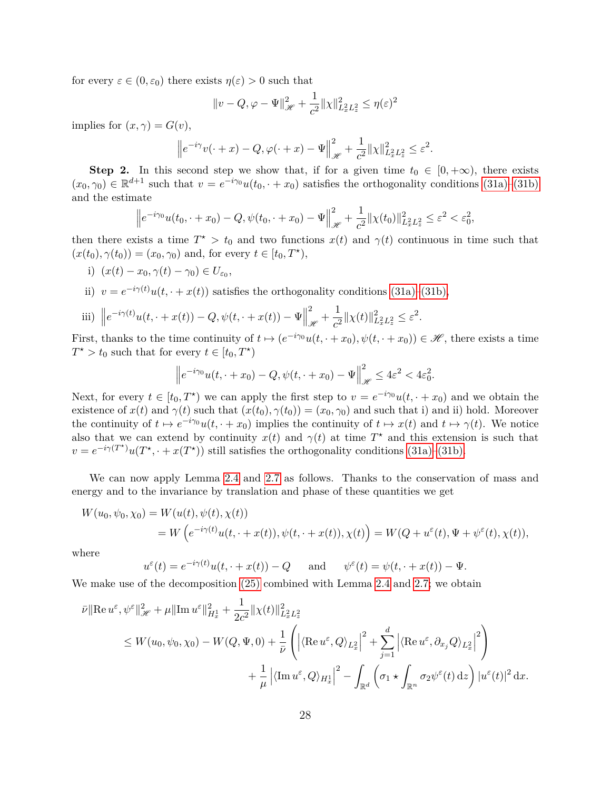for every  $\varepsilon \in (0, \varepsilon_0)$  there exists  $\eta(\varepsilon) > 0$  such that

$$
||v - Q, \varphi - \Psi||_{\mathcal{H}}^2 + \frac{1}{c^2} ||\chi||_{L_x^2 L_z^2}^2 \le \eta(\varepsilon)^2
$$

implies for  $(x, \gamma) = G(v)$ ,

$$
\left\|e^{-i\gamma}v(\cdot+x)-Q,\varphi(\cdot+x)-\Psi\right\|_{\mathscr{H}}^2+\frac{1}{c^2}\|\chi\|_{L^2_xL^2_z}^2\leq\varepsilon^2.
$$

**Step 2.** In this second step we show that, if for a given time  $t_0 \in [0, +\infty)$ , there exists  $(x_0, \gamma_0) \in \mathbb{R}^{d+1}$  such that  $v = e^{-i\gamma_0}u(t_0, \cdot + x_0)$  satisfies the orthogonality conditions [\(31a\)–](#page-12-1)[\(31b\)](#page-12-2) and the estimate

$$
\left\|e^{-i\gamma_0}u(t_0, \cdot+x_0)-Q, \psi(t_0, \cdot+x_0)-\Psi\right\|_{\mathscr{H}}^2+\frac{1}{c^2}\|\chi(t_0)\|_{L_x^2L_z^2}^2\leq \varepsilon^2<\varepsilon_0^2,
$$

then there exists a time  $T^* > t_0$  and two functions  $x(t)$  and  $\gamma(t)$  continuous in time such that  $(x(t_0), \gamma(t_0)) = (x_0, \gamma_0)$  and, for every  $t \in [t_0, T^{\star}),$ 

i)  $(x(t) - x_0, \gamma(t) - \gamma_0) \in U_{\varepsilon_0},$ 

ii)  $v = e^{-i\gamma(t)}u(t, \cdot + x(t))$  satisfies the orthogonality conditions [\(31a\)](#page-12-1)[–\(31b\),](#page-12-2)

iii) 
$$
||e^{-i\gamma(t)}u(t, \cdot + x(t)) - Q, \psi(t, \cdot + x(t)) - \Psi||_{\mathcal{H}}^2 + \frac{1}{c^2}||\chi(t)||_{L_x^2 L_z^2}^2 \leq \varepsilon^2.
$$

First, thanks to the time continuity of  $t \mapsto (e^{-i\gamma_0}u(t, \cdot + x_0), \psi(t, \cdot + x_0)) \in \mathcal{H}$ , there exists a time  $T^* > t_0$  such that for every  $t \in [t_0, T^*)$ 

$$
\left\|e^{-i\gamma_0}u(t,\cdot+x_0)-Q,\psi(t,\cdot+x_0)-\Psi\right\|_{\mathscr{H}}^2\leq 4\varepsilon^2<4\varepsilon_0^2.
$$

Next, for every  $t \in [t_0, T^*)$  we can apply the first step to  $v = e^{-i\gamma_0}u(t, \cdot + x_0)$  and we obtain the existence of  $x(t)$  and  $\gamma(t)$  such that  $(x(t_0), \gamma(t_0)) = (x_0, \gamma_0)$  and such that i) and ii) hold. Moreover the continuity of  $t \mapsto e^{-i\gamma_0}u(t, \cdot + x_0)$  implies the continuity of  $t \mapsto x(t)$  and  $t \mapsto \gamma(t)$ . We notice also that we can extend by continuity  $x(t)$  and  $\gamma(t)$  at time  $T^*$  and this extension is such that  $v = e^{-i\gamma(T^*)}u(T^*, \cdot + x(T^*))$  still satisfies the orthogonality conditions [\(31a\)–](#page-12-1)[\(31b\).](#page-12-2)

We can now apply Lemma [2.4](#page-10-4) and [2.7](#page-11-3) as follows. Thanks to the conservation of mass and energy and to the invariance by translation and phase of these quantities we get

$$
W(u_0, \psi_0, \chi_0) = W(u(t), \psi(t), \chi(t))
$$
  
=  $W(e^{-i\gamma(t)}u(t, \cdot + x(t)), \psi(t, \cdot + x(t)), \chi(t)) = W(Q + u^{\varepsilon}(t), \Psi + \psi^{\varepsilon}(t), \chi(t)),$ 

where

$$
u^{\varepsilon}(t) = e^{-i\gamma(t)}u(t, \cdot + x(t)) - Q
$$
 and  $\psi^{\varepsilon}(t) = \psi(t, \cdot + x(t)) - \Psi$ .

We make use of the decomposition  $(25)$  combined with Lemma [2.4](#page-10-4) and [2.7;](#page-11-3) we obtain

$$
\bar{\nu} \|\text{Re}\,u^{\varepsilon},\psi^{\varepsilon}\|_{\mathscr{H}}^{2} + \mu \|\text{Im}\,u^{\varepsilon}\|_{H_{x}^{1}}^{2} + \frac{1}{2c^{2}}\|\chi(t)\|_{L_{x}^{2}L_{x}^{2}}^{2}
$$
\n
$$
\leq W(u_{0},\psi_{0},\chi_{0}) - W(Q,\Psi,0) + \frac{1}{\bar{\nu}}\left(\left|\langle\text{Re}\,u^{\varepsilon},Q\rangle_{L_{x}^{2}}\right|^{2} + \sum_{j=1}^{d}\left|\langle\text{Re}\,u^{\varepsilon},\partial_{x_{j}}Q\rangle_{L_{x}^{2}}\right|^{2}\right)
$$
\n
$$
+ \frac{1}{\mu}\left|\langle\text{Im}\,u^{\varepsilon},Q\rangle_{H_{x}^{1}}\right|^{2} - \int_{\mathbb{R}^{d}}\left(\sigma_{1}\star\int_{\mathbb{R}^{n}}\sigma_{2}\psi^{\varepsilon}(t)\,\text{d}z\right)|u^{\varepsilon}(t)|^{2}\,\text{d}x.
$$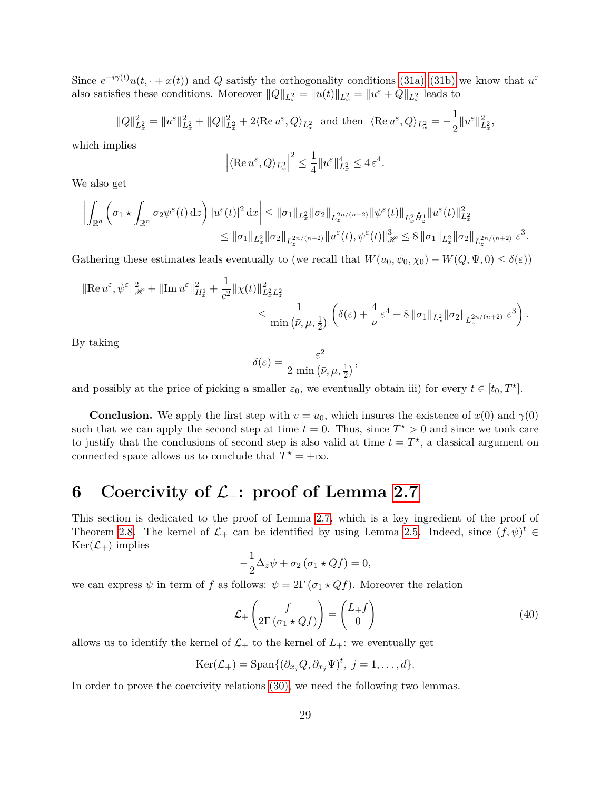Since  $e^{-i\gamma(t)}u(t, \cdot + x(t))$  and *Q* satisfy the orthogonality conditions [\(31a\)](#page-12-1)[–\(31b\)](#page-12-2) we know that  $u^{\varepsilon}$ also satisfies these conditions. Moreover  $||Q||_{L_x^2} = ||u(t)||_{L_x^2} = ||u^{\varepsilon} + Q||_{L_x^2}$  leads to

$$
||Q||_{L_x^2}^2 = ||u^{\varepsilon}||_{L_x^2}^2 + ||Q||_{L_x^2}^2 + 2\langle \text{Re } u^{\varepsilon}, Q \rangle_{L_x^2} \text{ and then } \langle \text{Re } u^{\varepsilon}, Q \rangle_{L_x^2} = -\frac{1}{2}||u^{\varepsilon}||_{L_x^2}^2,
$$

which implies

$$
\left| \langle \operatorname{Re} u^{\varepsilon}, Q \rangle_{L_x^2} \right|^2 \le \frac{1}{4} \| u^{\varepsilon} \|_{L_x^2}^4 \le 4 \, \varepsilon^4.
$$

We also get

$$
\left| \int_{\mathbb{R}^d} \left( \sigma_1 \star \int_{\mathbb{R}^n} \sigma_2 \psi^{\varepsilon}(t) \,dz \right) |u^{\varepsilon}(t)|^2 \,dx \right| \leq \|\sigma_1\|_{L_x^2} \|\sigma_2\|_{L_z^{2n/(n+2)}} \|\psi^{\varepsilon}(t)\|_{L_x^2} \dot{H}_z^1 \|u^{\varepsilon}(t)\|_{L_x^2}^2
$$
  

$$
\leq \|\sigma_1\|_{L_x^2} \|\sigma_2\|_{L_x^{2n/(n+2)}} \|u^{\varepsilon}(t), \psi^{\varepsilon}(t)\|_{\mathcal{H}}^3 \leq 8 \|\sigma_1\|_{L_x^2} \|\sigma_2\|_{L_x^{2n/(n+2)}} \, \varepsilon^3.
$$

Gathering these estimates leads eventually to (we recall that  $W(u_0, \psi_0, \chi_0) - W(Q, \Psi, 0) \le \delta(\varepsilon)$ )

$$
\begin{split} \|\text{Re}\,u^{\varepsilon},\psi^{\varepsilon}\|_{\mathscr{H}}^{2}+\|\text{Im}\,u^{\varepsilon}\|^{2}_{H^{1}_{x}}+\frac{1}{c^{2}}\|\chi(t)\|^{2}_{L^{2}_{x}L^{2}_{x}}\\ &\leq\frac{1}{\min\left(\bar{\nu},\mu,\frac{1}{2}\right)}\left(\delta(\varepsilon)+\frac{4}{\bar{\nu}}\,\varepsilon^{4}+8\,\|\sigma_{1}\|_{L^{2}_{x}}\|\sigma_{2}\|_{L^{2n/(n+2)}_{x}}\,\varepsilon^{3}\right). \end{split}
$$

By taking

$$
\delta(\varepsilon) = \frac{\varepsilon^2}{2 \min(\bar{\nu}, \mu, \frac{1}{2})},
$$

and possibly at the price of picking a smaller  $\varepsilon_0$ , we eventually obtain iii) for every  $t \in [t_0, T^{\star}]$ .

**Conclusion.** We apply the first step with  $v = u_0$ , which insures the existence of  $x(0)$  and  $\gamma(0)$ such that we can apply the second step at time  $t = 0$ . Thus, since  $T^* > 0$  and since we took care to justify that the conclusions of second step is also valid at time  $t = T^*$ , a classical argument on connected space allows us to conclude that  $T^* = +\infty$ .

# **6** Coercivity of  $\mathcal{L}_+$ : proof of Lemma [2.7](#page-11-3)

This section is dedicated to the proof of Lemma [2.7,](#page-11-3) which is a key ingredient of the proof of Theorem [2.8.](#page-11-0) The kernel of  $\mathcal{L}_+$  can be identified by using Lemma [2.5.](#page-10-3) Indeed, since  $(f, \psi)^t \in$  $Ker(\mathcal{L}_+)$  implies

$$
-\frac{1}{2}\Delta_z\psi + \sigma_2(\sigma_1 \star Qf) = 0,
$$

we can express  $\psi$  in term of *f* as follows:  $\psi = 2\Gamma(\sigma_1 \star Qf)$ . Moreover the relation

<span id="page-28-1"></span>
$$
\mathcal{L}_{+}\begin{pmatrix} f \\ 2\Gamma\left(\sigma_{1} \star Qf\right) \end{pmatrix} = \begin{pmatrix} L_{+}f \\ 0 \end{pmatrix} \tag{40}
$$

allows us to identify the kernel of  $\mathcal{L}_+$  to the kernel of  $L_+$ : we eventually get

$$
\operatorname{Ker}(\mathcal{L}_{+})=\operatorname{Span}\{(\partial_{x_j}Q,\partial_{x_j}\Psi)^t, \ j=1,\ldots,d\}.
$$

<span id="page-28-0"></span>In order to prove the coercivity relations [\(30\),](#page-11-4) we need the following two lemmas.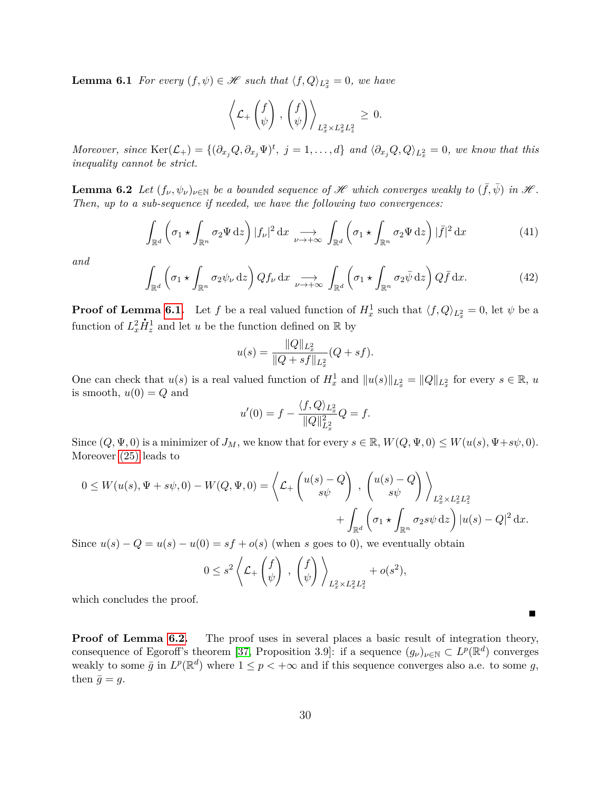**Lemma 6.1** *For every*  $(f, \psi) \in \mathcal{H}$  *such that*  $\langle f, Q \rangle_{L_x^2} = 0$ *, we have* 

$$
\left\langle \mathcal{L}_+\begin{pmatrix} f \\ \psi \end{pmatrix}, \begin{pmatrix} f \\ \psi \end{pmatrix} \right\rangle_{L_x^2 \times L_x^2 L_z^2} \geq 0.
$$

Moreover, since  $\text{Ker}(\mathcal{L}_+) = \{(\partial_{x_j}Q, \partial_{x_j}\Psi)^t, j=1,\ldots,d\}$  and  $\langle \partial_{x_j}Q, Q \rangle_{L_x^2} = 0$ , we know that this *inequality cannot be strict.*

<span id="page-29-0"></span>**Lemma 6.2** *Let*  $(f_\nu, \psi_\nu)_{\nu \in \mathbb{N}}$  *be a bounded sequence of*  $\mathcal{H}$  *which converges weakly to*  $(\bar{f}, \bar{\psi})$  *in*  $\mathcal{H}$ *. Then, up to a sub-sequence if needed, we have the following two convergences:*

<span id="page-29-1"></span>
$$
\int_{\mathbb{R}^d} \left( \sigma_1 \star \int_{\mathbb{R}^n} \sigma_2 \Psi \, dz \right) |f_{\nu}|^2 \, dx \xrightarrow[\nu \to +\infty]{} \int_{\mathbb{R}^d} \left( \sigma_1 \star \int_{\mathbb{R}^n} \sigma_2 \Psi \, dz \right) |{\bar{f}}|^2 \, dx \tag{41}
$$

*and*

<span id="page-29-2"></span>
$$
\int_{\mathbb{R}^d} \left( \sigma_1 \star \int_{\mathbb{R}^n} \sigma_2 \psi_{\nu} \, \mathrm{d}z \right) Q f_{\nu} \, \mathrm{d}x \underset{\nu \to +\infty}{\longrightarrow} \int_{\mathbb{R}^d} \left( \sigma_1 \star \int_{\mathbb{R}^n} \sigma_2 \bar{\psi} \, \mathrm{d}z \right) Q \bar{f} \, \mathrm{d}x. \tag{42}
$$

**Proof of Lemma [6.1.](#page-28-0)** Let *f* be a real valued function of  $H_x^1$  such that  $\langle f, Q \rangle_{L_x^2} = 0$ , let  $\psi$  be a function of  $L_x^2 \dot{H}_z^1$  and let *u* be the function defined on R by

$$
u(s) = \frac{\|Q\|_{L_x^2}}{\|Q + sf\|_{L_x^2}} (Q + sf).
$$

One can check that  $u(s)$  is a real valued function of  $H_x^1$  and  $||u(s)||_{L_x^2} = ||Q||_{L_x^2}$  for every  $s \in \mathbb{R}$ ,  $u$ is smooth,  $u(0) = Q$  and

$$
u'(0) = f - \frac{\langle f, Q \rangle_{L_x^2}}{\|Q\|_{L_x^2}^2} Q = f.
$$

Since  $(Q, \Psi, 0)$  is a minimizer of  $J_M$ , we know that for every  $s \in \mathbb{R}$ ,  $W(Q, \Psi, 0) \leq W(u(s), \Psi + s\psi, 0)$ . Moreover [\(25\)](#page-10-0) leads to

$$
0 \le W(u(s), \Psi + s\psi, 0) - W(Q, \Psi, 0) = \left\langle \mathcal{L}_+ \begin{pmatrix} u(s) - Q \\ s\psi \end{pmatrix}, \begin{pmatrix} u(s) - Q \\ s\psi \end{pmatrix} \right\rangle_{L_x^2 \times L_x^2 L_z^2} + \int_{\mathbb{R}^d} \left( \sigma_1 \star \int_{\mathbb{R}^n} \sigma_2 s\psi \,dz \right) |u(s) - Q|^2 \,dx.
$$

Since  $u(s) - Q = u(s) - u(0) = sf + o(s)$  (when *s* goes to 0), we eventually obtain

$$
0 \leq s^2 \left\langle \mathcal{L}_+ \begin{pmatrix} f \\ \psi \end{pmatrix} , \begin{pmatrix} f \\ \psi \end{pmatrix} \right\rangle_{L^2_x \times L^2_x L^2_z} + o(s^2),
$$

which concludes the proof.

**Proof of Lemma [6.2.](#page-29-0)** The proof uses in several places a basic result of integration theory, consequence of Egoroff's theorem [\[37,](#page-57-15) Proposition 3.9]: if a sequence  $(g_{\nu})_{\nu \in \mathbb{N}} \subset L^p(\mathbb{R}^d)$  converges weakly to some  $\bar{g}$  in  $L^p(\mathbb{R}^d)$  where  $1 \leq p < +\infty$  and if this sequence converges also a.e. to some g, then  $\bar{g} = g$ .

П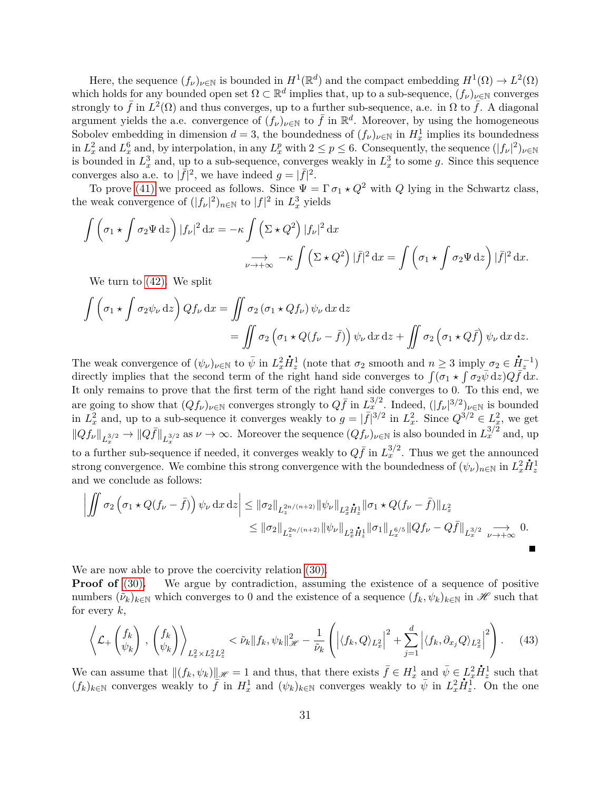Here, the sequence  $(f_\nu)_{\nu \in \mathbb{N}}$  is bounded in  $H^1(\mathbb{R}^d)$  and the compact embedding  $H^1(\Omega) \to L^2(\Omega)$ which holds for any bounded open set  $\Omega \subset \mathbb{R}^d$  implies that, up to a sub-sequence,  $(f_\nu)_{\nu \in \mathbb{N}}$  converges strongly to  $\bar{f}$  in  $L^2(\Omega)$  and thus converges, up to a further sub-sequence, a.e. in  $\Omega$  to  $\bar{f}$ . A diagonal argument yields the a.e. convergence of  $(f_{\nu})_{\nu \in \mathbb{N}}$  to  $\bar{f}$  in  $\mathbb{R}^d$ . Moreover, by using the homogeneous Sobolev embedding in dimension  $d = 3$ , the boundedness of  $(f_{\nu})_{\nu \in \mathbb{N}}$  in  $H_x^1$  implies its boundedness in  $L_x^2$  and  $L_x^6$  and, by interpolation, in any  $L_x^p$  with  $2 \le p \le 6$ . Consequently, the sequence  $(|f_\nu|^2)_{\nu \in \mathbb{N}}$ is bounded in  $L_x^3$  and, up to a sub-sequence, converges weakly in  $L_x^3$  to some g. Since this sequence converges also a.e. to  $|\bar{f}|^2$ , we have indeed  $g = |\bar{f}|^2$ .

To prove [\(41\)](#page-29-1) we proceed as follows. Since  $\Psi = \Gamma \sigma_1 \star Q^2$  with *Q* lying in the Schwartz class, the weak convergence of  $(|f_\nu|^2)_{n \in \mathbb{N}}$  to  $|f|^2$  in  $L^3_x$  yields

$$
\int \left(\sigma_1 \star \int \sigma_2 \Psi \,dz\right) |f_{\nu}|^2 \,dx = -\kappa \int \left(\Sigma \star Q^2\right) |f_{\nu}|^2 \,dx
$$

$$
\xrightarrow[\nu \to +\infty]{} -\kappa \int \left(\Sigma \star Q^2\right) |\bar{f}|^2 \,dx = \int \left(\sigma_1 \star \int \sigma_2 \Psi \,dz\right) |\bar{f}|^2 \,dx.
$$

We turn to [\(42\).](#page-29-2) We split

$$
\int \left( \sigma_1 \star \int \sigma_2 \psi_{\nu} \,dz \right) Qf_{\nu} \,dx = \iint \sigma_2 \left( \sigma_1 \star Qf_{\nu} \right) \psi_{\nu} \,dx \,dz
$$

$$
= \iint \sigma_2 \left( \sigma_1 \star Q(f_{\nu} - \bar{f}) \right) \psi_{\nu} \,dx \,dz + \iint \sigma_2 \left( \sigma_1 \star Q\bar{f} \right) \psi_{\nu} \,dx \,dz.
$$

The weak convergence of  $(\psi_{\nu})_{\nu \in \mathbb{N}}$  to  $\bar{\psi}$  in  $L_x^2$  $\dot{H}_z^1$  (note that  $\sigma_2$  smooth and  $n \geq 3$  imply  $\sigma_2 \in$  $\dot{H}^{-1}_z$ directly implies that the second term of the right hand side converges to  $\int (\sigma_1 \star \int \sigma_2 \bar{\psi} \, dz) Q \bar{f} \, dx$ . It only remains to prove that the first term of the right hand side converges to 0. To this end, we are going to show that  $(Qf_\nu)_{\nu \in \mathbb{N}}$  converges strongly to  $Q\bar{f}$  in  $L_x^{3/2}$ . Indeed,  $(|f_\nu|^{3/2})_{\nu \in \mathbb{N}}$  is bounded in  $L_x^2$  and, up to a sub-sequence it converges weakly to  $g = |\bar{f}|^{3/2}$  in  $L_x^2$ . Since  $Q^{3/2} \in L_x^2$ , we get  $||Qf_{\nu}||_{L_x^{3/2}} \to ||Q\bar{f}||_{L_x^{3/2}}$  as  $\nu \to \infty$ . Moreover the sequence  $(Qf_{\nu})_{\nu \in \mathbb{N}}$  is also bounded in  $L_x^{3/2}$  and, up to a further sub-sequence if needed, it converges weakly to  $Q\bar{f}$  in  $L_x^{3/2}$ . Thus we get the announced strong convergence. We combine this strong convergence with the boundedness of  $(\psi_{\nu})_{n\in\mathbb{N}}$  in  $L_x^2 \dot{H}_z^1$ and we conclude as follows:

$$
\left| \iint \sigma_2 \left( \sigma_1 \star Q(f_\nu - \bar{f}) \right) \psi_\nu \, dx \, dz \right| \leq \left\| \sigma_2 \right\|_{L_z^{2n/(n+2)}} \left\| \psi_\nu \right\|_{L_x^2 \dot{H}_z^1} \left\| \sigma_1 \star Q(f_\nu - \bar{f}) \right\|_{L_x^2} \leq \left\| \sigma_2 \right\|_{L_z^{2n/(n+2)}} \left\| \psi_\nu \right\|_{L_x^2 \dot{H}_z^1} \left\| \sigma_1 \right\|_{L_x^{6/5}} \left\| Qf_\nu - Q\bar{f} \right\|_{L_x^{3/2}} \underset{\nu \to +\infty}{\longrightarrow} 0.
$$

We are now able to prove the coercivity relation [\(30\).](#page-11-4)

**Proof of** [\(30\)](#page-11-4). We argue by contradiction, assuming the existence of a sequence of positive numbers  $(\tilde{\nu}_k)_{k\in\mathbb{N}}$  which converges to 0 and the existence of a sequence  $(f_k, \psi_k)_{k\in\mathbb{N}}$  in  $\mathscr{H}$  such that for every *k*,

<span id="page-30-0"></span>
$$
\left\langle \mathcal{L}_+\left(f_k\atop \psi_k\right), \left(f_k\atop \psi_k\right) \right\rangle_{L_x^2 \times L_x^2 L_z^2} < \tilde{\nu}_k \|f_k, \psi_k\|_{\mathcal{H}}^2 - \frac{1}{\tilde{\nu}_k} \left( \left| \langle f_k, Q \rangle_{L_x^2} \right|^2 + \sum_{j=1}^d \left| \langle f_k, \partial_{x_j} Q \rangle_{L_x^2} \right|^2 \right). \tag{43}
$$

We can assume that  $||(f_k, \psi_k)||_{\mathscr{H}} = 1$  and thus, that there exists  $\bar{f} \in H_x^1$  and  $\bar{\psi} \in L_x^2$  $\dot{H}_{z}^{1}$  such that  $(f_k)_{k\in\mathbb{N}}$  converges weakly to  $\overline{f}$  in  $H_x^1$  and  $(\psi_k)_{k\in\mathbb{N}}$  converges weakly to  $\overline{\psi}$  in  $L_x^2$  $\dot{H}_z^1$ . On the one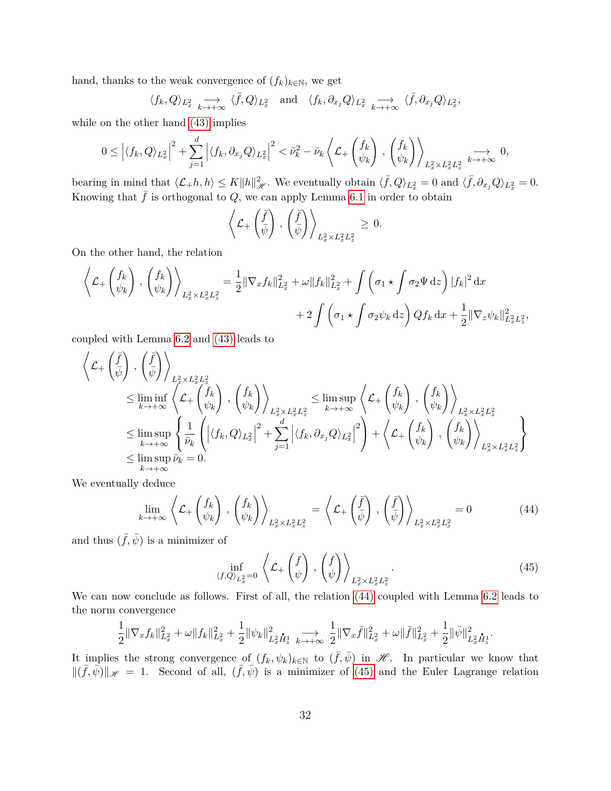hand, thanks to the weak convergence of  $(f_k)_{k\in\mathbb{N}}$ , we get

$$
\langle f_k, Q \rangle_{L_x^2} \longrightarrow \langle \bar{f}, Q \rangle_{L_x^2}
$$
 and  $\langle f_k, \partial_{x_j} Q \rangle_{L_x^2} \longrightarrow \langle \bar{f}, \partial_{x_j} Q \rangle_{L_x^2}$ ,

while on the other hand  $(43)$  implies

$$
0 \le \left| \langle f_k, Q \rangle_{L_x^2} \right|^2 + \sum_{j=1}^d \left| \langle f_k, \partial_{x_j} Q \rangle_{L_x^2} \right|^2 < \bar{\nu}_k^2 - \bar{\nu}_k \left\langle \mathcal{L}_+ \begin{pmatrix} f_k \\ \psi_k \end{pmatrix}, \begin{pmatrix} f_k \\ \psi_k \end{pmatrix} \right\rangle_{L_x^2 \times L_x^2 L_z^2} \xrightarrow{k \to +\infty} 0,
$$

bearing in mind that  $\langle \mathcal{L}_+ h, h \rangle \leq K \|h\|_{\mathcal{H}}^2$ . We eventually obtain  $\langle \bar{f}, Q \rangle_{L_x^2} = 0$  and  $\langle \bar{f}, \partial_{x_j} Q \rangle_{L_x^2} = 0$ . Knowing that  $\bar{f}$  is orthogonal to  $Q$ , we can apply Lemma [6.1](#page-28-0) in order to obtain

$$
\left\langle \mathcal{L}_+\left(\frac{\bar{f}}{\bar{\psi}}\right), \left(\frac{\bar{f}}{\bar{\psi}}\right) \right\rangle_{L_x^2 \times L_x^2 L_z^2} \geq 0.
$$

On the other hand, the relation

$$
\left\langle \mathcal{L}_{+}\left(\begin{matrix} f_{k} \\ \psi_{k} \end{matrix}\right), \left(\begin{matrix} f_{k} \\ \psi_{k} \end{matrix}\right) \right\rangle_{L_{x}^{2} \times L_{x}^{2} L_{z}^{2}} = \frac{1}{2} \|\nabla_{x} f_{k}\|_{L_{x}^{2}}^{2} + \omega \|f_{k}\|_{L_{x}^{2}}^{2} + \int \left(\sigma_{1} \star \int \sigma_{2} \Psi \, \mathrm{d}z\right) |f_{k}|^{2} \, \mathrm{d}x + \frac{1}{2} \|\nabla_{z} \psi_{k}\|_{L_{x}^{2} L_{z}^{2}}^{2},
$$

coupled with Lemma [6.2](#page-29-0) and [\(43\)](#page-30-0) leads to

$$
\left\langle \mathcal{L}_{+}\left(\frac{\bar{f}}{\psi}\right), \left(\frac{\bar{f}}{\psi}\right) \right\rangle_{L_{\tilde{f}}^{2} \times L_{x}^{2} L_{z}^{2}}\n\n\leq \liminf_{k \to +\infty} \left\langle \mathcal{L}_{+}\left(\frac{f_{k}}{\psi_{k}}\right), \left(\frac{f_{k}}{\psi_{k}}\right) \right\rangle_{L_{x}^{2} \times L_{x}^{2} L_{z}^{2}}\n\n\leq \limsup_{k \to +\infty} \left\{ \frac{1}{\bar{\nu}_{k}} \left( \left| \langle f_{k}, Q \rangle_{L_{x}^{2}} \right|^{2} + \sum_{j=1}^{d} \left| \langle f_{k}, \partial_{x_{j}} Q \rangle_{L_{x}^{2}} \right|^{2} \right) + \left\langle \mathcal{L}_{+}\left(\frac{f_{k}}{\psi_{k}}\right), \left(\frac{f_{k}}{\psi_{k}}\right) \right\rangle_{L_{x}^{2} \times L_{x}^{2} L_{z}^{2}}\n\n\leq \limsup_{k \to +\infty} \bar{\nu}_{k} = 0.
$$

We eventually deduce

<span id="page-31-0"></span>
$$
\lim_{k \to +\infty} \left\langle \mathcal{L}_+ \begin{pmatrix} f_k \\ \psi_k \end{pmatrix}, \begin{pmatrix} f_k \\ \psi_k \end{pmatrix} \right\rangle_{L_x^2 \times L_x^2 L_z^2} = \left\langle \mathcal{L}_+ \begin{pmatrix} \bar{f} \\ \bar{\psi} \end{pmatrix}, \begin{pmatrix} \bar{f} \\ \bar{\psi} \end{pmatrix} \right\rangle_{L_x^2 \times L_x^2 L_z^2} = 0 \tag{44}
$$

and thus  $(\bar{f}, \bar{\psi})$  is a minimizer of

<span id="page-31-1"></span>
$$
\inf_{\langle f,Q\rangle_{L_x^2}=0} \left\langle \mathcal{L}_+\left(\begin{matrix}f\\ \psi\end{matrix}\right), \left(\begin{matrix}f\\ \psi\end{matrix}\right) \right\rangle_{L_x^2 \times L_x^2 L_z^2}.
$$
\n(45)

We can now conclude as follows. First of all, the relation [\(44\)](#page-31-0) coupled with Lemma [6.2](#page-29-0) leads to the norm convergence

$$
\frac{1}{2}\|\nabla_x f_k\|_{L^2_x}^2 + \omega \|f_k\|_{L^2_x}^2 + \frac{1}{2}\|\psi_k\|_{L^2_x}\dot H^1_z\underset{k\to +\infty}{\longrightarrow} \frac{1}{2}\|\nabla_x \bar f\|_{L^2_x}^2 + \omega \|\bar f\|_{L^2_x}^2 + \frac{1}{2}\|\bar\psi\|_{L^2_x}^2\dot H^1_z.
$$

It implies the strong convergence of  $(f_k, \psi_k)_{k \in \mathbb{N}}$  to  $(\bar{f}, \bar{\psi})$  in  $\mathscr{H}$ . In particular we know that  $\|(\bar{f}, \bar{\psi})\|_{\mathscr{H}} = 1$ . Second of all,  $(\bar{f}, \bar{\psi})$  is a minimizer of [\(45\)](#page-31-1) and the Euler Lagrange relation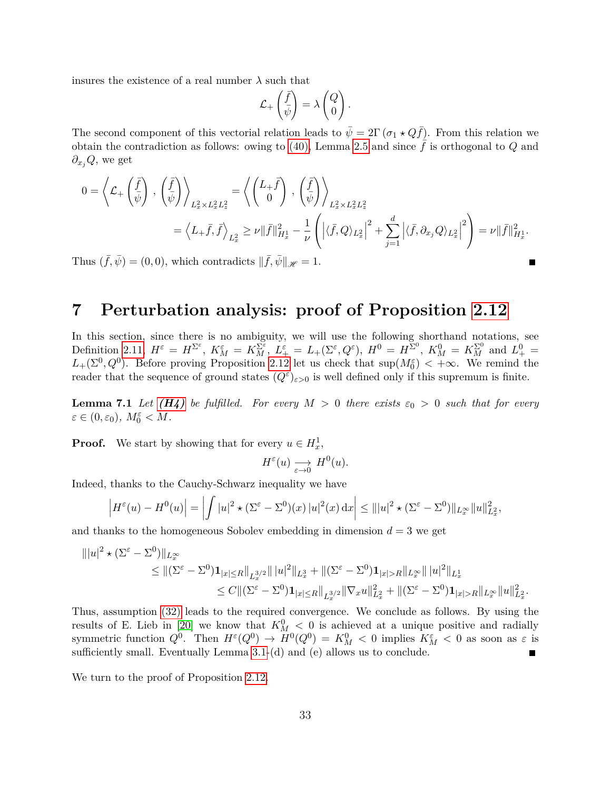insures the existence of a real number  $\lambda$  such that

$$
\mathcal{L}_+\left(\frac{\bar{f}}{\bar{\psi}}\right) = \lambda \begin{pmatrix} Q \\ 0 \end{pmatrix}.
$$

The second component of this vectorial relation leads to  $\bar{\psi} = 2\Gamma(\sigma_1 \star Q\bar{f})$ . From this relation we obtain the contradiction as follows: owing to [\(40\),](#page-28-1) Lemma [2.5](#page-10-3) and since  $\bar{f}$  is orthogonal to *Q* and *∂xjQ*, we get

$$
0 = \left\langle \mathcal{L}_+ \left( \frac{\bar{f}}{\bar{\psi}} \right), \left( \frac{\bar{f}}{\bar{\psi}} \right) \right\rangle_{L_x^2 \times L_x^2 L_z^2} = \left\langle \begin{pmatrix} L_+ \bar{f} \\ 0 \end{pmatrix}, \left( \frac{\bar{f}}{\bar{\psi}} \right) \right\rangle_{L_x^2 \times L_x^2 L_z^2}
$$
  

$$
= \left\langle L_+ \bar{f}, \bar{f} \right\rangle_{L_x^2} \geq \nu ||\bar{f}||_{H_x^1}^2 - \frac{1}{\nu} \left( \left| \langle \bar{f}, Q \rangle_{L_x^2} \right|^2 + \sum_{j=1}^d \left| \langle \bar{f}, \partial_{x_j} Q \rangle_{L_x^2} \right|^2 \right) = \nu ||\bar{f}||_{H_x^1}^2.
$$

Thus  $(\bar{f}, \bar{\psi}) = (0, 0)$ , which contradicts  $\|\bar{f}, \bar{\psi}\|_{\mathscr{H}} = 1$ .

## <span id="page-32-1"></span>**7 Perturbation analysis: proof of Proposition [2.12](#page-13-1)**

In this section, since there is no ambiguity, we will use the following shorthand notations, see Definition [2.11,](#page-13-2)  $H^{\varepsilon} = H^{\Sigma^{\varepsilon}}$ ,  $K_M^{\varepsilon} = K_M^{\Sigma^{\varepsilon}}$ ,  $L_{+}^{\varepsilon} = L_{+}(\Sigma^{\varepsilon}, Q^{\varepsilon})$ ,  $H^0 = H^{\Sigma^0}$ ,  $K_M^0 = K_M^{\Sigma^0}$  and  $L_{+}^0 = L_{+}^{\Sigma^0}$  $L_+(\Sigma^0, Q^0)$ . Before proving Proposition [2.12](#page-13-1) let us check that  $\sup(M_0^{\varepsilon}) < +\infty$ . We remind the reader that the sequence of ground states  $(Q^{\varepsilon})_{\varepsilon>0}$  is well defined only if this supremum is finite.

<span id="page-32-0"></span>**Lemma 7.1** Let  $(H_4)$  be fulfilled. For every  $M > 0$  there exists  $\varepsilon_0 > 0$  such that for every  $\varepsilon \in (0, \varepsilon_0), M_0^{\varepsilon} < M.$ 

**Proof.** We start by showing that for every  $u \in H_x^1$ ,

$$
H^{\varepsilon}(u) \xrightarrow[\varepsilon \to 0]{} H^0(u).
$$

Indeed, thanks to the Cauchy-Schwarz inequality we have

$$
\left|H^{\varepsilon}(u) - H^{0}(u)\right| = \left|\int |u|^{2} \star (\Sigma^{\varepsilon} - \Sigma^{0})(x)) |u|^{2}(x) dx\right| \leq |||u|^{2} \star (\Sigma^{\varepsilon} - \Sigma^{0})||_{L^{\infty}_{x}} ||u||_{L^{2}_{x}}^{2},
$$

and thanks to the homogeneous Sobolev embedding in dimension  $d = 3$  we get

$$
\| |u|^2 \star (\Sigma^{\varepsilon} - \Sigma^0) \|_{L_x^{\infty}} \leq \| (\Sigma^{\varepsilon} - \Sigma^0) \mathbf{1}_{|x| \leq R} \|_{L_x^{3/2}} \| |u|^2 \|_{L_x^3} + \| (\Sigma^{\varepsilon} - \Sigma^0) \mathbf{1}_{|x| > R} \|_{L_x^{\infty}} \| |u|^2 \|_{L_x^1}
$$
  

$$
\leq C \| (\Sigma^{\varepsilon} - \Sigma^0) \mathbf{1}_{|x| \leq R} \|_{L_x^{3/2}} \| \nabla_x u \|_{L_x^2}^2 + \| (\Sigma^{\varepsilon} - \Sigma^0) \mathbf{1}_{|x| > R} \|_{L_x^{\infty}} \| u \|_{L_x^2}^2.
$$

Thus, assumption [\(32\)](#page-13-3) leads to the required convergence. We conclude as follows. By using the results of E. Lieb in [\[20\]](#page-56-8) we know that  $K_M^0$  < 0 is achieved at a unique positive and radially symmetric function  $Q^0$ . Then  $H^{\varepsilon}(Q^0) \to H^0(Q^0) = K_M^0 < 0$  implies  $K_M^{\varepsilon} < 0$  as soon as  $\varepsilon$  is sufficiently small. Eventually Lemma [3.1-](#page-17-1)(d) and (e) allows us to conclude.  $\blacksquare$ 

We turn to the proof of Proposition [2.12.](#page-13-1)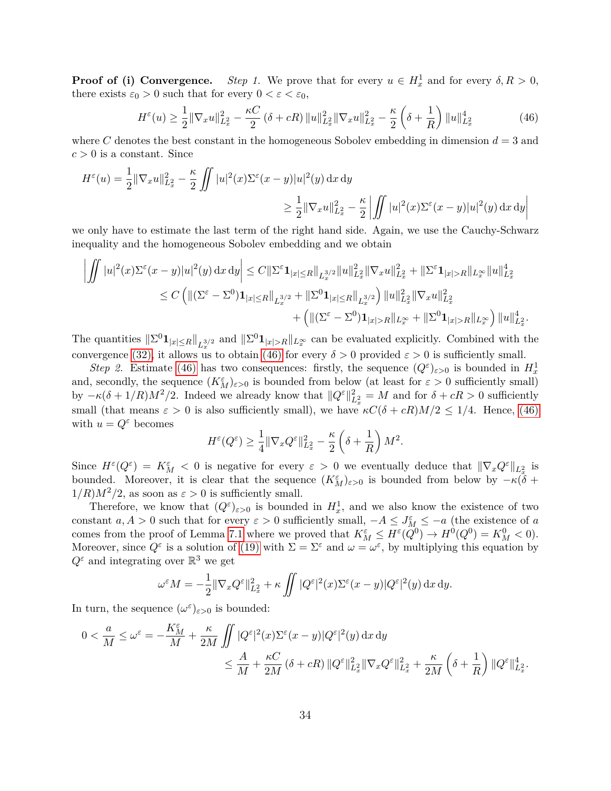**Proof of (i) Convergence.** *Step 1*. We prove that for every  $u \in H_x^1$  and for every  $\delta, R > 0$ , there exists  $\varepsilon_0 > 0$  such that for every  $0 < \varepsilon < \varepsilon_0$ ,

<span id="page-33-0"></span>
$$
H^{\varepsilon}(u) \ge \frac{1}{2} \|\nabla_x u\|_{L^2_x}^2 - \frac{\kappa C}{2} (\delta + cR) \|u\|_{L^2_x}^2 \|\nabla_x u\|_{L^2_x}^2 - \frac{\kappa}{2} (\delta + \frac{1}{R}) \|u\|_{L^2_x}^4 \tag{46}
$$

where *C* denotes the best constant in the homogeneous Sobolev embedding in dimension  $d = 3$  and  $c > 0$  is a constant. Since

$$
H^{\varepsilon}(u) = \frac{1}{2} \|\nabla_x u\|_{L^2_x}^2 - \frac{\kappa}{2} \iint |u|^2(x) \Sigma^{\varepsilon}(x-y)|u|^2(y) dx dy
$$
  

$$
\geq \frac{1}{2} \|\nabla_x u\|_{L^2_x}^2 - \frac{\kappa}{2} \left| \iint |u|^2(x) \Sigma^{\varepsilon}(x-y)|u|^2(y) dx dy \right|
$$

we only have to estimate the last term of the right hand side. Again, we use the Cauchy-Schwarz inequality and the homogeneous Sobolev embedding and we obtain

$$
\left| \iint |u|^2(x) \Sigma^{\varepsilon} (x - y) |u|^2(y) \, dx \, dy \right| \leq C \|\Sigma^{\varepsilon} \mathbf{1}_{|x| \leq R} \|_{L_x^{3/2}} \|u\|_{L_x^2}^2 \|\nabla_x u\|_{L_x^2}^2 + \|\Sigma^{\varepsilon} \mathbf{1}_{|x| > R} \|_{L_x^{\infty}} \|u\|_{L_x^2}^4
$$
  

$$
\leq C \left( \| (\Sigma^{\varepsilon} - \Sigma^0) \mathbf{1}_{|x| \leq R} \|_{L_x^{3/2}} + \|\Sigma^0 \mathbf{1}_{|x| \leq R} \|_{L_x^{3/2}} \right) \|u\|_{L_x^2}^2 \|\nabla_x u\|_{L_x^2}^2
$$
  

$$
+ \left( \| (\Sigma^{\varepsilon} - \Sigma^0) \mathbf{1}_{|x| > R} \|_{L_x^{\infty}} + \|\Sigma^0 \mathbf{1}_{|x| > R} \|_{L_x^{\infty}} \right) \|u\|_{L_x^2}^4.
$$

The quantities  $||\Sigma^0 \mathbf{1}_{|x|\leq R}||_{L^{3/2}_x}$  and  $||\Sigma^0 \mathbf{1}_{|x|>R}||_{L^\infty_x}$  can be evaluated explicitly. Combined with the convergence [\(32\),](#page-13-3) it allows us to obtain [\(46\)](#page-33-0) for every  $\delta > 0$  provided  $\varepsilon > 0$  is sufficiently small.

*Step 2.* Estimate [\(46\)](#page-33-0) has two consequences: firstly, the sequence  $(Q^{\varepsilon})_{\varepsilon>0}$  is bounded in  $H_x^1$ and, secondly, the sequence  $(K_M^{\varepsilon})_{\varepsilon>0}$  is bounded from below (at least for  $\varepsilon>0$  sufficiently small) by  $-\kappa(\delta + 1/R)M^2/2$ . Indeed we already know that  $||Q^{\varepsilon}||_{L_x^2}^2 = M$  and for  $\delta + cR > 0$  sufficiently small (that means  $\varepsilon > 0$  is also sufficiently small), we have  $\kappa C(\delta + cR)M/2 \leq 1/4$ . Hence, [\(46\)](#page-33-0) with  $u = Q^{\varepsilon}$  becomes

$$
H^{\varepsilon}(Q^{\varepsilon}) \ge \frac{1}{4} \|\nabla_x Q^{\varepsilon}\|_{L_x^2}^2 - \frac{\kappa}{2} \left(\delta + \frac{1}{R}\right) M^2.
$$

Since  $H^{\varepsilon}(Q^{\varepsilon}) = K_M^{\varepsilon} < 0$  is negative for every  $\varepsilon > 0$  we eventually deduce that  $\|\nabla_x Q^{\varepsilon}\|_{L_x^2}$  is bounded. Moreover, it is clear that the sequence  $(K_M^{\varepsilon})_{\varepsilon>0}$  is bounded from below by  $-\kappa(\tilde{\delta} + \tilde{\delta})$  $1/R$ ) $M^2/2$ , as soon as  $\varepsilon > 0$  is sufficiently small.

Therefore, we know that  $(Q^{\varepsilon})_{\varepsilon>0}$  is bounded in  $H_x^1$ , and we also know the existence of two constant  $a, A > 0$  such that for every  $\varepsilon > 0$  sufficiently small,  $-A \leq J_M^{\varepsilon} \leq -a$  (the existence of *a* comes from the proof of Lemma [7.1](#page-32-0) where we proved that  $K_M^{\varepsilon} \leq H^{\varepsilon}(Q^0) \to H^0(Q^0) = K_M^0 < 0$ . Moreover, since  $Q^{\varepsilon}$  is a solution of [\(19\)](#page-7-1) with  $\Sigma = \Sigma^{\varepsilon}$  and  $\omega = \omega^{\varepsilon}$ , by multiplying this equation by  $Q^{\varepsilon}$  and integrating over  $\mathbb{R}^3$  we get

$$
\omega^{\varepsilon} M = -\frac{1}{2} \|\nabla_x Q^{\varepsilon}\|_{L_x^2}^2 + \kappa \iint |Q^{\varepsilon}|^2(x) \Sigma^{\varepsilon} (x - y) |Q^{\varepsilon}|^2(y) dx dy.
$$

In turn, the sequence  $(\omega^{\varepsilon})_{\varepsilon>0}$  is bounded:

$$
\begin{aligned} 0 &< \frac{a}{M} \le \omega^{\varepsilon} = -\frac{K_M^{\varepsilon}}{M} + \frac{\kappa}{2M} \iint |Q^{\varepsilon}|^2(x) \Sigma^{\varepsilon}(x-y) |Q^{\varepsilon}|^2(y) \, \mathrm{d}x \, \mathrm{d}y \\ &\le \frac{A}{M} + \frac{\kappa C}{2M} \left(\delta + cR\right) \|Q^{\varepsilon}\|_{L_x^2}^2 \|\nabla_x Q^{\varepsilon}\|_{L_x^2}^2 + \frac{\kappa}{2M} \left(\delta + \frac{1}{R}\right) \|Q^{\varepsilon}\|_{L_x^2}^4. \end{aligned}
$$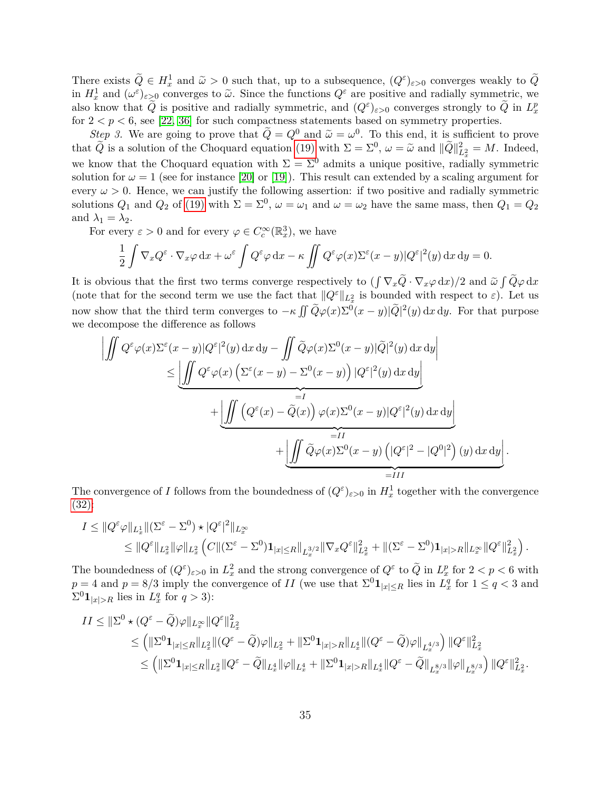There exists  $\widetilde{Q} \in H_x^1$  and  $\widetilde{\omega} > 0$  such that, up to a subsequence,  $(Q^{\varepsilon})_{\varepsilon > 0}$  converges weakly to  $\widetilde{Q}$ in  $H_x^1$  and  $(\omega^{\varepsilon})_{\varepsilon>0}$  converges to  $\tilde{\omega}$ . Since the functions  $Q^{\varepsilon}$  are positive and radially symmetric, we also know that  $\tilde{Q}$  is positive and radially symmetric, and  $(Q^{\varepsilon})_{\varepsilon>0}$  converges strongly to  $\tilde{Q}$  in  $L_x^p$ for  $2 < p < 6$ , see [\[22,](#page-56-14) [36\]](#page-57-13) for such compactness statements based on symmetry properties.

*Step 3.* We are going to prove that  $\widetilde{Q} = Q^0$  and  $\widetilde{\omega} = \omega^0$ . To this end, it is sufficient to prove that  $\widetilde{Q}$  is a solution of the Choquard equation [\(19\)](#page-7-1) with  $\Sigma = \Sigma^0$ ,  $\omega = \widetilde{\omega}$  and  $\|\widetilde{Q}\|^2_{L^2_x} = M$ . Indeed, we know that the Choquard equation with  $\Sigma = \Sigma^0$  admits a unique positive, radially symmetric solution for  $\omega = 1$  (see for instance [\[20\]](#page-56-8) or [\[19\]](#page-56-7)). This result can extended by a scaling argument for every  $\omega > 0$ . Hence, we can justify the following assertion: if two positive and radially symmetric solutions  $Q_1$  and  $Q_2$  of [\(19\)](#page-7-1) with  $\Sigma = \Sigma^0$ ,  $\omega = \omega_1$  and  $\omega = \omega_2$  have the same mass, then  $Q_1 = Q_2$ and  $\lambda_1 = \lambda_2$ .

For every  $\varepsilon > 0$  and for every  $\varphi \in C_c^{\infty}(\mathbb{R}^3_x)$ , we have

$$
\frac{1}{2}\int \nabla_x Q^\varepsilon \cdot \nabla_x \varphi \,dx + \omega^\varepsilon \int Q^\varepsilon \varphi \,dx - \kappa \iint Q^\varepsilon \varphi(x) \Sigma^\varepsilon(x-y) |Q^\varepsilon|^2(y) \,dx dy = 0.
$$

It is obvious that the first two terms converge respectively to  $(\int \nabla_x Q \cdot \nabla_x \varphi \,dx)/2$  and  $\tilde{\omega} \int Q\varphi \,dx$ (note that for the second term we use the fact that  $||Q^{\varepsilon}||_{L_x^2}$  is bounded with respect to  $\varepsilon$ ). Let us now show that the third term converges to  $-\kappa \iint \widetilde{Q}\varphi(x)\Sigma^{0}(x-y)|\widetilde{Q}|^{2}(y) dx dy$ . For that purpose we decompose the difference as follows

$$
\left| \iint Q^{\varepsilon} \varphi(x) \Sigma^{\varepsilon} (x - y) |Q^{\varepsilon}|^{2} (y) dx dy - \iint \widetilde{Q} \varphi(x) \Sigma^{0} (x - y) | \widetilde{Q} |^{2} (y) dx dy \right|
$$
  
\n
$$
\leq \underbrace{\left| \iint Q^{\varepsilon} \varphi(x) \left( \Sigma^{\varepsilon} (x - y) - \Sigma^{0} (x - y) \right) |Q^{\varepsilon}|^{2} (y) dx dy \right|}_{=I}
$$
  
\n
$$
+ \underbrace{\left| \iint \left( Q^{\varepsilon} (x) - \widetilde{Q} (x) \right) \varphi(x) \Sigma^{0} (x - y) |Q^{\varepsilon}|^{2} (y) dx dy \right|}_{=II}
$$
  
\n
$$
+ \underbrace{\left| \iint \widetilde{Q} \varphi(x) \Sigma^{0} (x - y) \left( |Q^{\varepsilon}|^{2} - |Q^{0}|^{2} \right) (y) dx dy \right|}_{=III}.
$$

The convergence of *I* follows from the boundedness of  $(Q^{\varepsilon})_{\varepsilon>0}$  in  $H_x^1$  together with the convergence [\(32\):](#page-13-3)

$$
I \leq \|Q^{\varepsilon}\varphi\|_{L_x^1} \|(\Sigma^{\varepsilon} - \Sigma^0) \star |Q^{\varepsilon}|^2 \|_{L_x^{\infty}} \leq \|Q^{\varepsilon}\|_{L_x^2} \|\varphi\|_{L_x^2} \left( C \|( \Sigma^{\varepsilon} - \Sigma^0) \mathbf{1}_{|x| \leq R} \|_{L_x^{3/2}} \|\nabla_x Q^{\varepsilon}\|_{L_x^2}^2 + \|(\Sigma^{\varepsilon} - \Sigma^0) \mathbf{1}_{|x| > R} \|_{L_x^{\infty}} \|Q^{\varepsilon}\|_{L_x^2}^2 \right).
$$

The boundedness of  $(Q^{\varepsilon})_{\varepsilon>0}$  in  $L_x^2$  and the strong convergence of  $Q^{\varepsilon}$  to  $\tilde{Q}$  in  $L_x^p$  for  $2 < p < 6$  with  $p = 4$  and  $p = 8/3$  imply the convergence of *II* (we use that  $\Sigma^0 \mathbf{1}_{|x| \leq R}$  lies in  $L_x^q$  for  $1 \leq q < 3$  and  $\Sigma^0 \mathbf{1}_{|x|>R}$  lies in  $L_x^q$  for  $q > 3$ ):

$$
II \leq \|\Sigma^0 \star (Q^\varepsilon - \widetilde{Q})\varphi\|_{L^\infty_x} \|Q^\varepsilon\|_{L^2_x}^2
$$
  
\n
$$
\leq \left( \|\Sigma^0 \mathbf{1}_{|x| \leq R} \|_{L^2_x} \| (Q^\varepsilon - \widetilde{Q})\varphi\|_{L^2_x} + \|\Sigma^0 \mathbf{1}_{|x| > R} \|_{L^4_x} \| (Q^\varepsilon - \widetilde{Q})\varphi\|_{L^{4/3}_x} \right) \|Q^\varepsilon\|_{L^2_x}^2
$$
  
\n
$$
\leq \left( \|\Sigma^0 \mathbf{1}_{|x| \leq R} \|_{L^2_x} \| Q^\varepsilon - \widetilde{Q} \|_{L^4_x} \| \varphi\|_{L^4_x} + \|\Sigma^0 \mathbf{1}_{|x| > R} \|_{L^4_x} \| Q^\varepsilon - \widetilde{Q} \|_{L^{8/3}_x} \| \varphi\|_{L^{8/3}_x} \right) \|Q^\varepsilon\|_{L^2_x}^2.
$$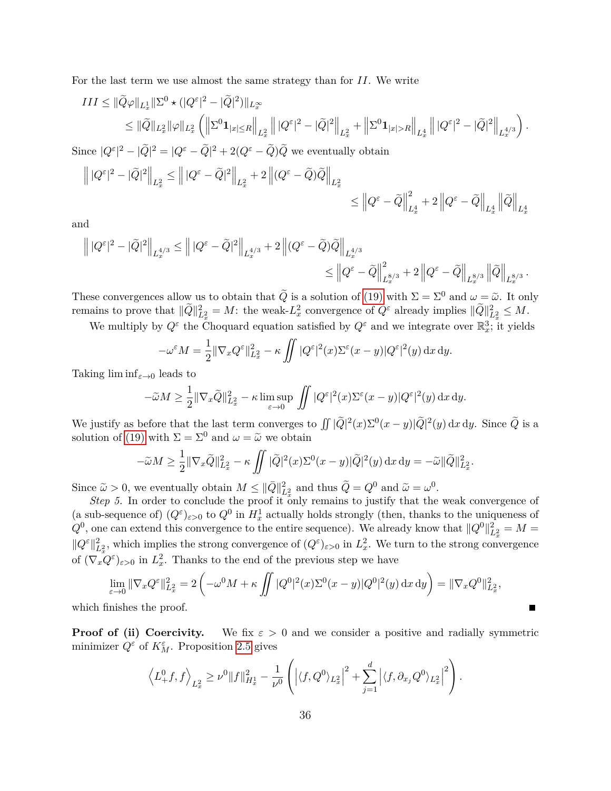For the last term we use almost the same strategy than for *II*. We write

$$
\begin{split} III &\leq \|\widetilde{Q}\varphi\|_{L^1_x}\|\Sigma^0\star(|Q^\varepsilon|^2-|\widetilde{Q}|^2)\|_{L^\infty_x}\\ &\leq \|\widetilde{Q}\|_{L^2_x}\|\varphi\|_{L^2_x}\left(\left\|\Sigma^0\mathbf{1}_{|x|\leq R}\right\|_{L^2_x}\left\||Q^\varepsilon|^2-|\widetilde{Q}|^2\right\|_{L^2_x}+\left\|\Sigma^0\mathbf{1}_{|x|>R}\right\|_{L^4_x}\left\||Q^\varepsilon|^2-|\widetilde{Q}|^2\right\|_{L^{4/3}_x}\right).\\ \end{split}
$$

Since  $|Q^{\varepsilon}|^2 - |\tilde{Q}|^2 = |Q^{\varepsilon} - \tilde{Q}|^2 + 2(Q^{\varepsilon} - \tilde{Q})\tilde{Q}$  we eventually obtain

$$
\begin{aligned} \left\||Q^\varepsilon|^2-|\widetilde{Q}|^2\right\|_{L_x^2}&\leq \left\||Q^\varepsilon-\widetilde{Q}|^2\right\|_{L_x^2}+2\left\|(Q^\varepsilon-\widetilde{Q})\widetilde{Q}\right\|_{L_x^2}\\ &\leq \left\|Q^\varepsilon-\widetilde{Q}\right\|_{L_x^4}^2+2\left\|Q^\varepsilon-\widetilde{Q}\right\|_{L_x^4}\left\|\widetilde{Q}\right\|_{L_x^4}.\end{aligned}
$$

and

$$
\begin{aligned} \left\||Q^\varepsilon|^2-|\widetilde{Q}|^2\right\|_{L^{4/3}_x} &\leq \left\||Q^\varepsilon-\widetilde{Q}|^2\right\|_{L^{4/3}_x}+2\left\|(Q^\varepsilon-\widetilde{Q})\widetilde{Q}\right\|_{L^{4/3}_x}\\ &\leq \left\|Q^\varepsilon-\widetilde{Q}\right\|_{L^{8/3}_x}^2+2\left\|Q^\varepsilon-\widetilde{Q}\right\|_{L^{8/3}_x}\left\|\widetilde{Q}\right\|_{L^{8/3}_x}.\end{aligned}
$$

These convergences allow us to obtain that  $\tilde{Q}$  is a solution of [\(19\)](#page-7-1) with  $\Sigma = \Sigma^0$  and  $\omega = \tilde{\omega}$ . It only remains to prove that  $\|\tilde{Q}\|^2_{L^2_x} = M$ : the weak- $L^2_x$  convergence of  $Q^{\varepsilon}$  already implies  $\|\tilde{Q}\|^2_{L^2_x} \leq M$ .

We multiply by  $Q^{\varepsilon}$  the Choquard equation satisfied by  $Q^{\varepsilon}$  and we integrate over  $\mathbb{R}^3_x$ ; it yields

$$
-\omega^{\varepsilon}M = \frac{1}{2} \|\nabla_x Q^{\varepsilon}\|_{L_x^2}^2 - \kappa \iint |Q^{\varepsilon}|^2(x)\Sigma^{\varepsilon}(x-y)|Q^{\varepsilon}|^2(y) dx dy.
$$

Taking  $\liminf_{\varepsilon\to 0}$  leads to

$$
-\widetilde{\omega}M \ge \frac{1}{2} \|\nabla_x \widetilde{Q}\|_{L_x^2}^2 - \kappa \limsup_{\varepsilon \to 0} \iint |Q^{\varepsilon}|^2(x)\Sigma^{\varepsilon}(x-y)|Q^{\varepsilon}|^2(y) \, \mathrm{d}x \, \mathrm{d}y.
$$

We justify as before that the last term converges to  $\iint |\tilde{Q}|^2(x)\Sigma^0(x-y)|\tilde{Q}|^2(y) dx dy$ . Since  $\tilde{Q}$  is a solution of [\(19\)](#page-7-1) with  $\Sigma = \Sigma^0$  and  $\omega = \tilde{\omega}$  we obtain

$$
-\widetilde{\omega}M \ge \frac{1}{2} \|\nabla_x \widetilde{Q}\|_{L_x^2}^2 - \kappa \iint |\widetilde{Q}|^2(x)\Sigma^0(x-y)|\widetilde{Q}|^2(y) dx dy = -\widetilde{\omega}\|\widetilde{Q}\|_{L_x^2}^2.
$$

Since  $\tilde{\omega} > 0$ , we eventually obtain  $M \leq ||\bar{Q}||_{L_x^2}^2$  and thus  $\tilde{Q} = Q^0$  and  $\tilde{\omega} = \omega^0$ .

*Step 5.* In order to conclude the proof it only remains to justify that the weak convergence of (a sub-sequence of)  $(Q^{\varepsilon})_{\varepsilon>0}$  to  $Q^0$  in  $H^1_x$  actually holds strongly (then, thanks to the uniqueness of  $Q^0$ , one can extend this convergence to the entire sequence). We already know that  $||Q^0||_{L_x^2}^2 = M =$  $||Q^{\varepsilon}||_{L_x^2}^2$ , which implies the strong convergence of  $(Q^{\varepsilon})_{\varepsilon>0}$  in  $L_x^2$ . We turn to the strong convergence of  $(\nabla_x \overline{Q}^{\varepsilon})_{\varepsilon>0}$  in  $L_x^2$ . Thanks to the end of the previous step we have

$$
\lim_{\varepsilon \to 0} \|\nabla_x Q^{\varepsilon}\|_{L_x^2}^2 = 2 \left( -\omega^0 M + \kappa \iint |Q^0|^2(x) \Sigma^0(x - y)|Q^0|^2(y) dx dy \right) = \|\nabla_x Q^0\|_{L_x^2}^2,
$$
\ninishes the proof.

which fi

**Proof of (ii) Coercivity.** We fix  $\varepsilon > 0$  and we consider a positive and radially symmetric minimizer  $Q^{\varepsilon}$  of  $K_M^{\varepsilon}$ . Proposition [2.5](#page-10-3) gives

$$
\left\langle L_+^0 f, f \right\rangle_{L_x^2} \geq \nu^0 \|f\|_{H_x^1}^2 - \frac{1}{\nu^0} \left( \left| \langle f, Q^0 \rangle_{L_x^2} \right|^2 + \sum_{j=1}^d \left| \langle f, \partial_{x_j} Q^0 \rangle_{L_x^2} \right|^2 \right).
$$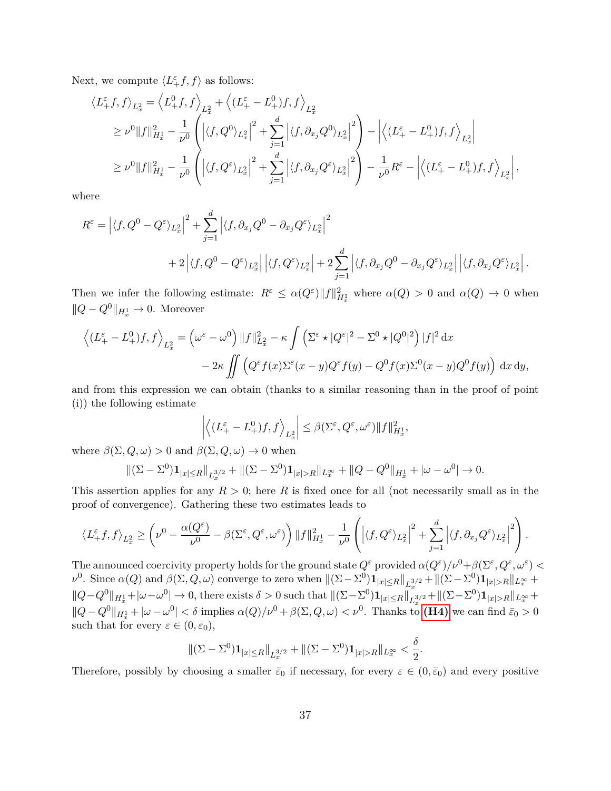Next, we compute  $\langle L_+^{\varepsilon} f, f \rangle$  as follows:

$$
\langle L^{\varepsilon}_{+}f,f\rangle_{L^{2}_{x}} = \langle L^{0}_{+}f,f\rangle_{L^{2}_{x}} + \langle (L^{\varepsilon}_{+}-L^{0}_{+})f,f\rangle_{L^{2}_{x}}
$$
  
\n
$$
\geq \nu^{0}||f||^{2}_{H^{1}_{x}} - \frac{1}{\nu^{0}} \left( \left| \langle f,Q^{0}\rangle_{L^{2}_{x}} \right|^{2} + \sum_{j=1}^{d} \left| \langle f,\partial_{x_{j}}Q^{0}\rangle_{L^{2}_{x}} \right|^{2} \right) - \left| \langle (L^{\varepsilon}_{+}-L^{0}_{+})f,f\rangle_{L^{2}_{x}} \right|
$$
  
\n
$$
\geq \nu^{0}||f||^{2}_{H^{1}_{x}} - \frac{1}{\nu^{0}} \left( \left| \langle f,Q^{\varepsilon}\rangle_{L^{2}_{x}} \right|^{2} + \sum_{j=1}^{d} \left| \langle f,\partial_{x_{j}}Q^{\varepsilon}\rangle_{L^{2}_{x}} \right|^{2} \right) - \frac{1}{\nu^{0}}R^{\varepsilon} - \left| \langle (L^{\varepsilon}_{+}-L^{0}_{+})f,f\rangle_{L^{2}_{x}} \right|,
$$

where

$$
R^{\varepsilon} = \left| \langle f, Q^{0} - Q^{\varepsilon} \rangle_{L_{x}^{2}} \right|^{2} + \sum_{j=1}^{d} \left| \langle f, \partial_{x_{j}} Q^{0} - \partial_{x_{j}} Q^{\varepsilon} \rangle_{L_{x}^{2}} \right|^{2} + 2 \left| \langle f, Q^{0} - Q^{\varepsilon} \rangle_{L_{x}^{2}} \right| \left| \langle f, Q^{\varepsilon} \rangle_{L_{x}^{2}} \right| + 2 \sum_{j=1}^{d} \left| \langle f, \partial_{x_{j}} Q^{0} - \partial_{x_{j}} Q^{\varepsilon} \rangle_{L_{x}^{2}} \right| \left| \langle f, \partial_{x_{j}} Q^{\varepsilon} \rangle_{L_{x}^{2}} \right|.
$$

Then we infer the following estimate:  $R^{\varepsilon} \leq \alpha(Q^{\varepsilon}) \|f\|_{H_x^1}^2$  where  $\alpha(Q) > 0$  and  $\alpha(Q) \to 0$  when  $||Q - Q^0||_{H_x^1}$  → 0. Moreover

$$
\left\langle (L_{+}^{\varepsilon} - L_{+}^{0})f, f \right\rangle_{L_{x}^{2}} = \left( \omega^{\varepsilon} - \omega^{0} \right) ||f||_{L_{x}^{2}}^{2} - \kappa \int \left( \Sigma^{\varepsilon} \star |Q^{\varepsilon}|^{2} - \Sigma^{0} \star |Q^{0}|^{2} \right) |f|^{2} dx
$$

$$
- 2\kappa \iint \left( Q^{\varepsilon} f(x) \Sigma^{\varepsilon} (x - y) Q^{\varepsilon} f(y) - Q^{0} f(x) \Sigma^{0} (x - y) Q^{0} f(y) \right) dx dy,
$$

and from this expression we can obtain (thanks to a similar reasoning than in the proof of point (i)) the following estimate

$$
\left| \left\langle (L^{\varepsilon}_+-L^0_+)f,f\right\rangle_{L^2_x}\right|\leq \beta(\Sigma^{\varepsilon},Q^{\varepsilon},\omega^{\varepsilon})\|f\|^2_{H^1_x},
$$

where  $\beta(\Sigma, Q, \omega) > 0$  and  $\beta(\Sigma, Q, \omega) \to 0$  when

$$
\|(\Sigma - \Sigma^0) \mathbf{1}_{|x| \le R} \|_{L^{3/2}_x} + \|(\Sigma - \Sigma^0) \mathbf{1}_{|x| > R} \|_{L^\infty_x} + \|Q - Q^0\|_{H^1_x} + |\omega - \omega^0| \to 0.
$$

This assertion applies for any  $R > 0$ ; here R is fixed once for all (not necessarily small as in the proof of convergence). Gathering these two estimates leads to

$$
\left\langle L^{\varepsilon}_{+}f,f\right\rangle_{L^{2}_{x}} \geq \left(\nu^{0}-\frac{\alpha(Q^{\varepsilon})}{\nu^{0}}-\beta(\Sigma^{\varepsilon},Q^{\varepsilon},\omega^{\varepsilon})\right) \|f\|^{2}_{H^{1}_{x}}-\frac{1}{\nu^{0}}\left(\left|\langle f,Q^{\varepsilon}\rangle_{L^{2}_{x}}\right|^{2}+\sum^{d}_{j=1}\left|\langle f,\partial_{x_{j}}Q^{\varepsilon}\rangle_{L^{2}_{x}}\right|^{2}\right).
$$

The announced coercivity property holds for the ground state  $Q^{\varepsilon}$  provided  $\alpha(Q^{\varepsilon})/\nu^{0}+\beta(\Sigma^{\varepsilon},Q^{\varepsilon},\omega^{\varepsilon})<\beta$  $\nu^0$ . Since  $\alpha(Q)$  and  $\beta(\Sigma, Q, \omega)$  converge to zero when  $\|(\Sigma - \Sigma^0) \mathbf{1}_{|x| \le R} \|_{L_x^{3/2}} + \|(\Sigma - \Sigma^0) \mathbf{1}_{|x| > R} \|_{L_x^{\infty}} +$  $||Q-Q^0||_{H_x^1}+|\omega-\omega^0|\to 0$ , there exists  $\delta>0$  such that  $||(\Sigma-\Sigma^0)\mathbf{1}_{|x|\leq R}||_{L_x^{3/2}}+||(\Sigma-\Sigma^0)\mathbf{1}_{|x|>R}||_{L_x^{\infty}}+$  $||Q - Q^0||_{H_x^1} + |\omega - \omega^0| < \delta$  implies  $\alpha(Q)/\nu^0 + \beta(\Sigma, Q, \omega) < \nu^0$ . Thanks to [\(H4\)](#page-13-0) we can find  $\bar{\varepsilon}_0 > 0$ such that for every  $\varepsilon \in (0, \bar{\varepsilon}_0)$ ,

$$
\|(\Sigma - \Sigma^0) \mathbf{1}_{|x| \le R} \|_{L^{3/2}_x} + \|(\Sigma - \Sigma^0) \mathbf{1}_{|x| > R} \|_{L^\infty_x} < \frac{\delta}{2}.
$$

Therefore, possibly by choosing a smaller  $\bar{\varepsilon}_0$  if necessary, for every  $\varepsilon \in (0, \bar{\varepsilon}_0)$  and every positive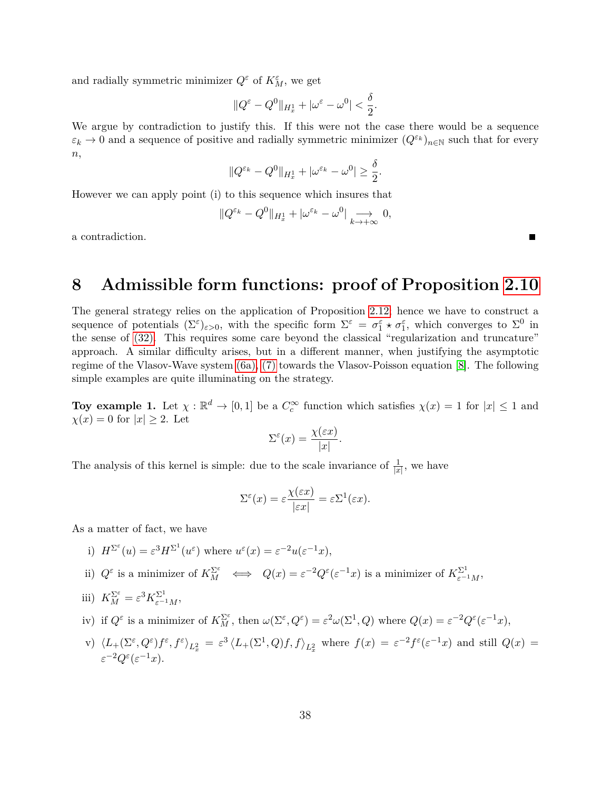and radially symmetric minimizer  $Q^{\varepsilon}$  of  $K_M^{\varepsilon}$ , we get

$$
||Q^{\varepsilon}-Q^0||_{H_x^1}+|\omega^{\varepsilon}-\omega^0|<\frac{\delta}{2}.
$$

We argue by contradiction to justify this. If this were not the case there would be a sequence  $\varepsilon_k \to 0$  and a sequence of positive and radially symmetric minimizer  $(Q^{\varepsilon_k})_{n\in\mathbb{N}}$  such that for every *n*,

$$
||Q^{\varepsilon_k} - Q^0||_{H_x^1} + |\omega^{\varepsilon_k} - \omega^0| \ge \frac{\delta}{2}.
$$

However we can apply point (i) to this sequence which insures that

$$
||Q^{\varepsilon_k} - Q^0||_{H_x^1} + |\omega^{\varepsilon_k} - \omega^0| \underset{k \to +\infty}{\longrightarrow} 0,
$$

a contradiction.

## <span id="page-37-0"></span>**8 Admissible form functions: proof of Proposition [2.10](#page-12-0)**

The general strategy relies on the application of Proposition [2.12;](#page-13-1) hence we have to construct a sequence of potentials  $(\Sigma^{\varepsilon})_{\varepsilon>0}$ , with the specific form  $\Sigma^{\varepsilon} = \sigma_1^{\varepsilon} \star \sigma_1^{\varepsilon}$ , which converges to  $\Sigma^0$  in the sense of [\(32\).](#page-13-3) This requires some care beyond the classical "regularization and truncature" approach. A similar difficulty arises, but in a different manner, when justifying the asymptotic regime of the Vlasov-Wave system [\(6a\),](#page-2-1) [\(7\)](#page-2-2) towards the Vlasov-Poisson equation [\[8\]](#page-56-2). The following simple examples are quite illuminating on the strategy.

**Toy example 1.** Let  $\chi : \mathbb{R}^d \to [0,1]$  be a  $C_c^{\infty}$  function which satisfies  $\chi(x) = 1$  for  $|x| \leq 1$  and  $\chi(x) = 0$  for  $|x| \geq 2$ . Let

$$
\Sigma^{\varepsilon}(x) = \frac{\chi(\varepsilon x)}{|x|}.
$$

The analysis of this kernel is simple: due to the scale invariance of  $\frac{1}{|x|}$ , we have

$$
\Sigma^{\varepsilon}(x) = \varepsilon \frac{\chi(\varepsilon x)}{|\varepsilon x|} = \varepsilon \Sigma^1(\varepsilon x).
$$

As a matter of fact, we have

- i)  $H^{\Sigma^{\varepsilon}}(u) = \varepsilon^3 H^{\Sigma^1}(u^{\varepsilon})$  where  $u^{\varepsilon}(x) = \varepsilon^{-2} u(\varepsilon^{-1}x),$
- ii)  $Q^{\varepsilon}$  is a minimizer of  $K_M^{\Sigma^{\varepsilon}} \iff Q(x) = \varepsilon^{-2} Q^{\varepsilon} (\varepsilon^{-1} x)$  is a minimizer of  $K_{\varepsilon^{-1}M}^{\Sigma^1}$ ,
- iii)  $K_M^{\Sigma^{\varepsilon}} = \varepsilon^3 K_{\varepsilon^{-1}M}^{\Sigma^1},$
- iv) if  $Q^{\varepsilon}$  is a minimizer of  $K_M^{\Sigma^{\varepsilon}}$ , then  $\omega(\Sigma^{\varepsilon}, Q^{\varepsilon}) = \varepsilon^2 \omega(\Sigma^1, Q)$  where  $Q(x) = \varepsilon^{-2} Q^{\varepsilon} (\varepsilon^{-1} x)$ ,
- v)  $\langle L_+(\Sigma^\varepsilon, Q^\varepsilon)f^\varepsilon, f^\varepsilon\rangle_{L_x^2} = \varepsilon^3 \langle L_+(\Sigma^1, Q)f, f\rangle_{L_x^2}$  where  $f(x) = \varepsilon^{-2} f^\varepsilon(\varepsilon^{-1}x)$  and still  $Q(x) =$  $\varepsilon^{-2} Q^{\varepsilon} (\varepsilon^{-1} x).$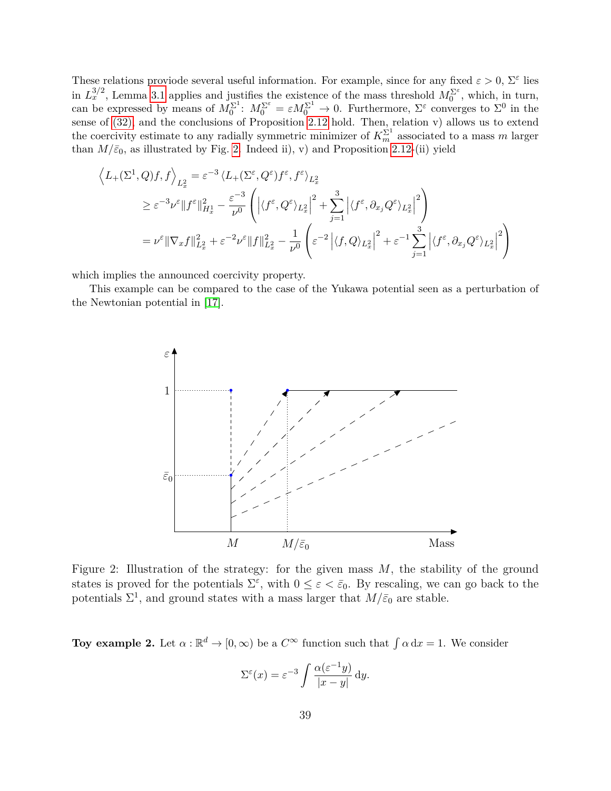These relations proviode several useful information. For example, since for any fixed  $\varepsilon > 0$ ,  $\Sigma^{\varepsilon}$  lies in  $L_x^{3/2}$ , Lemma [3.1](#page-17-1) applies and justifies the existence of the mass threshold  $M_0^{\Sigma^{\varepsilon}}$ , which, in turn, can be expressed by means of  $M_0^{\Sigma^1}$ :  $M_0^{\Sigma^{\varepsilon}} = \varepsilon M_0^{\Sigma^1} \to 0$ . Furthermore,  $\Sigma^{\varepsilon}$  converges to  $\Sigma^0$  in the sense of [\(32\),](#page-13-3) and the conclusions of Proposition [2.12](#page-13-1) hold. Then, relation v) allows us to extend the coercivity estimate to any radially symmetric minimizer of  $K_m^{\Sigma^1}$  associated to a mass *m* larger than  $M/\bar{\varepsilon}_0$ , as illustrated by Fig. [2.](#page-38-0) Indeed ii), v) and Proposition [2.12-](#page-13-1)(ii) yield

$$
\left\langle L_{+}(\Sigma^{1}, Q)f, f \right\rangle_{L_{x}^{2}} = \varepsilon^{-3} \left\langle L_{+}(\Sigma^{\varepsilon}, Q^{\varepsilon}) f^{\varepsilon}, f^{\varepsilon} \right\rangle_{L_{x}^{2}}
$$
\n
$$
\geq \varepsilon^{-3} \nu^{\varepsilon} \|f^{\varepsilon}\|_{H_{x}^{1}}^{2} - \frac{\varepsilon^{-3}}{\nu^{0}} \left( \left| \langle f^{\varepsilon}, Q^{\varepsilon} \rangle_{L_{x}^{2}} \right|^{2} + \sum_{j=1}^{3} \left| \langle f^{\varepsilon}, \partial_{x_{j}} Q^{\varepsilon} \rangle_{L_{x}^{2}} \right|^{2} \right)
$$
\n
$$
= \nu^{\varepsilon} \|\nabla_{x} f\|_{L_{x}^{2}}^{2} + \varepsilon^{-2} \nu^{\varepsilon} \|f\|_{L_{x}^{2}}^{2} - \frac{1}{\nu^{0}} \left( \varepsilon^{-2} \left| \langle f, Q \rangle_{L_{x}^{2}} \right|^{2} + \varepsilon^{-1} \sum_{j=1}^{3} \left| \langle f^{\varepsilon}, \partial_{x_{j}} Q^{\varepsilon} \rangle_{L_{x}^{2}} \right|^{2} \right)
$$

which implies the announced coercivity property.

<span id="page-38-0"></span>This example can be compared to the case of the Yukawa potential seen as a perturbation of the Newtonian potential in [\[17\]](#page-56-10).



Figure 2: Illustration of the strategy: for the given mass *M*, the stability of the ground states is proved for the potentials  $\Sigma^{\varepsilon}$ , with  $0 \leq \varepsilon < \bar{\varepsilon}_0$ . By rescaling, we can go back to the potentials  $\Sigma^1$ , and ground states with a mass larger that  $M/\bar{\varepsilon}_0$  are stable.

**Toy example 2.** Let  $\alpha : \mathbb{R}^d \to [0, \infty)$  be a  $C^{\infty}$  function such that  $\int \alpha dx = 1$ . We consider

$$
\Sigma^{\varepsilon}(x) = \varepsilon^{-3} \int \frac{\alpha(\varepsilon^{-1}y)}{|x - y|} \, dy.
$$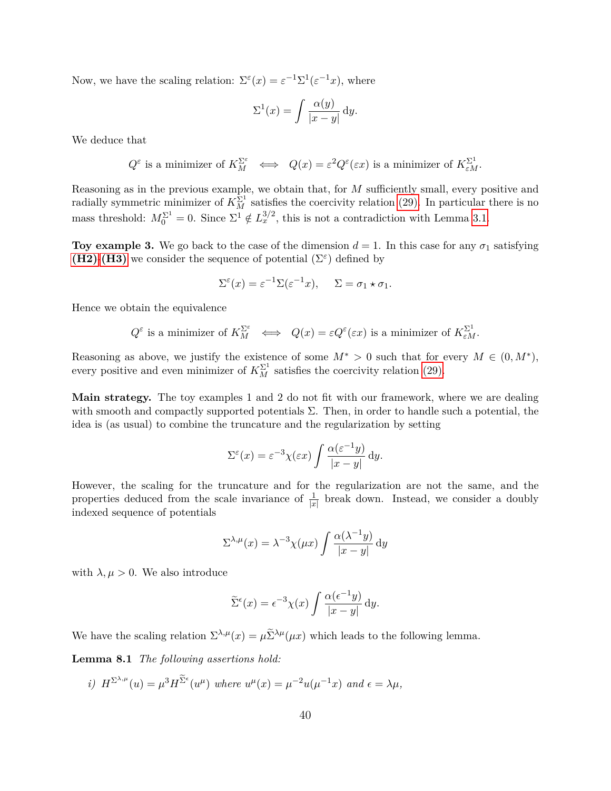Now, we have the scaling relation:  $\Sigma^{\varepsilon}(x) = \varepsilon^{-1} \Sigma^1(\varepsilon^{-1} x)$ , where

$$
\Sigma^{1}(x) = \int \frac{\alpha(y)}{|x - y|} \, dy.
$$

We deduce that

$$
Q^{\varepsilon}
$$
 is a minimizer of  $K_M^{\Sigma^{\varepsilon}}$   $\iff$   $Q(x) = \varepsilon^2 Q^{\varepsilon}(\varepsilon x)$  is a minimizer of  $K_{\varepsilon M}^{\Sigma^1}$ .

Reasoning as in the previous example, we obtain that, for *M* sufficiently small, every positive and radially symmetric minimizer of  $K_M^{\Sigma^1}$  satisfies the coercivity relation [\(29\).](#page-11-1) In particular there is no mass threshold:  $M_0^{\Sigma^1} = 0$ . Since  $\Sigma^1 \notin L_x^{3/2}$ , this is not a contradiction with Lemma [3.1.](#page-17-1)

**Toy example 3.** We go back to the case of the dimension  $d = 1$ . In this case for any  $\sigma_1$  satisfying **[\(H2\)](#page-3-1)-[\(H3\)](#page-7-0)** we consider the sequence of potential  $(\Sigma^{\varepsilon})$  defined by

$$
\Sigma^{\varepsilon}(x) = \varepsilon^{-1} \Sigma(\varepsilon^{-1} x), \quad \Sigma = \sigma_1 \star \sigma_1.
$$

Hence we obtain the equivalence

$$
Q^{\varepsilon}
$$
 is a minimizer of  $K_M^{\Sigma^{\varepsilon}} \iff Q(x) = \varepsilon Q^{\varepsilon}(\varepsilon x)$  is a minimizer of  $K_{\varepsilon M}^{\Sigma^1}$ .

Reasoning as above, we justify the existence of some  $M^* > 0$  such that for every  $M \in (0, M^*)$ , every positive and even minimizer of  $K_M^{\Sigma^1}$  satisfies the coercivity relation [\(29\).](#page-11-1)

**Main strategy.** The toy examples 1 and 2 do not fit with our framework, where we are dealing with smooth and compactly supported potentials  $\Sigma$ . Then, in order to handle such a potential, the idea is (as usual) to combine the truncature and the regularization by setting

$$
\Sigma^{\varepsilon}(x) = \varepsilon^{-3} \chi(\varepsilon x) \int \frac{\alpha(\varepsilon^{-1} y)}{|x - y|} \, \mathrm{d} y.
$$

However, the scaling for the truncature and for the regularization are not the same, and the properties deduced from the scale invariance of  $\frac{1}{|x|}$  break down. Instead, we consider a doubly indexed sequence of potentials

$$
\Sigma^{\lambda,\mu}(x) = \lambda^{-3} \chi(\mu x) \int \frac{\alpha(\lambda^{-1} y)}{|x - y|} dy
$$

with  $\lambda, \mu > 0$ . We also introduce

<span id="page-39-0"></span>
$$
\widetilde{\Sigma}^{\epsilon}(x) = \epsilon^{-3} \chi(x) \int \frac{\alpha(\epsilon^{-1}y)}{|x - y|} dy.
$$

We have the scaling relation  $\Sigma^{\lambda,\mu}(x) = \mu \tilde{\Sigma}^{\lambda\mu}(\mu x)$  which leads to the following lemma.

**Lemma 8.1** *The following assertions hold:*

*i*)  $H^{\Sigma^{\lambda,\mu}}(u) = \mu^3 H^{\Sigma^{\epsilon}}(u^{\mu})$  where  $u^{\mu}(x) = \mu^{-2} u(\mu^{-1}x)$  and  $\epsilon = \lambda \mu$ ,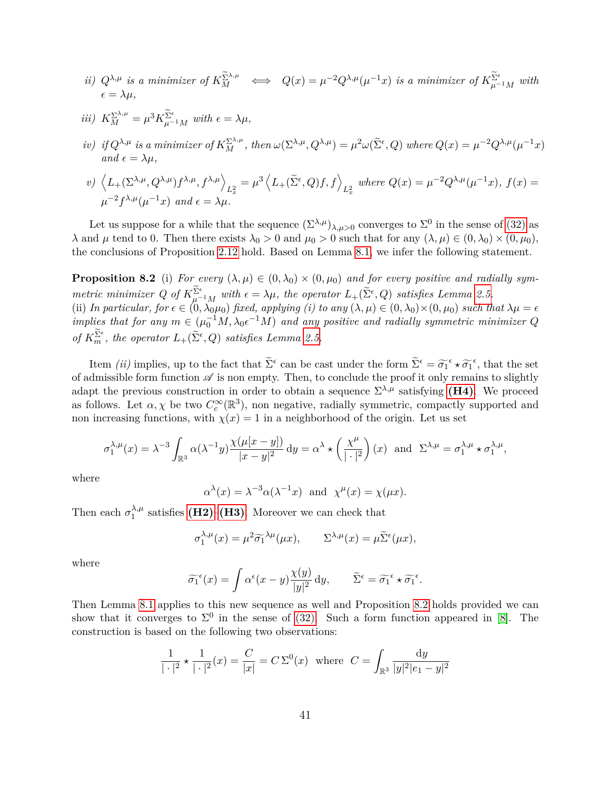- ii)  $Q^{\lambda,\mu}$  is a minimizer of  $K_M^{\Sigma^{\lambda,\mu}} \iff Q(x) = \mu^{-2} Q^{\lambda,\mu}(\mu^{-1}x)$  is a minimizer of  $K_{\mu^{-1}M}^{\Sigma^{\epsilon}}$  with  $\epsilon = \lambda \mu$
- $iii)$   $K_M^{\Sigma^{\lambda,\mu}} = \mu^3 K_{\mu^{-1}M}^{\Sigma^{\epsilon}}$  with  $\epsilon = \lambda \mu$ ,
- iv) if  $Q^{\lambda,\mu}$  is a minimizer of  $K_M^{\Sigma^{\lambda,\mu}}$ , then  $\omega(\Sigma^{\lambda,\mu}, Q^{\lambda,\mu}) = \mu^2 \omega(\tilde{\Sigma}^{\epsilon}, Q)$  where  $Q(x) = \mu^{-2} Q^{\lambda,\mu}(\mu^{-1}x)$  $and \epsilon = \lambda \mu$

$$
v) \left\langle L_{+}(\Sigma^{\lambda,\mu}, Q^{\lambda,\mu}) f^{\lambda,\mu}, f^{\lambda,\mu} \right\rangle_{L_{x}^{2}} = \mu^{3} \left\langle L_{+}(\tilde{\Sigma}^{\epsilon}, Q) f, f \right\rangle_{L_{x}^{2}} \text{ where } Q(x) = \mu^{-2} Q^{\lambda,\mu}(\mu^{-1}x), f(x) = \mu^{-2} f^{\lambda,\mu}(\mu^{-1}x) \text{ and } \epsilon = \lambda \mu.
$$

Let us suppose for a while that the sequence  $(\Sigma^{\lambda,\mu})_{\lambda,\mu>0}$  converges to  $\Sigma^0$  in the sense of [\(32\)](#page-13-3) as *λ* and *μ* tend to 0. Then there exists  $λ_0 > 0$  and  $μ_0 > 0$  such that for any  $(λ, μ) ∈ (0, λ_0) × (0, μ_0)$ , the conclusions of Proposition [2.12](#page-13-1) hold. Based on Lemma [8.1,](#page-39-0) we infer the following statement.

<span id="page-40-0"></span>**Proposition 8.2** (i) *For every*  $(\lambda, \mu) \in (0, \lambda_0) \times (0, \mu_0)$  and for every positive and radially sym*metric minimizer* Q of  $K_{\mu^{-1}M}^{\Sigma^{\epsilon}}$  *with*  $\epsilon = \lambda \mu$ , the operator  $L_{+}(\tilde{\Sigma}^{\epsilon}, Q)$  *satisfies Lemma [2.5.](#page-10-3)* (ii) In particular, for  $\epsilon \in (0, \lambda_0\mu_0)$  fixed, applying (i) to any  $(\lambda, \mu) \in (0, \lambda_0) \times (0, \mu_0)$  such that  $\lambda\mu = \epsilon$ *implies that for any*  $m \in (\mu_0^{-1}M, \lambda_0 \epsilon^{-1}M)$  *and any positive and radially symmetric minimizer Q of*  $K_m^{\Sigma^{\epsilon}}$ , the operator  $L_+(\tilde{\Sigma}^{\epsilon}, Q)$  satisfies Lemma [2.5.](#page-10-3)

Item *(ii)* implies, up to the fact that  $\tilde{\Sigma}^{\epsilon}$  can be cast under the form  $\tilde{\Sigma}^{\epsilon} = \tilde{\sigma_1}^{\epsilon} \star \tilde{\sigma_1}^{\epsilon}$ , that the set of admissible form function  $\mathscr A$  is non empty. Then, to conclude the proof it only remains to slightly adapt the previous construction in order to obtain a sequence  $\Sigma^{\lambda,\mu}$  satisfying [\(H4\)](#page-13-0). We proceed as follows. Let  $\alpha, \chi$  be two  $C_c^{\infty}(\mathbb{R}^3)$ , non negative, radially symmetric, compactly supported and non increasing functions, with  $\chi(x) = 1$  in a neighborhood of the origin. Let us set

$$
\sigma_1^{\lambda,\mu}(x) = \lambda^{-3} \int_{\mathbb{R}^3} \alpha(\lambda^{-1}y) \frac{\chi(\mu[x-y])}{|x-y|^2} \, \mathrm{d}y = \alpha^{\lambda} \star \left(\frac{\chi^{\mu}}{|\cdot|^2}\right)(x) \quad \text{and} \quad \Sigma^{\lambda,\mu} = \sigma_1^{\lambda,\mu} \star \sigma_1^{\lambda,\mu},
$$

where

$$
\alpha^{\lambda}(x) = \lambda^{-3} \alpha(\lambda^{-1}x)
$$
 and  $\chi^{\mu}(x) = \chi(\mu x)$ .

Then each  $\sigma_1^{\lambda,\mu}$  $\lambda_1^{\lambda,\mu}$  satisfies **[\(H2\)](#page-3-1)–[\(H3\)](#page-7-0)**. Moreover we can check that

$$
\sigma_1^{\lambda,\mu}(x) = \mu^2 \widetilde{\sigma_1}^{\lambda \mu}(\mu x), \qquad \Sigma^{\lambda,\mu}(x) = \mu \widetilde{\Sigma}^{\epsilon}(\mu x),
$$

where

$$
\widetilde{\sigma_1}^{\epsilon}(x) = \int \alpha^{\epsilon}(x - y) \frac{\chi(y)}{|y|^2} \, \mathrm{d}y, \qquad \widetilde{\Sigma}^{\epsilon} = \widetilde{\sigma_1}^{\epsilon} \star \widetilde{\sigma_1}^{\epsilon}.
$$

Then Lemma [8.1](#page-39-0) applies to this new sequence as well and Proposition [8.2](#page-40-0) holds provided we can show that it converges to  $\Sigma^0$  in the sense of [\(32\).](#page-13-3) Such a form function appeared in [\[8\]](#page-56-2). The construction is based on the following two observations:

$$
\frac{1}{|\cdot|^2} \star \frac{1}{|\cdot|^2} (x) = \frac{C}{|x|} = C \Sigma^0(x) \text{ where } C = \int_{\mathbb{R}^3} \frac{dy}{|y|^2 |e_1 - y|^2}
$$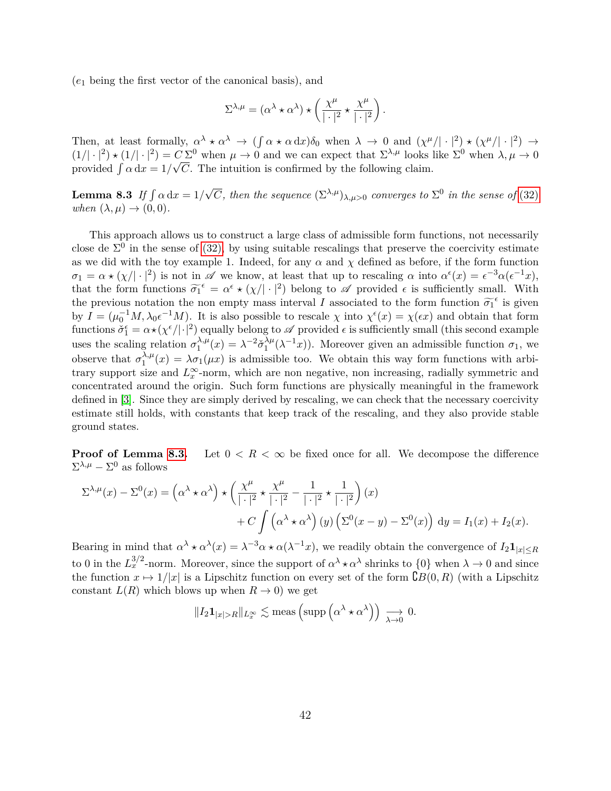(*e*<sup>1</sup> being the first vector of the canonical basis), and

$$
\Sigma^{\lambda,\mu} = (\alpha^\lambda \star \alpha^\lambda) \star \left( \frac{\chi^\mu}{|\cdot|^2} \star \frac{\chi^\mu}{|\cdot|^2} \right).
$$

Then, at least formally,  $\alpha^{\lambda} \star \alpha^{\lambda} \to (\int \alpha \star \alpha \,dx) \delta_0$  when  $\lambda \to 0$  and  $(\chi^{\mu}/|\cdot|^2) \star (\chi^{\mu}/|\cdot|^2) \to$  $(1/|\cdot|^2) \star (1/|\cdot|^2) = C \Sigma^0$  when  $\mu \to 0$  and we can expect that  $\Sigma^{\lambda,\mu}$  looks like  $\Sigma^0$  when  $\lambda, \mu \to 0$ provided  $\int \alpha \, dx = 1/\sqrt{C}$ . The intuition is confirmed by the following claim.

<span id="page-41-0"></span>Lemma 8.3 *If*  $\int \alpha \, dx = 1/$  $\sqrt{C}$ , then the sequence  $(\Sigma^{\lambda,\mu})_{\lambda,\mu>0}$  converges to  $\Sigma^0$  in the sense of [\(32\)](#page-13-3) *when*  $(\lambda, \mu) \rightarrow (0, 0)$ *.* 

This approach allows us to construct a large class of admissible form functions, not necessarily close de  $\Sigma^0$  in the sense of [\(32\),](#page-13-3) by using suitable rescalings that preserve the coercivity estimate as we did with the toy example 1. Indeed, for any  $\alpha$  and  $\chi$  defined as before, if the form function  $\sigma_1 = \alpha \star (\chi/|\cdot|^2)$  is not in  $\mathscr A$  we know, at least that up to rescaling  $\alpha$  into  $\alpha^{\epsilon}(x) = \epsilon^{-3} \alpha(\epsilon^{-1}x)$ , that the form functions  $\widetilde{\sigma_1}^{\epsilon} = \alpha^{\epsilon} \star (\chi/|\cdot|^2)$  belong to  $\mathscr A$  provided  $\epsilon$  is sufficiently small. With the previous notation the non empty mass interval *I* associated to the form function  $\widetilde{\sigma}_1^{\epsilon}$  is given<br>by  $I_{\epsilon}$  ( $\sigma^{-1}M$ )  $\sigma^{-1}M$ ). It is glass notatible to grouple with  $\epsilon(\alpha)$  and  $\sigma(\alpha)$  and abtain that form by  $I = (\mu_0^{-1}M, \lambda_0 \epsilon^{-1}M)$ . It is also possible to rescale  $\chi$  into  $\chi^{\epsilon}(x) = \chi(\epsilon x)$  and obtain that form functions  $\check{\sigma}_1^{\epsilon} = \alpha \star (\chi^{\epsilon}/|\cdot|^2)$  equally belong to  $\mathscr A$  provided  $\epsilon$  is sufficiently small (this second example uses the scaling relation  $\sigma_1^{\lambda,\mu}$  $\lambda^{ \lambda, \mu} (x) = \lambda^{-2} \check{\sigma}^{\lambda \mu}_1$  $\lambda^{\mu}(\lambda^{-1}x)$ ). Moreover given an admissible function  $\sigma_1$ , we observe that  $\sigma_1^{\lambda,\mu}$  $\lambda_1^{\lambda,\mu}(x) = \lambda \sigma_1(\mu x)$  is admissible too. We obtain this way form functions with arbitrary support size and  $L_x^{\infty}$ -norm, which are non negative, non increasing, radially symmetric and concentrated around the origin. Such form functions are physically meaningful in the framework defined in [\[3\]](#page-55-1). Since they are simply derived by rescaling, we can check that the necessary coercivity estimate still holds, with constants that keep track of the rescaling, and they also provide stable ground states.

**Proof of Lemma [8.3.](#page-41-0)** Let  $0 \leq R \leq \infty$  be fixed once for all. We decompose the difference  $\Sigma^{\lambda,\mu} - \Sigma^0$  as follows

$$
\Sigma^{\lambda,\mu}(x) - \Sigma^0(x) = \left(\alpha^{\lambda} \star \alpha^{\lambda}\right) \star \left(\frac{\chi^{\mu}}{|\cdot|^2} \star \frac{\chi^{\mu}}{|\cdot|^2} - \frac{1}{|\cdot|^2} \star \frac{1}{|\cdot|^2}\right)(x) \n+ C \int \left(\alpha^{\lambda} \star \alpha^{\lambda}\right)(y) \left(\Sigma^0(x-y) - \Sigma^0(x)\right) dy = I_1(x) + I_2(x).
$$

Bearing in mind that  $\alpha^{\lambda} \star \alpha^{\lambda}(x) = \lambda^{-3} \alpha \star \alpha(\lambda^{-1} x)$ , we readily obtain the convergence of  $I_2 \mathbf{1}_{|x| \leq R}$ to 0 in the  $L_x^{3/2}$ -norm. Moreover, since the support of  $\alpha^{\lambda} \star \alpha^{\lambda}$  shrinks to  $\{0\}$  when  $\lambda \to 0$  and since the function  $x \mapsto 1/|x|$  is a Lipschitz function on every set of the form  $\mathcal{C}B(0,R)$  (with a Lipschitz constant  $L(R)$  which blows up when  $R \to 0$ ) we get

$$
||I_2 \mathbf{1}_{|x|>R}||_{L_x^{\infty}} \lesssim \text{meas}\left(\text{supp}\left(\alpha^{\lambda} \star \alpha^{\lambda}\right)\right) \underset{\lambda \to 0}{\longrightarrow} 0.
$$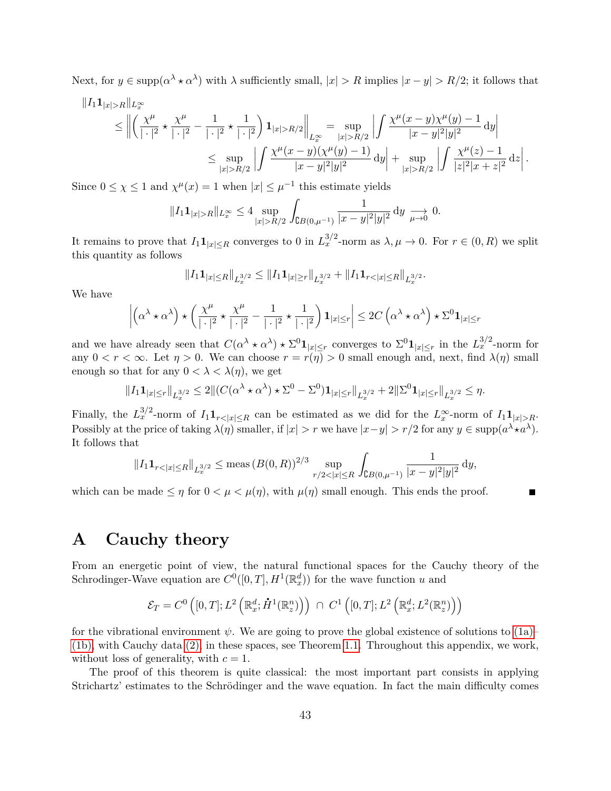Next, for  $y \in \text{supp}(\alpha^{\lambda} \star \alpha^{\lambda})$  with  $\lambda$  sufficiently small,  $|x| > R$  implies  $|x - y| > R/2$ ; it follows that

$$
||I_{1}1_{|x|>R}||_{L_{x}^{\infty}} \leq ||\left(\frac{\chi^{\mu}}{|\cdot|^{2}} \star \frac{\chi^{\mu}}{|\cdot|^{2}} - \frac{1}{|\cdot|^{2}} \star \frac{1}{|\cdot|^{2}}\right) \mathbf{1}_{|x|>R/2}||_{L_{x}^{\infty}} = \sup_{|x|>R/2} \left| \int \frac{\chi^{\mu}(x-y)\chi^{\mu}(y)-1}{|x-y|^{2}|y|^{2}} \, \mathrm{d}y \right|
$$
  

$$
\leq \sup_{|x|>R/2} \left| \int \frac{\chi^{\mu}(x-y)(\chi^{\mu}(y)-1)}{|x-y|^{2}|y|^{2}} \, \mathrm{d}y \right| + \sup_{|x|>R/2} \left| \int \frac{\chi^{\mu}(z)-1}{|z|^{2}|x+z|^{2}} \, \mathrm{d}z \right|.
$$

Since  $0 \leq \chi \leq 1$  and  $\chi^{\mu}(x) = 1$  when  $|x| \leq \mu^{-1}$  this estimate yields

$$
||I_1 \mathbf{1}_{|x|>R}||_{L_x^{\infty}} \le 4 \sup_{|x|>R/2} \int_{\complement B(0,\mu^{-1})} \frac{1}{|x-y|^2|y|^2} \, \mathrm{d}y \xrightarrow[\mu \to 0]{} 0.
$$

It remains to prove that  $I_1 \mathbf{1}_{|x| \leq R}$  converges to 0 in  $L_x^{3/2}$ -norm as  $\lambda, \mu \to 0$ . For  $r \in (0, R)$  we split this quantity as follows

$$
||I_1 \mathbf{1}_{|x| \le R}||_{L_x^{3/2}} \le ||I_1 \mathbf{1}_{|x| \ge r}||_{L_x^{3/2}} + ||I_1 \mathbf{1}_{r<|x| \le R}||_{L_x^{3/2}}.
$$

We have

$$
\left| \left( \alpha^{\lambda} \star \alpha^{\lambda} \right) \star \left( \frac{\chi^{\mu}}{|\cdot|^2} \star \frac{\chi^{\mu}}{|\cdot|^2} - \frac{1}{|\cdot|^2} \star \frac{1}{|\cdot|^2} \right) \mathbf{1}_{|x| \le r} \right| \le 2C \left( \alpha^{\lambda} \star \alpha^{\lambda} \right) \star \Sigma^0 \mathbf{1}_{|x| \le r}
$$

and we have already seen that  $C(\alpha^{\lambda} \star \alpha^{\lambda}) \star \Sigma^{0} \mathbf{1}_{|x| \leq r}$  converges to  $\Sigma^{0} \mathbf{1}_{|x| \leq r}$  in the  $L_{x}^{3/2}$ -norm for any  $0 < r < \infty$ . Let  $\eta > 0$ . We can choose  $r = r(\eta) > 0$  small enough and, next, find  $\lambda(\eta)$  small enough so that for any  $0 < \lambda < \lambda(\eta)$ , we get

$$
||I_1\mathbf{1}_{|x|\leq r}||_{L_x^{3/2}} \leq 2||(C(\alpha^{\lambda} \star \alpha^{\lambda}) \star \Sigma^0 - \Sigma^0)\mathbf{1}_{|x|\leq r}||_{L_x^{3/2}} + 2||\Sigma^0\mathbf{1}_{|x|\leq r}||_{L_x^{3/2}} \leq \eta.
$$

Finally, the  $L_x^{3/2}$ -norm of  $I_1 \mathbf{1}_{r \leq |x| \leq R}$  can be estimated as we did for the  $L_x^{\infty}$ -norm of  $I_1 \mathbf{1}_{|x| > R}$ . Possibly at the price of taking  $\lambda(\eta)$  smaller, if  $|x| > r$  we have  $|x-y| > r/2$  for any  $y \in \text{supp}(a^{\lambda} \star a^{\lambda})$ . It follows that

$$
||I_1 \mathbf{1}_{r<|x|\leq R}||_{L_x^{3/2}} \leq \text{meas} (B(0,R))^{2/3} \sup_{r/2<|x|\leq R} \int_{\mathsf{CB}(0,\mu^{-1})} \frac{1}{|x-y|^2|y|^2} \, \mathrm{d}y,
$$

which can be made  $\leq \eta$  for  $0 < \mu < \mu(\eta)$ , with  $\mu(\eta)$  small enough. This ends the proof.

## <span id="page-42-0"></span>**A Cauchy theory**

From an energetic point of view, the natural functional spaces for the Cauchy theory of the Schrodinger-Wave equation are  $C^0([0,T], H^1(\mathbb{R}^d_x))$  for the wave function *u* and

$$
\mathcal{E}_T = C^0 \left( [0, T]; L^2 \left( \mathbb{R}^d_x; \dot{H}^1(\mathbb{R}^n_z) \right) \right) \cap C^1 \left( [0, T]; L^2 \left( \mathbb{R}^d_x; L^2(\mathbb{R}^n_z) \right) \right)
$$

for the vibrational environment  $\psi$ . We are going to prove the global existence of solutions to  $(1a)$ – [\(1b\),](#page-0-1) with Cauchy data [\(2\),](#page-1-2) in these spaces, see Theorem [1.1.](#page-5-1) Throughout this appendix, we work, without loss of generality, with  $c = 1$ .

The proof of this theorem is quite classical: the most important part consists in applying Strichartz' estimates to the Schrödinger and the wave equation. In fact the main difficulty comes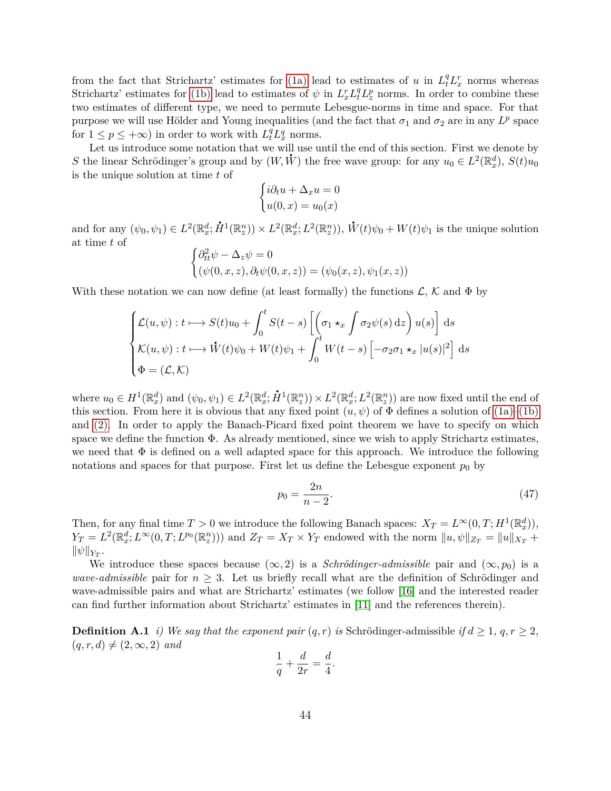from the fact that Strichartz' estimates for [\(1a\)](#page-0-0) lead to estimates of *u* in  $L_t^q L_x^r$  norms whereas Strichartz' estimates for [\(1b\)](#page-0-1) lead to estimates of  $\psi$  in  $L_x^r L_t^q L_z^p$  norms. In order to combine these two estimates of different type, we need to permute Lebesgue-norms in time and space. For that purpose we will use Hölder and Young inequalities (and the fact that  $\sigma_1$  and  $\sigma_2$  are in any  $L^p$  space for  $1 \leq p \leq +\infty$ ) in order to work with  $L_t^q L_x^q$  norms.

Let us introduce some notation that we will use until the end of this section. First we denote by *S* the linear Schrödinger's group and by  $(W, \dot{W})$  the free wave group: for any  $u_0 \in L^2(\mathbb{R}^d_x)$ ,  $S(t)u_0$ is the unique solution at time *t* of

$$
\begin{cases}\ni\partial_t u + \Delta_x u = 0 \\
u(0, x) = u_0(x)\n\end{cases}
$$

and for any  $(\psi_0, \psi_1) \in L^2(\mathbb{R}_x^d; \mathring{H}^1(\mathbb{R}_z^n)) \times L^2(\mathbb{R}_x^d; L^2(\mathbb{R}_z^n)),$   $\mathring{W}$  $W(t)\psi_0 + W(t)\psi_1$  is the unique solution at time *t* of

$$
\begin{cases} \partial_{tt}^2 \psi - \Delta_z \psi = 0 \\ (\psi(0, x, z), \partial_t \psi(0, x, z)) = (\psi_0(x, z), \psi_1(x, z)) \end{cases}
$$

With these notation we can now define (at least formally) the functions  $\mathcal{L}, \mathcal{K}$  and  $\Phi$  by

$$
\begin{cases}\n\mathcal{L}(u,\psi): t \longmapsto S(t)u_0 + \int_0^t S(t-s) \left[ \left( \sigma_1 \star_x \int \sigma_2 \psi(s) \, \mathrm{d}z \right) u(s) \right] \, \mathrm{d}s \\
\mathcal{K}(u,\psi): t \longmapsto \dot{W}(t)\psi_0 + W(t)\psi_1 + \int_0^t W(t-s) \left[ -\sigma_2 \sigma_1 \star_x |u(s)|^2 \right] \, \mathrm{d}s \\
\Phi = (\mathcal{L},\mathcal{K})\n\end{cases}
$$

where  $u_0 \in H^1(\mathbb{R}^d_x)$  and  $(\psi_0, \psi_1) \in L^2(\mathbb{R}^d_x; \dot{H}^1(\mathbb{R}^n_x)) \times L^2(\mathbb{R}^d_x; L^2(\mathbb{R}^n_x))$  are now fixed until the end of this section. From here it is obvious that any fixed point  $(u, \psi)$  of  $\Phi$  defines a solution of  $(1a)$ – $(1b)$ and [\(2\).](#page-1-2) In order to apply the Banach-Picard fixed point theorem we have to specify on which space we define the function  $\Phi$ . As already mentioned, since we wish to apply Strichartz estimates, we need that  $\Phi$  is defined on a well adapted space for this approach. We introduce the following notations and spaces for that purpose. First let us define the Lebesgue exponent  $p_0$  by

$$
p_0 = \frac{2n}{n-2}.\tag{47}
$$

Then, for any final time  $T > 0$  we introduce the following Banach spaces:  $X_T = L^{\infty}(0, T; H^1(\mathbb{R}^d_x)),$  $Y_T = L^2(\mathbb{R}^d_x; L^{\infty}(0,T; L^{p_0}(\mathbb{R}^n_x)))$  and  $Z_T = X_T \times Y_T$  endowed with the norm  $||u, \psi||_{Z_T} = ||u||_{X_T} +$  $\|\psi\|_{Y_T}$ .

We introduce these spaces because  $(\infty, 2)$  is a *Schrödinger-admissible* pair and  $(\infty, p_0)$  is a *wave-admissible* pair for  $n \geq 3$ . Let us briefly recall what are the definition of Schrödinger and wave-admissible pairs and what are Strichartz' estimates (we follow [\[16\]](#page-56-15) and the interested reader can find further information about Strichartz' estimates in [\[11\]](#page-56-16) and the references therein).

**Definition A.1** *i)* We say that the exponent pair  $(q, r)$  is Schrödinger-admissible *if*  $d \geq 1$ ,  $q, r \geq 2$ ,  $(q, r, d) \neq (2, \infty, 2)$  *and* 

$$
\frac{1}{q} + \frac{d}{2r} = \frac{d}{4}.
$$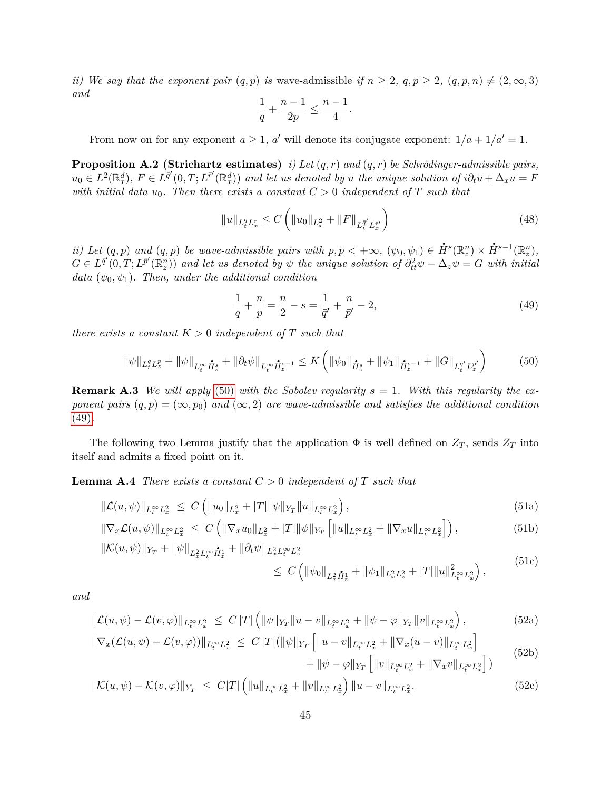*ii)* We say that the exponent pair  $(q, p)$  is wave-admissible if  $n \geq 2$ ,  $q, p \geq 2$ ,  $(q, p, n) \neq (2, \infty, 3)$ *and*

$$
\frac{1}{q} + \frac{n-1}{2p} \le \frac{n-1}{4}.
$$

From now on for any exponent  $a \geq 1$ ,  $a'$  will denote its conjugate exponent:  $1/a + 1/a' = 1$ .

**Proposition A.2 (Strichartz estimates)** *i)* Let  $(q, r)$  and  $(\bar{q}, \bar{r})$  be Schrödinger-admissible pairs,  $u_0 \in L^2(\mathbb{R}^d_x)$ ,  $F \in L^{\overline{q}'}(0,T;L^{\overline{r}'}(\mathbb{R}^d_x))$  and let us denoted by u the unique solution of  $i\partial_t u + \Delta_x u = F$ *with initial data*  $u_0$ *. Then there exists a constant*  $C > 0$  *independent* of  $T$  *such that* 

<span id="page-44-8"></span>
$$
||u||_{L_t^q L_x^r} \le C \left( ||u_0||_{L_x^2} + ||F||_{L_t^{\bar{q}'} L_x^{\bar{r}'}} \right) \tag{48}
$$

*ii)* Let  $(q, p)$  and  $(\bar{q}, \bar{p})$  be wave-admissible pairs with  $p, \bar{p} < +\infty$ ,  $(\psi_0, \psi_1) \in$  $\dot{H}^{s}(\mathbb{R}_{z}^{n})\times\dot{H}^{s-1}(\mathbb{R}_{z}^{n}),$  $G \in L^{\bar{q}'}(0,T; L^{\bar{p}'}(\mathbb{R}^n_z))$  and let us denoted by  $\psi$  the unique solution of  $\partial^2_{tt}\psi - \Delta_z \psi = G$  with initial *data*  $(\psi_0, \psi_1)$ *. Then, under the additional condition* 

<span id="page-44-1"></span>
$$
\frac{1}{q} + \frac{n}{p} = \frac{n}{2} - s = \frac{1}{\bar{q}'} + \frac{n}{\bar{p}'} - 2,\tag{49}
$$

*there exists a constant*  $K > 0$  *independent of*  $T$  *such that* 

<span id="page-44-0"></span>
$$
\|\psi\|_{L_t^q L_z^p} + \|\psi\|_{L_t^\infty \dot{H}_z^s} + \|\partial_t \psi\|_{L_t^\infty \dot{H}_z^{s-1}} \le K \left( \|\psi_0\|_{\dot{H}_z^s} + \|\psi_1\|_{\dot{H}_z^{s-1}} + \|G\|_{L_t^{\bar{q}'} L_z^{\bar{p}'}} \right) \tag{50}
$$

**Remark A.3** We will apply [\(50\)](#page-44-0) with the Sobolev regularity  $s = 1$ . With this regularity the ex*ponent pairs*  $(q, p) = (\infty, p_0)$  *and*  $(\infty, 2)$  *are wave-admissible and satisfies the additional condition* [\(49\)](#page-44-1)*.*

The following two Lemma justify that the application  $\Phi$  is well defined on  $Z_T$ , sends  $Z_T$  into itself and admits a fixed point on it.

<span id="page-44-2"></span>**Lemma A.4** *There exists a constant*  $C > 0$  *independent* of  $T$  *such that* 

$$
\|\mathcal{L}(u,\psi)\|_{L_t^{\infty}L_x^2} \le C\left(\|u_0\|_{L_x^2} + |T|\|\psi\|_{Y_T}\|u\|_{L_t^{\infty}L_x^2}\right),\tag{51a}
$$

$$
\|\nabla_x \mathcal{L}(u,\psi)\|_{L_t^\infty L_x^2} \le C \left( \|\nabla_x u_0\|_{L_x^2} + |T| \|\psi\|_{Y_T} \left[ \|u\|_{L_t^\infty L_x^2} + \|\nabla_x u\|_{L_t^\infty L_x^2} \right] \right),
$$
\n(51b)  
\n
$$
\|\mathcal{K}(u,\psi)\|_{Y_T} + \|\psi\|_{L_t^2 L_x^\infty L_t^2} + \|\partial_t \psi\|_{L_x^2 L_x^\infty L_x^2}
$$

$$
u, \psi)\|_{Y_T} + \|\psi\|_{L_x^2 L_t^\infty \dot{H}_z^1} + \|\partial_t \psi\|_{L_x^2 L_t^\infty L_z^2}
$$
\n(51c)

<span id="page-44-10"></span><span id="page-44-9"></span><span id="page-44-7"></span><span id="page-44-6"></span><span id="page-44-5"></span><span id="page-44-4"></span>
$$
\leq C \left( \|\psi_0\|_{L_x^2 \dot{H}_z^1} + \|\psi_1\|_{L_x^2 L_z^2} + |T| \|u\|_{L_t^\infty L_x^2}^2 \right),\tag{51C}
$$

*and*

$$
\|\mathcal{L}(u,\psi) - \mathcal{L}(v,\varphi)\|_{L_t^\infty L_x^2} \le C\|T\| \left( \|\psi\|_{Y_T} \|u - v\|_{L_t^\infty L_x^2} + \|\psi - \varphi\|_{Y_T} \|v\|_{L_t^\infty L_x^2} \right),\tag{52a}
$$

$$
\|\nabla_x(\mathcal{L}(u,\psi) - \mathcal{L}(v,\varphi))\|_{L_t^{\infty} L_x^2} \leq C\|T\|(\|\psi\|_{Y_T} \left[ \|u - v\|_{L_t^{\infty} L_x^2} + \|\nabla_x(u - v)\|_{L_t^{\infty} L_x^2} \right] + \|\psi - \varphi\|_{Y_T} \left[ \|v\|_{L_t^{\infty} L_x^2} + \|\nabla_x v\|_{L_t^{\infty} L_x^2} \right])
$$
(52b)

<span id="page-44-3"></span>
$$
\|\mathcal{K}(u,\psi) - \mathcal{K}(v,\varphi)\|_{Y_T} \leq C|T| \left( \|u\|_{L_t^{\infty} L_x^2} + \|v\|_{L_t^{\infty} L_x^2} \right) \|u - v\|_{L_t^{\infty} L_x^2}.
$$
\n(52c)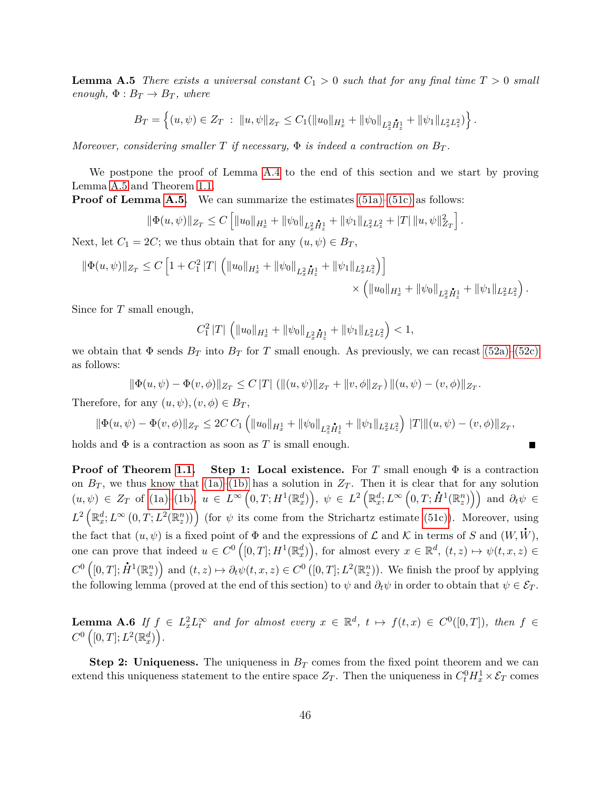**Lemma A.5** *There exists a universal constant*  $C_1 > 0$  *such that for any final time*  $T > 0$  *small enough,*  $\Phi: B_T \to B_T$ *, where* 

$$
B_T = \left\{ (u, \psi) \in Z_T : ||u, \psi||_{Z_T} \leq C_1(||u_0||_{H_x^1} + ||\psi_0||_{L_x^2 \dot{H}_x^1} + ||\psi_1||_{L_x^2 L_x^2}) \right\}.
$$

*Moreover, considering smaller*  $T$  *if necessary,*  $\Phi$  *is indeed a contraction on*  $B_T$ .

We postpone the proof of Lemma [A.4](#page-44-2) to the end of this section and we start by proving Lemma [A.5](#page-44-3) and Theorem [1.1.](#page-5-1)

**Proof of Lemma [A.5.](#page-44-3)** We can summarize the estimates [\(51a\)–](#page-44-4)[\(51c\)](#page-44-5) as follows:

$$
\|\Phi(u,\psi)\|_{Z_T} \leq C \left[ \|u_0\|_{H_x^1} + \|\psi_0\|_{L_x^2 \dot{H}_x^1} + \|\psi_1\|_{L_x^2 L_x^2} + |T| \|u,\psi\|_{Z_T}^2 \right].
$$

Next, let  $C_1 = 2C$ ; we thus obtain that for any  $(u, \psi) \in B_T$ ,

$$
\|\Phi(u,\psi)\|_{Z_T} \leq C \left[1 + C_1^2 |T| \left( \|u_0\|_{H_x^1} + \|\psi_0\|_{L_x^2 \mathbf{H}_z^1} + \|\psi_1\|_{L_x^2 L_x^2} \right) \right] \times \left( \|u_0\|_{H_x^1} + \|\psi_0\|_{L_x^2 \mathbf{H}_z^1} + \|\psi_1\|_{L_x^2 L_z^2} \right).
$$

Since for *T* small enough,

$$
C_1^2 |T| \left( \|u_0\|_{H_x^1} + \|\psi_0\|_{L_x^2 \dot{H}_x^1} + \|\psi_1\|_{L_x^2 L_x^2} \right) < 1,
$$

we obtain that  $\Phi$  sends  $B_T$  into  $B_T$  for *T* small enough. As previously, we can recast [\(52a\)–](#page-44-6)[\(52c\)](#page-44-7) as follows:

$$
\|\Phi(u,\psi)-\Phi(v,\phi)\|_{Z_T}\leq C\,|T|\,(\|(u,\psi)\|_{Z_T}+\|v,\phi\|_{Z_T})\,\|(u,\psi)-(v,\phi)\|_{Z_T}.
$$

Therefore, for any  $(u, \psi), (v, \phi) \in B_T$ ,

$$
\|\Phi(u,\psi)-\Phi(v,\phi)\|_{Z_T}\leq 2C\,C_1\left(\|u_0\|_{H_x^1}+\|\psi_0\|_{L_x^2\mathring{H}_x^1}+\|\psi_1\|_{L_x^2L_z^2}\right)\,|T|\|(u,\psi)-(v,\phi)\|_{Z_T},
$$

holds and  $\Phi$  is a contraction as soon as *T* is small enough.

**Proof of Theorem [1.1.](#page-5-1)** Step 1: Local existence. For *T* small enough  $\Phi$  is a contraction on  $B_T$ , we thus know that  $(1a)$ – $(1b)$  has a solution in  $Z_T$ . Then it is clear that for any solution on  $B_T$ , we thus know that [\(1a\)](#page-0-0)–(1b) has a solution in  $Z_T$ . Then it is clear that for any solution  $(u, \psi) \in Z_T$  of (1a)[–\(1b\),](#page-0-1)  $u \in L^{\infty}(0,T;H^1(\mathbb{R}^d_x)), \psi \in L^2(\mathbb{R}^d_x;L^{\infty}(0,T;\dot{H}^1(\mathbb{R}^n_x)))$  and  $\partial_t \psi \in$  $L^2\left(\mathbb{R}_x^d; L^\infty\left(0, T; L^2(\mathbb{R}_z^n)\right)\right)$  (for  $\psi$  its come from the Strichartz estimate [\(51c\)\)](#page-44-5). Moreover, using the fact that  $(u, \psi)$  is a fixed point of  $\Phi$  and the expressions of  $\mathcal L$  and  $\mathcal K$  in terms of  $S$  and  $(W, W)$ , one can prove that indeed  $u \in C^0([0,T];H^1(\mathbb{R}^d_x))$ , for almost every  $x \in \mathbb{R}^d$ ,  $(t,z) \mapsto \psi(t,x,z) \in$  $C^0([0,T]; \dot{H}^1(\mathbb{R}^n_z))$  and  $(t, z) \mapsto \partial_t \psi(t, x, z) \in C^0([0,T]; L^2(\mathbb{R}^n_z)).$  We finish the proof by applying the following lemma (proved at the end of this section) to  $\psi$  and  $\partial_t \psi$  in order to obtain that  $\psi \in \mathcal{E}_T$ .

<span id="page-45-0"></span>**Lemma A.6** If  $f \in L_x^2 L_t^{\infty}$  and for almost every  $x \in \mathbb{R}^d$ ,  $t \mapsto f(t,x) \in C^0([0,T])$ , then  $f \in$  $C^0([0,T];L^2(\mathbb{R}^d_x)).$ 

**Step 2: Uniqueness.** The uniqueness in  $B_T$  comes from the fixed point theorem and we can extend this uniqueness statement to the entire space  $Z_T$ . Then the uniqueness in  $C_t^0 H_x^1 \times \mathcal{E}_T$  comes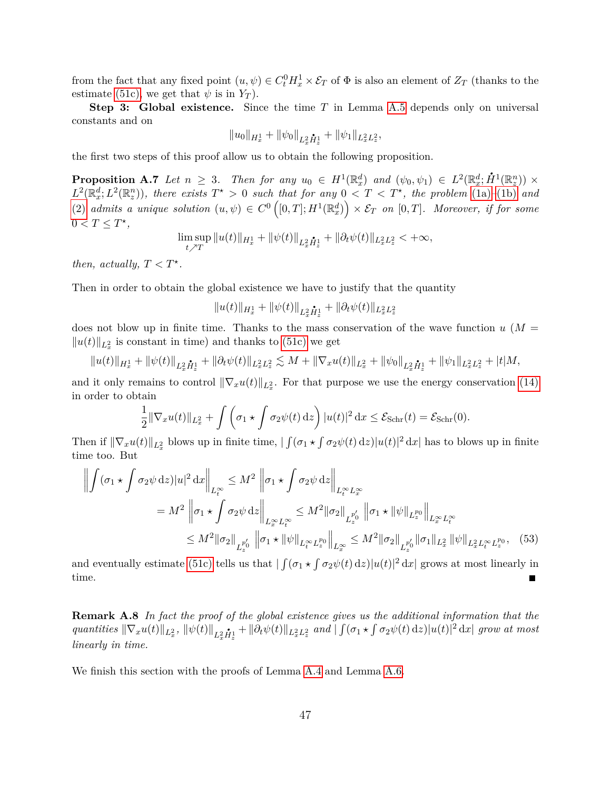from the fact that any fixed point  $(u, \psi) \in C_t^0 H_x^1 \times \mathcal{E}_T$  of  $\Phi$  is also an element of  $Z_T$  (thanks to the estimate [\(51c\),](#page-44-5) we get that  $\psi$  is in  $Y_T$ ).

**Step 3: Global existence.** Since the time *T* in Lemma [A.5](#page-44-3) depends only on universal constants and on

$$
||u_0||_{H_x^1} + ||\psi_0||_{L_x^2 \dot{H}_z^1} + ||\psi_1||_{L_x^2 L_z^2},
$$

the first two steps of this proof allow us to obtain the following proposition.

**Proposition A.7** Let  $n \geq 3$ . Then for any  $u_0 \in H^1(\mathbb{R}^d_x)$  and  $(\psi_0, \psi_1) \in L^2(\mathbb{R}^d_x; \dot{H}^1(\mathbb{R}^n_x)) \times$  $L^2(\mathbb{R}^d_x; L^2(\mathbb{R}^n_z))$ , there exists  $T^* > 0$  such that for any  $0 < T < T^*$ , the problem [\(1a\)](#page-0-0)–[\(1b\)](#page-0-1) and  $(2)$  *admits a unique solution*  $(u, \psi) \in C^0([0, T]; H^1(\mathbb{R}^d_x)) \times \mathcal{E}_T$  *on*  $[0, T]$ *. Moreover, if for some*  $0 < T \leq T^*$ ,

$$
\limsup_{t \nearrow T} \|u(t)\|_{H_x^1} + \|\psi(t)\|_{L_x^2} \dot{H}_x^1 + \|\partial_t \psi(t)\|_{L_x^2 L_z^2} < +\infty,
$$

*then, actually,*  $T < T^*$ .

Then in order to obtain the global existence we have to justify that the quantity

<span id="page-46-0"></span> $||u(t)||_{H_x^1} + ||\psi(t)||_{L_x^2 \dot{H}_x^1} + ||\partial_t \psi(t)||_{L_x^2 L_x^2}$ 

does not blow up in finite time. Thanks to the mass conservation of the wave function  $u$  ( $M =$  $||u(t)||_{L_x^2}$  is constant in time) and thanks to [\(51c\)](#page-44-5) we get

$$
||u(t)||_{H_x^1} + ||\psi(t)||_{L_x^2 \dot{H}_x^1} + ||\partial_t \psi(t)||_{L_x^2 L_x^2} \lesssim M + ||\nabla_x u(t)||_{L_x^2} + ||\psi_0||_{L_x^2 \dot{H}_x^1} + ||\psi_1||_{L_x^2 L_x^2} + |t|M,
$$

and it only remains to control  $\|\nabla_x u(t)\|_{L^2_x}$ . For that purpose we use the energy conservation [\(14\)](#page-3-5) in order to obtain

$$
\frac{1}{2} \|\nabla_x u(t)\|_{L_x^2} + \int \left(\sigma_1 \star \int \sigma_2 \psi(t) \, \mathrm{d}t\right) |u(t)|^2 \, \mathrm{d}x \leq \mathcal{E}_{\text{Schr}}(t) = \mathcal{E}_{\text{Schr}}(0).
$$

Then if  $\|\nabla_x u(t)\|_{L^2_x}$  blows up in finite time,  $|\int (\sigma_1 \star \int \sigma_2 \psi(t) \, \mathrm{d}z)|u(t)|^2 \, \mathrm{d}x|$  has to blows up in finite time too. But

$$
\left\| \int (\sigma_1 \star \int \sigma_2 \psi \,dz) |u|^2 \,dx \right\|_{L_t^{\infty}} \le M^2 \left\| \sigma_1 \star \int \sigma_2 \psi \,dz \right\|_{L_t^{\infty} L_x^{\infty}}
$$
  
=  $M^2 \left\| \sigma_1 \star \int \sigma_2 \psi \,dz \right\|_{L_x^{\infty} L_t^{\infty}} \le M^2 \|\sigma_2\|_{L_x^{p'_0}} \left\| \sigma_1 \star \|\psi\|_{L_x^{p_0}} \right\|_{L_x^{\infty} L_t^{\infty}}$   
 $\le M^2 \|\sigma_2\|_{L_x^{p'_0}} \left\| \sigma_1 \star \|\psi\|_{L_t^{\infty} L_z^{p_0}} \right\|_{L_x^{\infty}} \le M^2 \|\sigma_2\|_{L_x^{p'_0}} \|\sigma_1\|_{L_x^2} \|\psi\|_{L_x^2 L_t^{\infty} L_z^{p_0}}, \quad (53)$ 

and eventually estimate [\(51c\)](#page-44-5) tells us that  $\int (\sigma_1 \star \int \sigma_2 \psi(t) \,dz)|u(t)|^2 dx$  grows at most linearly in time. П

**Remark A.8** *In fact the proof of the global existence gives us the additional information that the* quantities  $\|\nabla_x u(t)\|_{L^2_x}$ ,  $\|\psi(t)\|_{L^2_x \dot{H}^1_x} + \|\partial_t \psi(t)\|_{L^2_x L^2_x}$  and  $\int (\sigma_1 \star \int \sigma_2 \psi(t) \,dz) |u(t)|^2 dx$  grow at most *linearly in time.*

We finish this section with the proofs of Lemma [A.4](#page-44-2) and Lemma [A.6.](#page-45-0)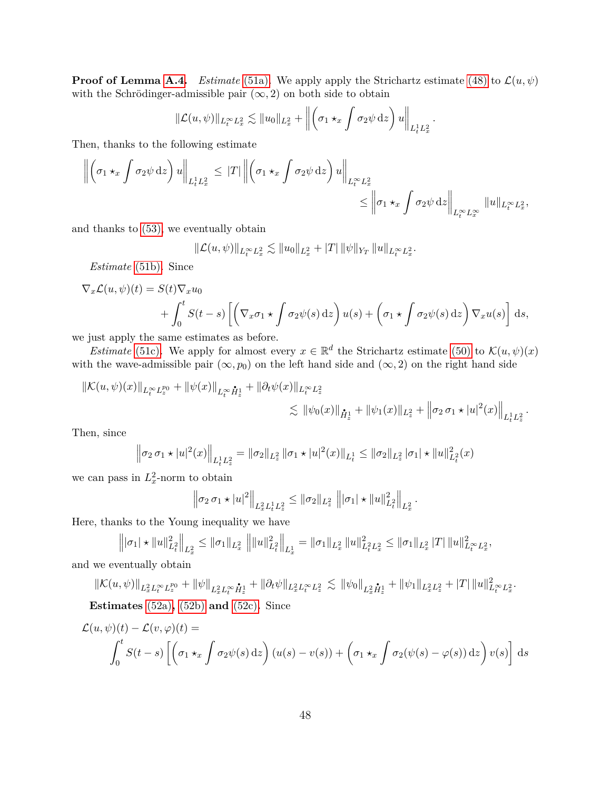**Proof of Lemma [A.4.](#page-44-2)** *Estimate* [\(51a\)](#page-44-4). We apply apply the Strichartz estimate [\(48\)](#page-44-8) to  $\mathcal{L}(u, \psi)$ with the Schrödinger-admissible pair  $(\infty, 2)$  on both side to obtain

$$
\|\mathcal{L}(u,\psi)\|_{L_t^{\infty}L_x^2} \lesssim \|u_0\|_{L_x^2} + \left\|\left(\sigma_1 \star_x \int \sigma_2 \psi \,dz\right)u\right\|_{L_t^1 L_x^2}.
$$

Then, thanks to the following estimate

$$
\left\| \left( \sigma_1 \star_x \int \sigma_2 \psi \,dz \right) u \right\|_{L_t^1 L_x^2} \leq |T| \left\| \left( \sigma_1 \star_x \int \sigma_2 \psi \,dz \right) u \right\|_{L_t^\infty L_x^2}
$$
  

$$
\leq \left\| \sigma_1 \star_x \int \sigma_2 \psi \,dz \right\|_{L_t^\infty L_x^\infty} \|u\|_{L_t^\infty L_x^2},
$$

and thanks to [\(53\),](#page-46-0) we eventually obtain

$$
\|\mathcal{L}(u,\psi)\|_{L^\infty_t L^2_x} \lesssim \|u_0\|_{L^2_x} + |T| \|\psi\|_{Y_T} \|u\|_{L^\infty_t L^2_x}.
$$

*Estimate* [\(51b\)](#page-44-9)*.* Since

$$
\nabla_x \mathcal{L}(u, \psi)(t) = S(t) \nabla_x u_0
$$
  
+  $\int_0^t S(t - s) \left[ \left( \nabla_x \sigma_1 \star \int \sigma_2 \psi(s) \, \mathrm{d}z \right) u(s) + \left( \sigma_1 \star \int \sigma_2 \psi(s) \, \mathrm{d}z \right) \nabla_x u(s) \right] \, \mathrm{d}s$ ,

we just apply the same estimates as before.

*Estimate* [\(51c\)](#page-44-5). We apply for almost every  $x \in \mathbb{R}^d$  the Strichartz estimate [\(50\)](#page-44-0) to  $\mathcal{K}(u, \psi)(x)$ with the wave-admissible pair  $(\infty, p_0)$  on the left hand side and  $(\infty, 2)$  on the right hand side

$$
\|\mathcal{K}(u,\psi)(x)\|_{L_t^\infty L_z^{p_0}} + \|\psi(x)\|_{L_t^\infty \dot{H}_z^1} + \|\partial_t \psi(x)\|_{L_t^\infty L_z^2}
$$
  

$$
\lesssim \|\psi_0(x)\|_{\dot{H}_x^1} + \|\psi_1(x)\|_{L_x^2} + \left\|\sigma_2 \sigma_1 \star |u|^2(x)\right\|_{L_t^1 L_x^2}.
$$

Then, since

$$
\left\|\sigma_2 \sigma_1 \star |u|^2(x)\right\|_{L_t^1 L_x^2} = \|\sigma_2\|_{L_x^2} \|\sigma_1 \star |u|^2(x)\|_{L_t^1} \le \|\sigma_2\|_{L_x^2} |\sigma_1| \star \|u\|_{L_t^2}^2(x)
$$

we can pass in  $L_x^2$ -norm to obtain

$$
\left\|\sigma_2 \,\sigma_1 \star |u|^2\right\|_{L_x^2 L_t^1 L_x^2} \leq \|\sigma_2\|_{L_x^2} \left\||\sigma_1| \star \|u\|_{L_t^2}^2\right\|_{L_x^2}.
$$

Here, thanks to the Young inequality we have

$$
\left\||\sigma_{1}|\star\|u\|_{L^{2}_{t}}^{2}\right\|_{L^{2}_{x}} \leq \|\sigma_{1}\|_{L^{2}_{x}}\left\||u\|_{L^{2}_{t}}^{2}\right\|_{L^{1}_{x}} = \|\sigma_{1}\|_{L^{2}_{x}}\left\|u\|_{L^{2}_{t}L^{2}_{x}}^{2} \leq \|\sigma_{1}\|_{L^{2}_{x}}\left|T\right|\|u\|_{L^{\infty}_{t}L^{2}_{x}}^{2},
$$

and we eventually obtain

$$
\|\mathcal{K}(u,\psi)\|_{L_{x}^{2}L_{t}^{\infty}L_{z}^{p_{0}}}+\|\psi\|_{L_{x}^{2}L_{t}^{\infty}\dot{H}_{x}^{1}}+\|\partial_{t}\psi\|_{L_{x}^{2}L_{t}^{\infty}L_{z}^{2}}\lesssim \|\psi_{0}\|_{L_{x}^{2}\dot{H}_{z}^{1}}+\|\psi_{1}\|_{L_{x}^{2}L_{z}^{2}}+\|T\|\|u\|_{L_{t}^{\infty}L_{x}^{2}}^{2}.
$$

**Estimates** [\(52a\)](#page-44-6)**,** [\(52b\)](#page-44-10) **and** [\(52c\)](#page-44-7)**.** Since

$$
\mathcal{L}(u, \psi)(t) - \mathcal{L}(v, \varphi)(t) =
$$
  

$$
\int_0^t S(t - s) \left[ \left( \sigma_1 \star_x \int \sigma_2 \psi(s) \, \mathrm{d}z \right) (u(s) - v(s)) + \left( \sigma_1 \star_x \int \sigma_2 (\psi(s) - \varphi(s)) \, \mathrm{d}z \right) v(s) \right] \, \mathrm{d}s
$$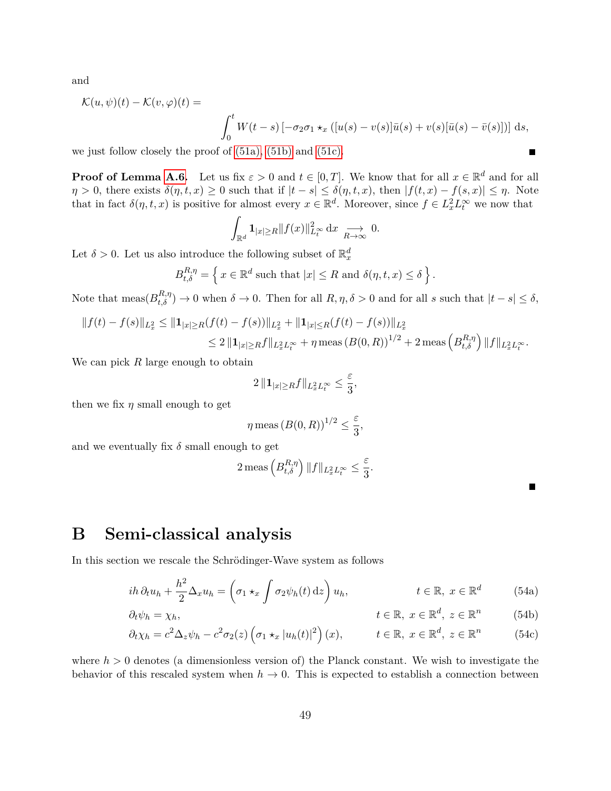and

$$
\mathcal{K}(u,\psi)(t) - \mathcal{K}(v,\varphi)(t) =
$$

$$
\int_0^t W(t-s) \left[ -\sigma_2 \sigma_1 \star_x ([u(s) - v(s)]\bar{u}(s) + v(s)[\bar{u}(s) - \bar{v}(s)]) \right] ds,
$$

we just follow closely the proof of [\(51a\),](#page-44-4) [\(51b\)](#page-44-9) and [\(51c\).](#page-44-5)

**Proof of Lemma [A.6.](#page-45-0)** Let us fix  $\varepsilon > 0$  and  $t \in [0, T]$ . We know that for all  $x \in \mathbb{R}^d$  and for all  $\eta > 0$ , there exists  $\delta(\eta, t, x) \geq 0$  such that if  $|t - s| \leq \delta(\eta, t, x)$ , then  $|f(t, x) - f(s, x)| \leq \eta$ . Note that in fact  $\delta(\eta, t, x)$  is positive for almost every  $x \in \mathbb{R}^d$ . Moreover, since  $f \in L^2_x L^{\infty}_t$  we now that

$$
\int_{\mathbb{R}^d} \mathbf{1}_{|x| \ge R} \|f(x)\|_{L_t^{\infty}}^2 dx \xrightarrow[R \to \infty]{} 0.
$$

Let  $\delta > 0$ . Let us also introduce the following subset of  $\mathbb{R}_x^d$ 

$$
B_{t,\delta}^{R,\eta} = \left\{ x \in \mathbb{R}^d \text{ such that } |x| \le R \text{ and } \delta(\eta,t,x) \le \delta \right\}.
$$

Note that  $\text{meas}(B_{t,\delta}^{R,\eta}) \to 0$  when  $\delta \to 0$ . Then for all  $R, \eta, \delta > 0$  and for all *s* such that  $|t - s| \leq \delta$ ,

$$
||f(t) - f(s)||_{L_x^2} \le ||\mathbf{1}_{|x| \ge R} (f(t) - f(s))||_{L_x^2} + ||\mathbf{1}_{|x| \le R} (f(t) - f(s))||_{L_x^2}
$$
  
\n
$$
\le 2 ||\mathbf{1}_{|x| \ge R} f||_{L_x^2 L_t^\infty} + \eta \operatorname{meas} (B(0, R))^{1/2} + 2 \operatorname{meas} (B_{t, \delta}^{R, \eta}) ||f||_{L_x^2 L_t^\infty}
$$

We can pick *R* large enough to obtain

$$
2\,\|\mathbf{1}_{|x|\geq R}f\|_{L_x^2L_t^\infty}\leq\frac{\varepsilon}{3},
$$

then we fix  $\eta$  small enough to get

$$
\eta \operatorname{meas} (B(0,R))^{1/2} \le \frac{\varepsilon}{3},
$$

and we eventually fix  $\delta$  small enough to get

$$
2 \operatorname{meas}\left(B_{t,\delta}^{R,\eta}\right) \|f\|_{L^2_x L^\infty_t} \leq \frac{\varepsilon}{3}
$$

<span id="page-48-2"></span><span id="page-48-1"></span>Е

*.*

П

## <span id="page-48-0"></span>**B Semi-classical analysis**

In this section we rescale the Schrödinger-Wave system as follows

$$
ih \,\partial_t u_h + \frac{h^2}{2} \Delta_x u_h = \left(\sigma_1 \star_x \int \sigma_2 \psi_h(t) \,\mathrm{d}z\right) u_h, \qquad t \in \mathbb{R}, \ x \in \mathbb{R}^d \tag{54a}
$$

*.*

$$
\partial_t \psi_h = \chi_h, \qquad t \in \mathbb{R}, \ x \in \mathbb{R}^d, \ z \in \mathbb{R}^n \qquad (54b)
$$

$$
\partial_t \chi_h = c^2 \Delta_z \psi_h - c^2 \sigma_2(z) \left( \sigma_1 \star_x |u_h(t)|^2 \right)(x), \qquad t \in \mathbb{R}, \ x \in \mathbb{R}^d, \ z \in \mathbb{R}^n \tag{54c}
$$

where  $h > 0$  denotes (a dimensionless version of) the Planck constant. We wish to investigate the behavior of this rescaled system when  $h \to 0$ . This is expected to establish a connection between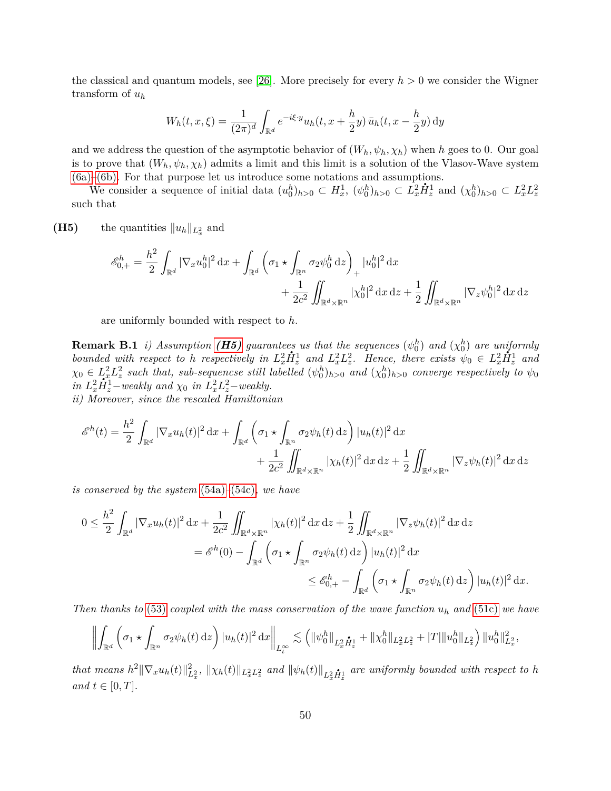the classical and quantum models, see [\[26\]](#page-57-1). More precisely for every *h >* 0 we consider the Wigner transform of *u<sup>h</sup>*

$$
W_h(t, x, \xi) = \frac{1}{(2\pi)^d} \int_{\mathbb{R}^d} e^{-i\xi \cdot y} u_h(t, x + \frac{h}{2}y) \bar{u}_h(t, x - \frac{h}{2}y) dy
$$

and we address the question of the asymptotic behavior of  $(W_h, \psi_h, \chi_h)$  when *h* goes to 0. Our goal is to prove that  $(W_h, \psi_h, \chi_h)$  admits a limit and this limit is a solution of the Vlasov-Wave system [\(6a\)](#page-2-1)[–\(6b\).](#page-2-0) For that purpose let us introduce some notations and assumptions.

We consider a sequence of initial data  $(u_0^h)_{h>0} \subset H_x^1$ ,  $(\psi_0^h)_{h>0} \subset L_x^2$  $\dot{H}_z^1$  and  $(\chi_0^h)_{h>0} \subset L_x^2 L_z^2$ such that

<span id="page-49-0"></span>**(H5)** the quantities  $||u_h||_{L_x^2}$  and

$$
\mathscr{E}_{0,+}^{h} = \frac{h^2}{2} \int_{\mathbb{R}^d} |\nabla_x u_0^h|^2 \, \mathrm{d}x + \int_{\mathbb{R}^d} \left( \sigma_1 \star \int_{\mathbb{R}^n} \sigma_2 \psi_0^h \, \mathrm{d}z \right)_+ |u_0^h|^2 \, \mathrm{d}x + \frac{1}{2c^2} \iint_{\mathbb{R}^d \times \mathbb{R}^n} |\chi_0^h|^2 \, \mathrm{d}x \, \mathrm{d}z + \frac{1}{2} \iint_{\mathbb{R}^d \times \mathbb{R}^n} |\nabla_z \psi_0^h|^2 \, \mathrm{d}x \, \mathrm{d}z
$$

are uniformly bounded with respect to *h*.

<span id="page-49-1"></span>**Remark B.1** *i)* Assumption (**H5)** guarantees us that the sequences  $(\psi_0^h)$  and  $(\chi_0^h)$  are uniformly  $_0$ ) ana  $\chi_0$ *bounded with respect to h respectively in*  $L_x^2$ *i*<sub>L</sub><sup>*i*</sup></sup> *and*  $L_x^2 L_z^2$ *. Hence, there exists*  $\psi_0 \in L_x^2$ *. H*<sup>1</sup> *<sup>z</sup> and*  $\chi_0 \in L_x^2 L_z^2$  such that, sub-sequencse still labelled  $(\psi_0^h)_{h>0}$  and  $(\chi_0^h)_{h>0}$  converge respectively to  $\psi_0$  $in L_x^2$  $\dot{H}_z^1 - \dot{H}_z^2$  such that, sub-sequencse still l<br>  $\dot{H}_z^1 -$  weakly and  $\chi_0$  in  $L_x^2 L_z^2 -$  weakly.

*ii) Moreover, since the rescaled Hamiltonian*

$$
\mathcal{E}^{h}(t) = \frac{h^2}{2} \int_{\mathbb{R}^d} |\nabla_x u_h(t)|^2 dx + \int_{\mathbb{R}^d} \left( \sigma_1 \star \int_{\mathbb{R}^n} \sigma_2 \psi_h(t) dz \right) |u_h(t)|^2 dx
$$
  
+ 
$$
\frac{1}{2c^2} \iint_{\mathbb{R}^d \times \mathbb{R}^n} |\chi_h(t)|^2 dx dz + \frac{1}{2} \iint_{\mathbb{R}^d \times \mathbb{R}^n} |\nabla_z \psi_h(t)|^2 dx dz
$$

*is conserved by the system* [\(54a\)](#page-48-1)*–*[\(54c\)](#page-48-2)*, we have*

$$
0 \leq \frac{h^2}{2} \int_{\mathbb{R}^d} |\nabla_x u_h(t)|^2 dx + \frac{1}{2c^2} \iint_{\mathbb{R}^d \times \mathbb{R}^n} |\chi_h(t)|^2 dx dx + \frac{1}{2} \iint_{\mathbb{R}^d \times \mathbb{R}^n} |\nabla_z \psi_h(t)|^2 dx dx
$$
  

$$
= \mathscr{E}^h(0) - \int_{\mathbb{R}^d} \left( \sigma_1 \star \int_{\mathbb{R}^n} \sigma_2 \psi_h(t) dz \right) |u_h(t)|^2 dx
$$
  

$$
\leq \mathscr{E}^h_{0,+} - \int_{\mathbb{R}^d} \left( \sigma_1 \star \int_{\mathbb{R}^n} \sigma_2 \psi_h(t) dz \right) |u_h(t)|^2 dx.
$$

*Then thanks to* [\(53\)](#page-46-0) *coupled with the mass conservation of the wave function*  $u_h$  *and* [\(51c\)](#page-44-5) *we have* 

$$
\left\| \int_{\mathbb{R}^d} \left( \sigma_1 \star \int_{\mathbb{R}^n} \sigma_2 \psi_h(t) \, \mathrm{d} z \right) |u_h(t)|^2 \, \mathrm{d} x \right\|_{L_t^\infty} \lesssim \left( \|\psi_0^h\|_{L_x^2 \dot{H}_z^1} + \|\chi_0^h\|_{L_x^2 L_x^2} + |T| \|u_0^h\|_{L_x^2} \right) \|u_0^h\|_{L_x^2}^2,
$$

that means  $h^2 \|\nabla_x u_h(t)\|_{L_x^2}^2$ ,  $\|\chi_h(t)\|_{L_x^2 L_z^2}$  and  $\|\psi_h(t)\|_{L_x^2 \dot{H}_z^1}$  are uniformly bounded with respect to h *and*  $t \in [0, T]$ *.*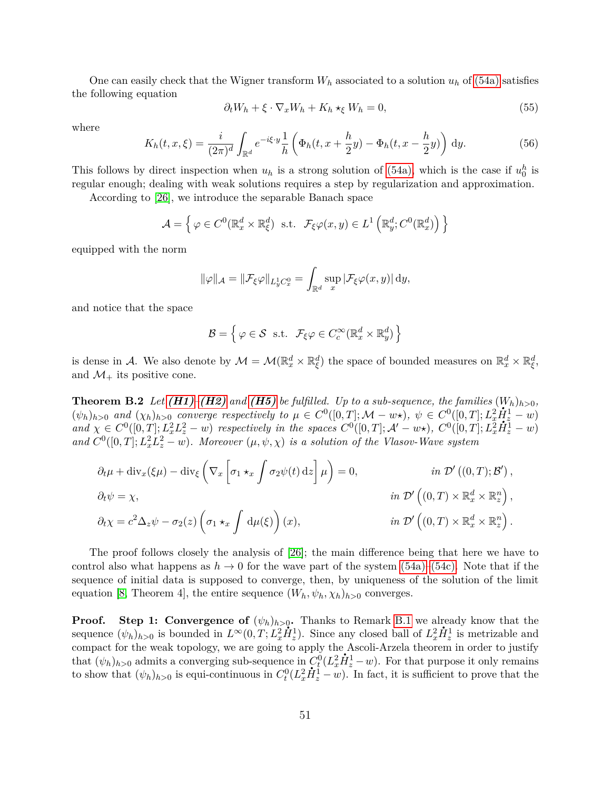One can easily check that the Wigner transform  $W_h$  associated to a solution  $u_h$  of [\(54a\)](#page-48-1) satisfies the following equation

$$
\partial_t W_h + \xi \cdot \nabla_x W_h + K_h \star_{\xi} W_h = 0,\tag{55}
$$

where

$$
K_h(t,x,\xi) = \frac{i}{(2\pi)^d} \int_{\mathbb{R}^d} e^{-i\xi \cdot y} \frac{1}{h} \left( \Phi_h(t,x+\frac{h}{2}y) - \Phi_h(t,x-\frac{h}{2}y) \right) dy.
$$
 (56)

This follows by direct inspection when  $u_h$  is a strong solution of [\(54a\),](#page-48-1) which is the case if  $u_0^h$  is regular enough; dealing with weak solutions requires a step by regularization and approximation.

According to [\[26\]](#page-57-1), we introduce the separable Banach space

$$
\mathcal{A} = \left\{ \varphi \in C^0(\mathbb{R}^d_x \times \mathbb{R}^d_\xi) \text{ s.t. } \mathcal{F}_\xi \varphi(x, y) \in L^1\left(\mathbb{R}^d_y; C^0(\mathbb{R}^d_x)\right) \right\}
$$

equipped with the norm

$$
\|\varphi\|_{\mathcal{A}} = \|\mathcal{F}_{\xi}\varphi\|_{L_y^1 C_x^0} = \int_{\mathbb{R}^d} \sup_x |\mathcal{F}_{\xi}\varphi(x,y)| \, \mathrm{d}y,
$$

and notice that the space

$$
\mathcal{B} = \left\{ \varphi \in \mathcal{S} \text{ s.t. } \mathcal{F}_{\xi} \varphi \in C_c^{\infty}(\mathbb{R}_x^d \times \mathbb{R}_y^d) \right\}
$$

is dense in A. We also denote by  $\mathcal{M} = \mathcal{M}(\mathbb{R}^d_x \times \mathbb{R}^d_\xi)$  the space of bounded measures on  $\mathbb{R}^d_x \times \mathbb{R}^d_\xi$ , and  $\mathcal{M}_+$  its positive cone.

**Theorem B.2** Let  $(H1)$ – $(H2)$  and  $(H5)$  be fulfilled. Up to a sub-sequence, the families  $(W_h)_{h>0}$ ,  $(\psi_h)_{h>0}$  and  $(\chi_h)_{h>0}$  converge respectively to  $\mu \in C^0([0,T]; \mathcal{M} - w\star), \ \psi \in C^0([0,T]; L^2_x \dot{H}^1_z - w)$ and  $\chi \in C^0([0,T]; L_x^2L_z^2-w)$  respectively in the spaces  $C^0([0,T]; \mathcal{A}'-w\star)$ ,  $C^0([0,T]; L_x^2\dot{H}_z^1-w)$ and  $C^0([0,T]; L_x^2L_z^2 - w)$ . Moreover  $(\mu, \psi, \chi)$  *is a solution of the Vlasov-Wave system* 

$$
\partial_t \mu + \text{div}_x(\xi \mu) - \text{div}_{\xi} \left( \nabla_x \left[ \sigma_1 \star_x \int \sigma_2 \psi(t) \, \text{d}z \right] \mu \right) = 0, \qquad \text{in } \mathcal{D}'((0, T); \mathcal{B}'),
$$
  

$$
\partial_t \psi = \chi,
$$
  

$$
\partial_t \chi = c^2 \Delta_z \psi - \sigma_2(z) \left( \sigma_1 \star_x \int \text{d}\mu(\xi) \right)(x), \qquad \text{in } \mathcal{D}'((0, T) \times \mathbb{R}_x^d \times \mathbb{R}_z^n).
$$

The proof follows closely the analysis of [\[26\]](#page-57-1); the main difference being that here we have to control also what happens as  $h \to 0$  for the wave part of the system [\(54a\)–](#page-48-1)[\(54c\).](#page-48-2) Note that if the sequence of initial data is supposed to converge, then, by uniqueness of the solution of the limit equation [\[8,](#page-56-2) Theorem 4], the entire sequence  $(W_h, \psi_h, \chi_h)_{h>0}$  converges.

**Proof.** Step 1: Convergence of  $(\psi_h)_{h>0}$ . Thanks to Remark [B.1](#page-49-1) we already know that the sequence  $(\psi_h)_{h>0}$  is bounded in  $L^{\infty}(0,T; L_x^2 \dot{H}_z^1)$ . Since any closed ball of  $L_x^2 \dot{H}_z^1$  is metrizable and compact for the weak topology, we are going to apply the Ascoli-Arzela theorem in order to justify that  $(\psi_h)_{h>0}$  admits a converging sub-sequence in  $C_t^0(L_x^2 \dot{H}_z^1 - w)$ . For that purpose it only remains to show that  $(\psi_h)_{h>0}$  is equi-continuous in  $C_t^0(L_x^2)$  $L_t^0(L_x^2 H_z^1 - w)$ . For that purpose it only remains  $\dot{H}_z^1 - w$ ). In fact, it is sufficient to prove that the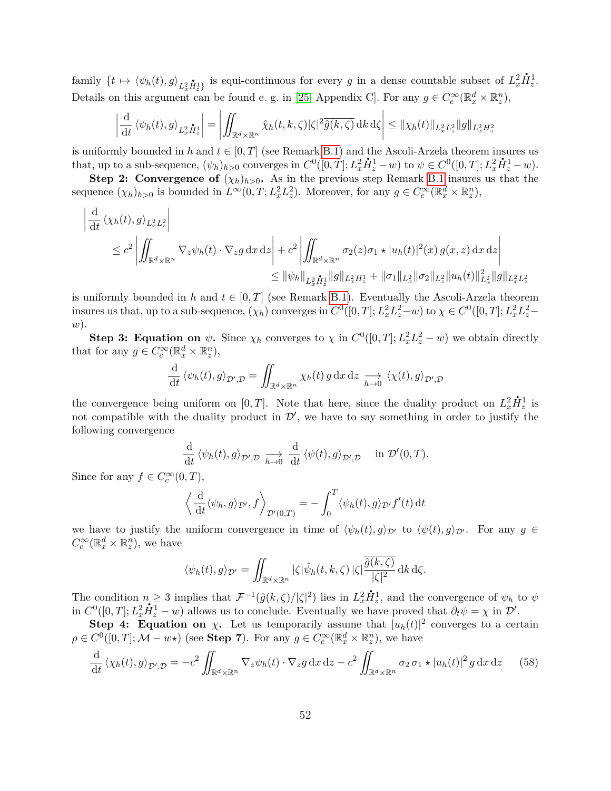family  $\{t \mapsto \langle \psi_h(t), g \rangle_{L_x^2 \dot{H}_x^1} \}$  is equi-continuous for every *g* in a dense countable subset of  $L_x^2$  $\dot{H}_{z}^{1}$ . Details on this argument can be found e. g. in [\[25,](#page-57-16) Appendix C]. For any  $g \in C_c^{\infty}(\mathbb{R}_x^d \times \mathbb{R}_z^n)$ ,

$$
\left| \frac{\mathrm{d}}{\mathrm{d}t} \left\langle \psi_h(t), g \right\rangle_{L_x^2 \dot{H}_x^1} \right| = \left| \iint_{\mathbb{R}^d \times \mathbb{R}^n} \hat{\chi}_h(t, k, \zeta) |\zeta|^2 \overline{\hat{g}(k, \zeta)} \, \mathrm{d}k \, \mathrm{d}\zeta \right| \leq \| \chi_h(t) \|_{L_x^2 L_x^2} \| g \|_{L_x^2 H_x^2}
$$

is uniformly bounded in *h* and  $t \in [0, T]$  (see Remark [B.1\)](#page-49-1) and the Ascoli-Arzela theorem insures us that, up to a sub-sequence,  $(\psi_h)_{h>0}$  converges in  $C^0([0,T];L^2_x\dot{H}^1_z-w)$  to  $\psi \in C^0([0,T];L^2_x\dot{H}^1_z-w)$ .

**Step 2: Convergence of**  $(\chi_h)_{h>0}$ . As in the previous step Remark [B.1](#page-49-1) insures us that the sequence  $(\chi_h)_{h>0}$  is bounded in  $L^{\infty}(0,T; L_x^2 L_z^2)$ . Moreover, for any  $g \in C_c^{\infty}(\mathbb{R}_x^d \times \mathbb{R}_z^n)$ ,

$$
\left| \frac{d}{dt} \left\langle \chi_h(t), g \right\rangle_{L_x^2 L_z^2} \right|
$$
  
\n
$$
\leq c^2 \left| \iint_{\mathbb{R}^d \times \mathbb{R}^n} \nabla_z \psi_h(t) \cdot \nabla_z g \, dx \, dz \right| + c^2 \left| \iint_{\mathbb{R}^d \times \mathbb{R}^n} \sigma_2(z) \sigma_1 \star |u_h(t)|^2(x) \, g(x, z) \, dx \, dz \right|
$$
  
\n
$$
\leq ||\psi_h||_{L_x^2 \dot{H}_z^1} ||g||_{L_x^2 H_z^1} + ||\sigma_1||_{L_x^2} ||\sigma_2||_{L_x^2} ||u_h(t)||_{L_x^2}^2 ||g||_{L_x^2 L_z^2}
$$

is uniformly bounded in *h* and  $t \in [0, T]$  (see Remark [B.1\)](#page-49-1). Eventually the Ascoli-Arzela theorem insures us that, up to a sub-sequence,  $(\chi_h)$  converges in  $C^0([0,T];L^2_xL^2_z-w)$  to  $\chi \in C^0([0,T];L^2_xL^2_z-w)$ *w*).

**Step 3: Equation on**  $\psi$ . Since  $\chi_h$  converges to  $\chi$  in  $C^0([0,T]; L_x^2 L_z^2 - w)$  we obtain directly that for any  $g \in C_c^{\infty}(\mathbb{R}^d_x \times \mathbb{R}^n_z)$ ,

$$
\frac{\mathrm{d}}{\mathrm{d}t} \langle \psi_h(t), g \rangle_{\mathcal{D}',\mathcal{D}} = \iint_{\mathbb{R}^d \times \mathbb{R}^n} \chi_h(t) \, g \, \mathrm{d}x \, \mathrm{d}z \underset{h \to 0}{\longrightarrow} \langle \chi(t), g \rangle_{\mathcal{D}',\mathcal{D}}
$$

the convergence being uniform on  $[0, T]$ . Note that here, since the duality product on  $L_x^2$  $\dot{H}_{z}^{1}$  is not compatible with the duality product in  $\mathcal{D}'$ , we have to say something in order to justify the following convergence

$$
\frac{\mathrm{d}}{\mathrm{d}t} \left\langle \psi_h(t), g \right\rangle_{\mathcal{D}', \mathcal{D}} \underset{h \to 0}{\longrightarrow} \frac{\mathrm{d}}{\mathrm{d}t} \left\langle \psi(t), g \right\rangle_{\mathcal{D}', \mathcal{D}} \quad \text{in } \mathcal{D}'(0, T).
$$

Since for any  $f \in C_c^{\infty}(0,T)$ ,

$$
\left\langle \frac{\mathrm{d}}{\mathrm{d}t} \langle \psi_h, g \rangle_{\mathcal{D}'}, f \right\rangle_{\mathcal{D}'(0,T)} = - \int_0^T \langle \psi_h(t), g \rangle_{\mathcal{D}'} f'(t) \, \mathrm{d}t
$$

we have to justify the uniform convergence in time of  $\langle \psi_h(t), g \rangle_{\mathcal{D}'}$  to  $\langle \psi(t), g \rangle_{\mathcal{D}'}$ . For any  $g \in$  $C_c^{\infty}(\mathbb{R}^d_x \times \mathbb{R}^n_z)$ , we have

$$
\langle \psi_h(t),g\rangle_{\mathcal{D}'}=\iint_{\mathbb{R}^d\times\mathbb{R}^n} |\zeta|\hat{\psi}_h(t,k,\zeta)|\zeta|\overline{\frac{\hat{g}(k,\zeta)}{|\zeta|^2}}\,\mathrm{d} k\,\mathrm{d}\zeta.
$$

The condition  $n \geq 3$  implies that  $\mathcal{F}^{-1}(\hat{g}(k,\zeta)/|\zeta|^2)$  lies in  $L_x^2$  $\mu \geq 3$  implies that  $\mathcal{F}^{-1}(\hat{g}(k,\zeta)/|\zeta|^2)$  lies in  $L_x^2 \dot{H}_z^1$ , and the convergence of  $\psi_h$  to  $\psi$ in  $C^0([0,T]; L_x^2 \dot{H}_z^1 - w)$  allows us to conclude. Eventually we have proved that  $\partial_t \psi = \chi$  in  $\mathcal{D}'$ .

**Step 4: Equation on** *χ***.** Let us temporarily assume that  $|u_h(t)|^2$  converges to a certain  $\rho \in C^0([0, T]; \mathcal{M} - w \star)$  (see **Step 7**). For any  $g \in C_c^{\infty}(\mathbb{R}^d_x \times \mathbb{R}^n_z)$ , we have

<span id="page-51-0"></span>
$$
\frac{\mathrm{d}}{\mathrm{d}t} \left\langle \chi_h(t), g \right\rangle_{\mathcal{D}',\mathcal{D}} = -c^2 \iint_{\mathbb{R}^d \times \mathbb{R}^n} \nabla_z \psi_h(t) \cdot \nabla_z g \, \mathrm{d}x \, \mathrm{d}z - c^2 \iint_{\mathbb{R}^d \times \mathbb{R}^n} \sigma_2 \, \sigma_1 \star |u_h(t)|^2 \, g \, \mathrm{d}x \, \mathrm{d}z \tag{58}
$$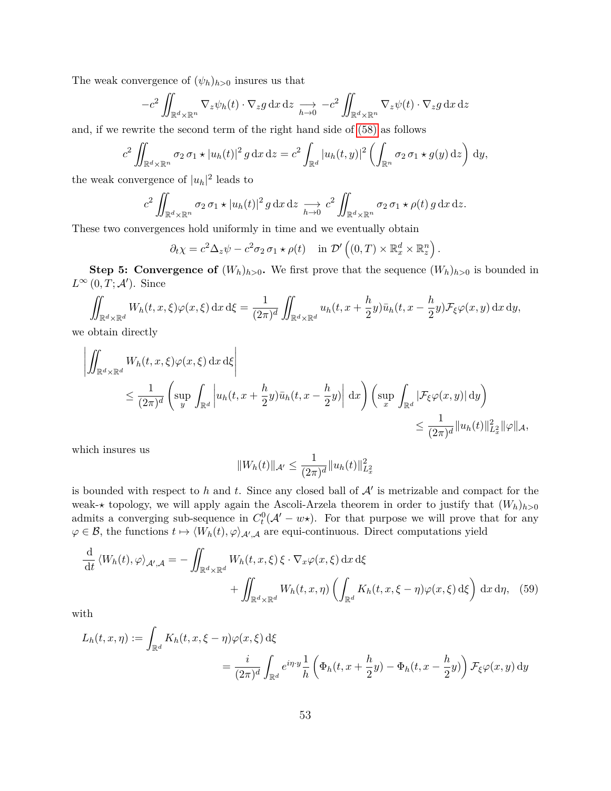The weak convergence of  $(\psi_h)_{h>0}$  insures us that

$$
-c^2 \iint_{\mathbb{R}^d \times \mathbb{R}^n} \nabla_z \psi_h(t) \cdot \nabla_z g \, dx \, dz \underset{h \to 0}{\longrightarrow} -c^2 \iint_{\mathbb{R}^d \times \mathbb{R}^n} \nabla_z \psi(t) \cdot \nabla_z g \, dx \, dz
$$

and, if we rewrite the second term of the right hand side of [\(58\)](#page-51-0) as follows

$$
c^2 \iint_{\mathbb{R}^d \times \mathbb{R}^n} \sigma_2 \sigma_1 \star |u_h(t)|^2 g \,dx \,dz = c^2 \int_{\mathbb{R}^d} |u_h(t,y)|^2 \left( \int_{\mathbb{R}^n} \sigma_2 \sigma_1 \star g(y) \,dz \right) \,dy,
$$

the weak convergence of  $|u_h|^2$  leads to

$$
c^2 \iint_{\mathbb{R}^d \times \mathbb{R}^n} \sigma_2 \sigma_1 \star |u_h(t)|^2 g \,dx \,dz \underset{h \to 0}{\longrightarrow} c^2 \iint_{\mathbb{R}^d \times \mathbb{R}^n} \sigma_2 \sigma_1 \star \rho(t) g \,dx \,dz.
$$

These two convergences hold uniformly in time and we eventually obtain

$$
\partial_t \chi = c^2 \Delta_z \psi - c^2 \sigma_2 \sigma_1 \star \rho(t) \quad \text{in } \mathcal{D}'\left( (0,T) \times \mathbb{R}^d_x \times \mathbb{R}^n_z \right).
$$

**Step 5: Convergence of**  $(W_h)_{h>0}$ . We first prove that the sequence  $(W_h)_{h>0}$  is bounded in  $L^{\infty}(0,T;\mathcal{A}')$ . Since

$$
\iint_{\mathbb{R}^d \times \mathbb{R}^d} W_h(t, x, \xi) \varphi(x, \xi) dx d\xi = \frac{1}{(2\pi)^d} \iint_{\mathbb{R}^d \times \mathbb{R}^d} u_h(t, x + \frac{h}{2}y) \bar{u}_h(t, x - \frac{h}{2}y) \mathcal{F}_{\xi} \varphi(x, y) dx dy,
$$

we obtain directly

$$
\left| \iint_{\mathbb{R}^d \times \mathbb{R}^d} W_h(t, x, \xi) \varphi(x, \xi) dx d\xi \right|
$$
  
\n
$$
\leq \frac{1}{(2\pi)^d} \left( \sup_y \int_{\mathbb{R}^d} \left| u_h(t, x + \frac{h}{2}y) \bar{u}_h(t, x - \frac{h}{2}y) \right| dx \right) \left( \sup_x \int_{\mathbb{R}^d} \left| \mathcal{F}_{\xi} \varphi(x, y) \right| dy \right)
$$
  
\n
$$
\leq \frac{1}{(2\pi)^d} \| u_h(t) \|_{L_x^2}^2 \| \varphi \|_{\mathcal{A}},
$$

which insures us

<span id="page-52-0"></span>
$$
||W_h(t)||_{\mathcal{A}'} \leq \frac{1}{(2\pi)^d} ||u_h(t)||_{L_x^2}^2
$$

is bounded with respect to  $h$  and  $t$ . Since any closed ball of  $A'$  is metrizable and compact for the weak- $\star$  topology, we will apply again the Ascoli-Arzela theorem in order to justify that  $(W_h)_{h>0}$ admits a converging sub-sequence in  $C_t^0(\mathcal{A}' - w\star)$ . For that purpose we will prove that for any  $\varphi \in \mathcal{B}$ , the functions  $t \mapsto \langle W_h(t), \varphi \rangle_{\mathcal{A}',\mathcal{A}}$  are equi-continuous. Direct computations yield

$$
\frac{\mathrm{d}}{\mathrm{d}t} \left\langle W_h(t), \varphi \right\rangle_{\mathcal{A}',\mathcal{A}} = -\iint_{\mathbb{R}^d \times \mathbb{R}^d} W_h(t, x, \xi) \xi \cdot \nabla_x \varphi(x, \xi) \, \mathrm{d}x \, \mathrm{d}\xi \n+ \iint_{\mathbb{R}^d \times \mathbb{R}^d} W_h(t, x, \eta) \left( \int_{\mathbb{R}^d} K_h(t, x, \xi - \eta) \varphi(x, \xi) \, \mathrm{d}\xi \right) \, \mathrm{d}x \, \mathrm{d}\eta, \tag{59}
$$

with

$$
L_h(t, x, \eta) := \int_{\mathbb{R}^d} K_h(t, x, \xi - \eta) \varphi(x, \xi) d\xi
$$
  
= 
$$
\frac{i}{(2\pi)^d} \int_{\mathbb{R}^d} e^{i\eta \cdot y} \frac{1}{h} \left( \Phi_h(t, x + \frac{h}{2}y) - \Phi_h(t, x - \frac{h}{2}y) \right) \mathcal{F}_{\xi} \varphi(x, y) dy
$$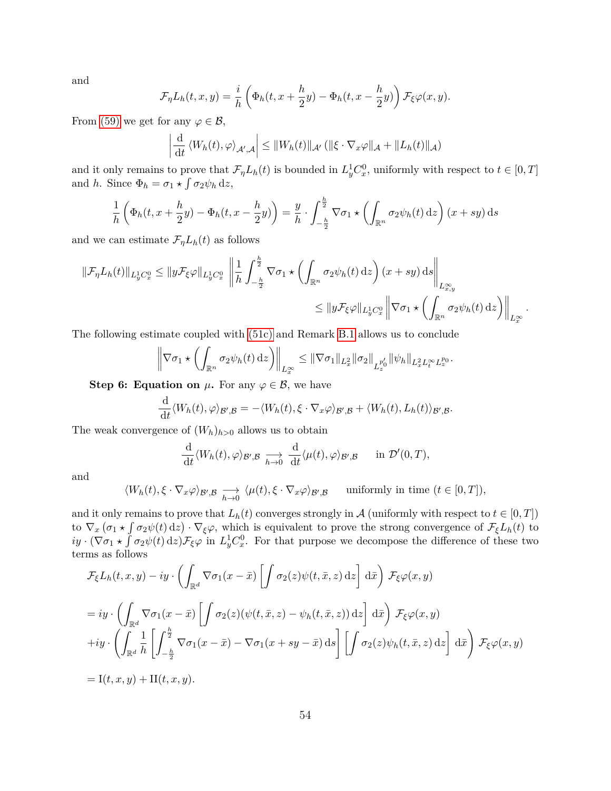and

$$
\mathcal{F}_{\eta}L_h(t,x,y) = \frac{i}{h} \left( \Phi_h(t,x+\frac{h}{2}y) - \Phi_h(t,x-\frac{h}{2}y) \right) \mathcal{F}_{\xi} \varphi(x,y).
$$

From [\(59\)](#page-52-0) we get for any  $\varphi \in \mathcal{B}$ ,

$$
\left|\frac{\mathrm{d}}{\mathrm{d}t} \left\langle W_h(t), \varphi \right\rangle_{\mathcal{A}',\mathcal{A}} \right| \leq \|W_h(t)\|_{\mathcal{A}'} \left( \|\xi \cdot \nabla_x \varphi\|_{\mathcal{A}} + \|L_h(t)\|_{\mathcal{A}} \right)
$$

and it only remains to prove that  $\mathcal{F}_{\eta}L_h(t)$  is bounded in  $L_y^1C_x^0$ , uniformly with respect to  $t \in [0, T]$ and *h*. Since  $\Phi_h = \sigma_1 \star \int \sigma_2 \psi_h \, \mathrm{d}z$ ,

$$
\frac{1}{h}\left(\Phi_h(t,x+\frac{h}{2}y)-\Phi_h(t,x-\frac{h}{2}y)\right)=\frac{y}{h}\cdot\int_{-\frac{h}{2}}^{\frac{h}{2}}\nabla\sigma_1\star\left(\int_{\mathbb{R}^n}\sigma_2\psi_h(t)\,\mathrm{d}z\right)(x+sy)\,\mathrm{d}s
$$

and we can estimate  $\mathcal{F}_{\eta}L_h(t)$  as follows

$$
\|\mathcal{F}_{\eta}L_h(t)\|_{L_y^1C_x^0} \le \|y\mathcal{F}_{\xi}\varphi\|_{L_y^1C_x^0} \left\|\frac{1}{h}\int_{-\frac{h}{2}}^{\frac{h}{2}} \nabla \sigma_1 \star \left(\int_{\mathbb{R}^n} \sigma_2 \psi_h(t) \,dz\right)(x+sy) \,ds\right\|_{L_{x,y}^{\infty}} \le \|y\mathcal{F}_{\xi}\varphi\|_{L_y^1C_x^0} \left\|\nabla \sigma_1 \star \left(\int_{\mathbb{R}^n} \sigma_2 \psi_h(t) \,dz\right)\right\|_{L_x^{\infty}}.
$$

The following estimate coupled with [\(51c\)](#page-44-5) and Remark [B.1](#page-49-1) allows us to conclude

$$
\left\|\nabla\sigma_1\star\left(\int_{\mathbb{R}^n}\sigma_2\psi_h(t)\,\mathrm{d}z\right)\right\|_{L_x^{\infty}}\leq \|\nabla\sigma_1\|_{L_x^2}\|\sigma_2\|_{L_z^{p'_0}}\|\psi_h\|_{L_x^2L_t^{\infty}L_z^{p_0}}.
$$

**Step 6: Equation on**  $\mu$ . For any  $\varphi \in \mathcal{B}$ , we have

$$
\frac{\mathrm{d}}{\mathrm{d}t} \langle W_h(t), \varphi \rangle_{\mathcal{B}',\mathcal{B}} = - \langle W_h(t), \xi \cdot \nabla_x \varphi \rangle_{\mathcal{B}',\mathcal{B}} + \langle W_h(t), L_h(t) \rangle_{\mathcal{B}',\mathcal{B}}.
$$

The weak convergence of  $(W_h)_{h>0}$  allows us to obtain

$$
\frac{\mathrm{d}}{\mathrm{d}t} \langle W_h(t), \varphi \rangle_{\mathcal{B}',\mathcal{B}} \underset{h \to 0}{\longrightarrow} \frac{\mathrm{d}}{\mathrm{d}t} \langle \mu(t), \varphi \rangle_{\mathcal{B}',\mathcal{B}} \quad \text{in } \mathcal{D}'(0,T),
$$

and

$$
\langle W_h(t), \xi \cdot \nabla_x \varphi \rangle_{\mathcal{B}', \mathcal{B}} \underset{h \to 0}{\longrightarrow} \langle \mu(t), \xi \cdot \nabla_x \varphi \rangle_{\mathcal{B}', \mathcal{B}} \quad \text{ uniformly in time } (t \in [0, T]),
$$

and it only remains to prove that  $L_h(t)$  converges strongly in A (uniformly with respect to  $t \in [0, T]$ ) to  $\nabla_x(\sigma_1 \star \int \sigma_2 \psi(t) \,dz) \cdot \nabla_\xi \varphi$ , which is equivalent to prove the strong convergence of  $\mathcal{F}_\xi L_h(t)$  to  $iy \cdot (\nabla \sigma_1 \star \int \sigma_2 \psi(t) \,dz)$ *F<sub>ξ</sub>* $\varphi$  in  $L_y^1 C_x^0$ . For that purpose we decompose the difference of these two terms as follows

$$
\mathcal{F}_{\xi}L_h(t, x, y) - iy \cdot \left( \int_{\mathbb{R}^d} \nabla \sigma_1(x - \bar{x}) \left[ \int \sigma_2(z) \psi(t, \bar{x}, z) dz \right] d\bar{x} \right) \mathcal{F}_{\xi} \varphi(x, y)
$$
  
\n
$$
= iy \cdot \left( \int_{\mathbb{R}^d} \nabla \sigma_1(x - \bar{x}) \left[ \int \sigma_2(z) (\psi(t, \bar{x}, z) - \psi_h(t, \bar{x}, z)) dz \right] d\bar{x} \right) \mathcal{F}_{\xi} \varphi(x, y)
$$
  
\n
$$
+ iy \cdot \left( \int_{\mathbb{R}^d} \frac{1}{h} \left[ \int_{-\frac{h}{2}}^{\frac{h}{2}} \nabla \sigma_1(x - \bar{x}) - \nabla \sigma_1(x + sy - \bar{x}) ds \right] \left[ \int \sigma_2(z) \psi_h(t, \bar{x}, z) dz \right] d\bar{x} \right) \mathcal{F}_{\xi} \varphi(x, y)
$$
  
\n
$$
= I(t, x, y) + II(t, x, y).
$$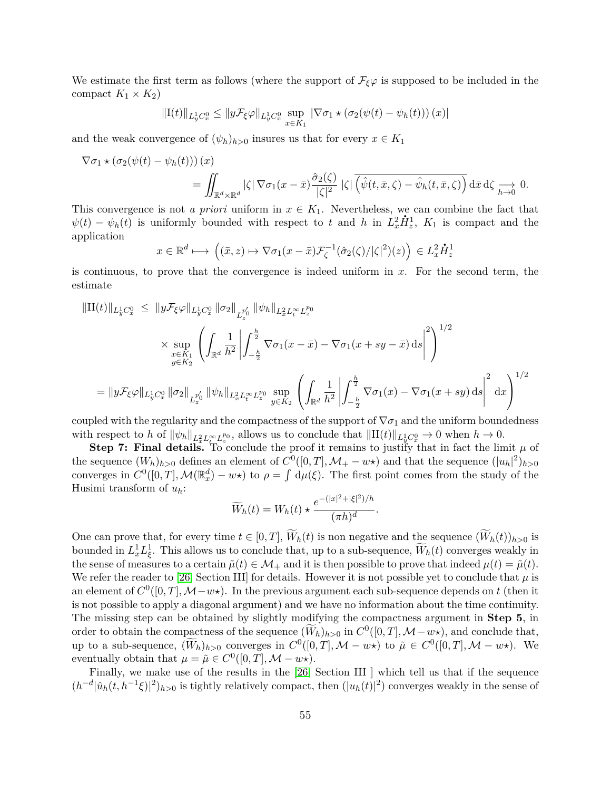We estimate the first term as follows (where the support of  $\mathcal{F}_{\xi}\varphi$  is supposed to be included in the compact  $K_1 \times K_2$ 

$$
\|\mathbf{I}(t)\|_{L_y^1 C_x^0} \le \|y\mathcal{F}_{\xi}\varphi\|_{L_y^1 C_x^0} \sup_{x \in K_1} |\nabla \sigma_1 \star (\sigma_2(\psi(t) - \psi_h(t))) (x)|
$$

and the weak convergence of  $(\psi_h)_{h>0}$  insures us that for every  $x \in K_1$ 

$$
\nabla \sigma_1 \star (\sigma_2(\psi(t) - \psi_h(t))) (x)
$$
  
= 
$$
\iint_{\mathbb{R}^d \times \mathbb{R}^d} |\zeta| \nabla \sigma_1(x - \bar{x}) \frac{\partial_2(\zeta)}{|\zeta|^2} |\zeta| \overline{(\hat{\psi}(t, \bar{x}, \zeta) - \hat{\psi}_h(t, \bar{x}, \zeta))} d\bar{x} d\zeta \xrightarrow[h \to 0]{} 0.
$$

This convergence is not *a priori* uniform in  $x \in K_1$ . Nevertheless, we can combine the fact that  $\psi(t) - \psi_h(t)$  is uniformly bounded with respect to *t* and *h* in  $L_x^2 \dot{H}_z^1$ ,  $K_1$  is compact and the application **.**

$$
x \in \mathbb{R}^d \longmapsto \left( (\bar{x}, z) \mapsto \nabla \sigma_1(x - \bar{x}) \mathcal{F}_{\zeta}^{-1} (\hat{\sigma}_2(\zeta) / |\zeta|^2)(z) \right) \in L_x^2 \dot{H}_z^1
$$

is continuous, to prove that the convergence is indeed uniform in *x*. For the second term, the estimate

$$
\|\Pi(t)\|_{L_y^1 C_x^0} \leq \|y\mathcal{F}_{\xi}\varphi\|_{L_y^1 C_x^0} \|\sigma_2\|_{L_z^{p_0'}} \|\psi_h\|_{L_x^2 L_t^{\infty} L_z^{p_0}}
$$
  
\$\times\$ 
$$
\sup_{x \in K_1} \left( \int_{\mathbb{R}^d} \frac{1}{h^2} \left| \int_{-\frac{h}{2}}^{\frac{h}{2}} \nabla \sigma_1(x - \bar{x}) - \nabla \sigma_1(x + sy - \bar{x}) ds \right|^2 \right)^{1/2}
$$
  
= 
$$
\|y\mathcal{F}_{\xi}\varphi\|_{L_y^1 C_x^0} \|\sigma_2\|_{L_z^{p_0'}} \|\psi_h\|_{L_x^2 L_t^{\infty} L_z^{p_0}} \sup_{y \in K_2} \left( \int_{\mathbb{R}^d} \frac{1}{h^2} \left| \int_{-\frac{h}{2}}^{\frac{h}{2}} \nabla \sigma_1(x) - \nabla \sigma_1(x + sy) ds \right|^2 dx \right)^{1/2}
$$

coupled with the regularity and the compactness of the support of  $\nabla \sigma_1$  and the uniform boundedness with respect to *h* of  $\|\psi_h\|_{L_x^2 L_x^{\infty} L_z^{p_0}}$ , allows us to conclude that  $\|\Pi(t)\|_{L_y^1 C_x^0} \to 0$  when  $h \to 0$ .

**Step 7: Final details.** To conclude the proof it remains to justify that in fact the limit  $\mu$  of the sequence  $(W_h)_{h>0}$  defines an element of  $C^0([0,T], \mathcal{M}_+ - w \star)$  and that the sequence  $(|u_h|^2)_{h>0}$ converges in  $C^0([0,T], \mathcal{M}(\mathbb{R}^d_x) - w\star)$  to  $\rho = \int d\mu(\xi)$ . The first point comes from the study of the Husimi transform of *uh*:

$$
\widetilde{W}_h(t) = W_h(t) \star \frac{e^{-(|x|^2 + |\xi|^2)/h}}{(\pi h)^d}
$$

*.*

One can prove that, for every time  $t \in [0, T]$ ,  $\widetilde{W}_h(t)$  is non negative and the sequence  $(\widetilde{W}_h(t))_{h>0}$  is bounded in  $L_x^1 L_\xi^1$ . This allows us to conclude that, up to a sub-sequence,  $\widetilde{W}_h(t)$  converges weakly in the sense of measures to a certain  $\tilde{\mu}(t) \in \mathcal{M}_+$  and it is then possible to prove that indeed  $\mu(t) = \tilde{\mu}(t)$ . We refer the reader to [\[26,](#page-57-1) Section III] for details. However it is not possible yet to conclude that  $\mu$  is an element of  $C^0([0,T], \mathcal{M}-w\star)$ . In the previous argument each sub-sequence depends on t (then it is not possible to apply a diagonal argument) and we have no information about the time continuity. The missing step can be obtained by slightly modifying the compactness argument in **Step 5**, in order to obtain the compactness of the sequence  $(\widetilde{W}_h)_{h>0}$  in  $C^0([0,T], \mathcal{M}-w\star)$ , and conclude that, up to a sub-sequence,  $(\widetilde{W}_h)_{h>0}$  converges in  $C^0([0,T], \mathcal{M} - w\star)$  to  $\tilde{\mu} \in C^0([0,T], \mathcal{M} - w\star)$ . We eventually obtain that  $\mu = \tilde{\mu} \in C^0([0, T], \mathcal{M} - w\star).$ 

Finally, we make use of the results in the [\[26,](#page-57-1) Section III ] which tell us that if the sequence  $(h^{-d}|\hat{u}_h(t, h^{-1}\xi)|^2)_{h>0}$  is tightly relatively compact, then  $(|u_h(t)|^2)$  converges weakly in the sense of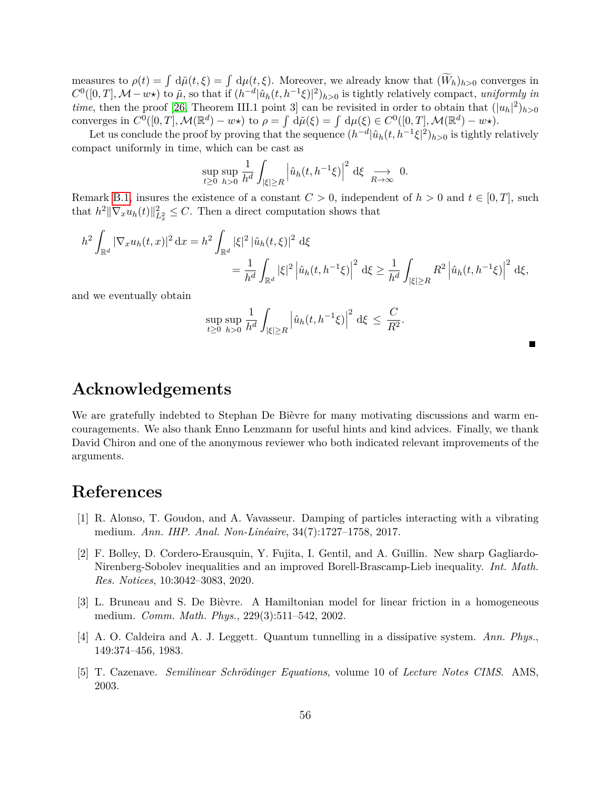measures to  $\rho(t) = \int d\tilde{\mu}(t,\xi) = \int d\mu(t,\xi)$ . Moreover, we already know that  $(W_h)_{h>0}$  converges in  $C^0([0,T], \mathcal{M}-w\star)$  to  $\tilde{\mu}$ , so that if  $(h^{-d}|\hat{u}_h(t, h^{-1}\xi)|^2)_{h>0}$  is tightly relatively compact, *uniformly in time*, then the proof [\[26,](#page-57-1) Theorem III.1 point 3] can be revisited in order to obtain that  $(|u_h|^2)_{h>0}$ converges in  $C^0([0,T], \mathcal{M}(\mathbb{R}^d) - w\star)$  to  $\rho = \int d\tilde{\mu}(\xi) = \int d\mu(\xi) \in C^0([0,T], \mathcal{M}(\mathbb{R}^d) - w\star)$ .

Let us conclude the proof by proving that the sequence  $(h^{-d}|\hat{u}_h(t, h^{-1}\xi|^2)_{h>0}$  is tightly relatively compact uniformly in time, which can be cast as

$$
\sup_{t\geq 0} \sup_{h>0} \frac{1}{h^d} \int_{|\xi|\geq R} \left| \hat{u}_h(t, h^{-1}\xi) \right|^2 d\xi \underset{R\to\infty}{\longrightarrow} 0.
$$

Remark [B.1,](#page-49-1) insures the existence of a constant  $C > 0$ , independent of  $h > 0$  and  $t \in [0, T]$ , such that  $h^2 \|\nabla_x u_h(t)\|_{L^2_x}^2 \leq C$ . Then a direct computation shows that

$$
h^{2} \int_{\mathbb{R}^{d}} |\nabla_{x} u_{h}(t,x)|^{2} dx = h^{2} \int_{\mathbb{R}^{d}} |\xi|^{2} |\hat{u}_{h}(t,\xi)|^{2} d\xi
$$
  

$$
= \frac{1}{h^{d}} \int_{\mathbb{R}^{d}} |\xi|^{2} |\hat{u}_{h}(t,h^{-1}\xi)|^{2} d\xi \ge \frac{1}{h^{d}} \int_{|\xi| \ge R} R^{2} |\hat{u}_{h}(t,h^{-1}\xi)|^{2} d\xi,
$$

and we eventually obtain

$$
\sup_{t\geq 0} \sup_{h>0} \frac{1}{h^d} \int_{|\xi| \geq R} \left| \hat{u}_h(t, h^{-1}\xi) \right|^2 d\xi \leq \frac{C}{R^2}.
$$

| <b>Acknowledgements</b> |  |  |
|-------------------------|--|--|
|                         |  |  |

We are gratefully indebted to Stephan De Bièvre for many motivating discussions and warm encouragements. We also thank Enno Lenzmann for useful hints and kind advices. Finally, we thank David Chiron and one of the anonymous reviewer who both indicated relevant improvements of the arguments.

## **References**

- <span id="page-55-2"></span>[1] R. Alonso, T. Goudon, and A. Vavasseur. Damping of particles interacting with a vibrating medium. *Ann. IHP. Anal. Non-Linéaire*, 34(7):1727–1758, 2017.
- <span id="page-55-3"></span>[2] F. Bolley, D. Cordero-Erausquin, Y. Fujita, I. Gentil, and A. Guillin. New sharp Gagliardo-Nirenberg-Sobolev inequalities and an improved Borell-Brascamp-Lieb inequality. *Int. Math. Res. Notices*, 10:3042–3083, 2020.
- <span id="page-55-1"></span>[3] L. Bruneau and S. De Bièvre. A Hamiltonian model for linear friction in a homogeneous medium. *Comm. Math. Phys.*, 229(3):511–542, 2002.
- <span id="page-55-0"></span>[4] A. O. Caldeira and A. J. Leggett. Quantum tunnelling in a dissipative system. *Ann. Phys.*, 149:374–456, 1983.
- <span id="page-55-4"></span>[5] T. Cazenave. *Semilinear Schrödinger Equations*, volume 10 of *Lecture Notes CIMS*. AMS, 2003.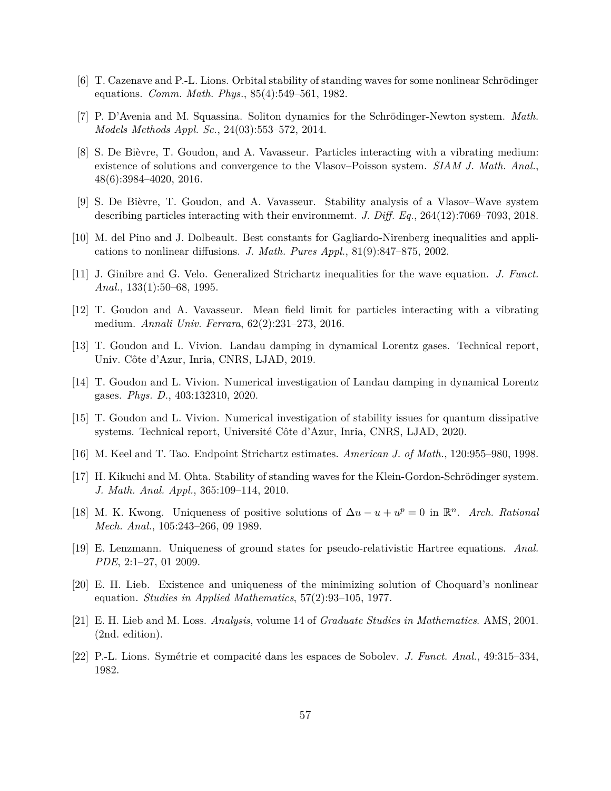- <span id="page-56-6"></span>[6] T. Cazenave and P.-L. Lions. Orbital stability of standing waves for some nonlinear Schrödinger equations. *Comm. Math. Phys.*, 85(4):549–561, 1982.
- <span id="page-56-9"></span>[7] P. D'Avenia and M. Squassina. Soliton dynamics for the Schrödinger-Newton system. *Math. Models Methods Appl. Sc.*, 24(03):553–572, 2014.
- <span id="page-56-2"></span>[8] S. De Bièvre, T. Goudon, and A. Vavasseur. Particles interacting with a vibrating medium: existence of solutions and convergence to the Vlasov–Poisson system. *SIAM J. Math. Anal.*, 48(6):3984–4020, 2016.
- <span id="page-56-1"></span>[9] S. De Bièvre, T. Goudon, and A. Vavasseur. Stability analysis of a Vlasov–Wave system describing particles interacting with their environmemt. *J. Diff. Eq.*, 264(12):7069–7093, 2018.
- <span id="page-56-11"></span>[10] M. del Pino and J. Dolbeault. Best constants for Gagliardo-Nirenberg inequalities and applications to nonlinear diffusions. *J. Math. Pures Appl.*, 81(9):847–875, 2002.
- <span id="page-56-16"></span>[11] J. Ginibre and G. Velo. Generalized Strichartz inequalities for the wave equation. *J. Funct. Anal.*, 133(1):50–68, 1995.
- <span id="page-56-0"></span>[12] T. Goudon and A. Vavasseur. Mean field limit for particles interacting with a vibrating medium. *Annali Univ. Ferrara*, 62(2):231–273, 2016.
- <span id="page-56-3"></span>[13] T. Goudon and L. Vivion. Landau damping in dynamical Lorentz gases. Technical report, Univ. Côte d'Azur, Inria, CNRS, LJAD, 2019.
- <span id="page-56-4"></span>[14] T. Goudon and L. Vivion. Numerical investigation of Landau damping in dynamical Lorentz gases. *Phys. D.*, 403:132310, 2020.
- <span id="page-56-5"></span>[15] T. Goudon and L. Vivion. Numerical investigation of stability issues for quantum dissipative systems. Technical report, Université Côte d'Azur, Inria, CNRS, LJAD, 2020.
- <span id="page-56-15"></span>[16] M. Keel and T. Tao. Endpoint Strichartz estimates. *American J. of Math.*, 120:955–980, 1998.
- <span id="page-56-10"></span>[17] H. Kikuchi and M. Ohta. Stability of standing waves for the Klein-Gordon-Schrödinger system. *J. Math. Anal. Appl.*, 365:109–114, 2010.
- <span id="page-56-12"></span>[18] M. K. Kwong. Uniqueness of positive solutions of  $\Delta u - u + u^p = 0$  in  $\mathbb{R}^n$ . *Arch. Rational Mech. Anal.*, 105:243–266, 09 1989.
- <span id="page-56-7"></span>[19] E. Lenzmann. Uniqueness of ground states for pseudo-relativistic Hartree equations. *Anal. PDE*, 2:1–27, 01 2009.
- <span id="page-56-8"></span>[20] E. H. Lieb. Existence and uniqueness of the minimizing solution of Choquard's nonlinear equation. *Studies in Applied Mathematics*, 57(2):93–105, 1977.
- <span id="page-56-13"></span>[21] E. H. Lieb and M. Loss. *Analysis*, volume 14 of *Graduate Studies in Mathematics*. AMS, 2001. (2nd. edition).
- <span id="page-56-14"></span>[22] P.-L. Lions. Symétrie et compacité dans les espaces de Sobolev. *J. Funct. Anal.*, 49:315–334, 1982.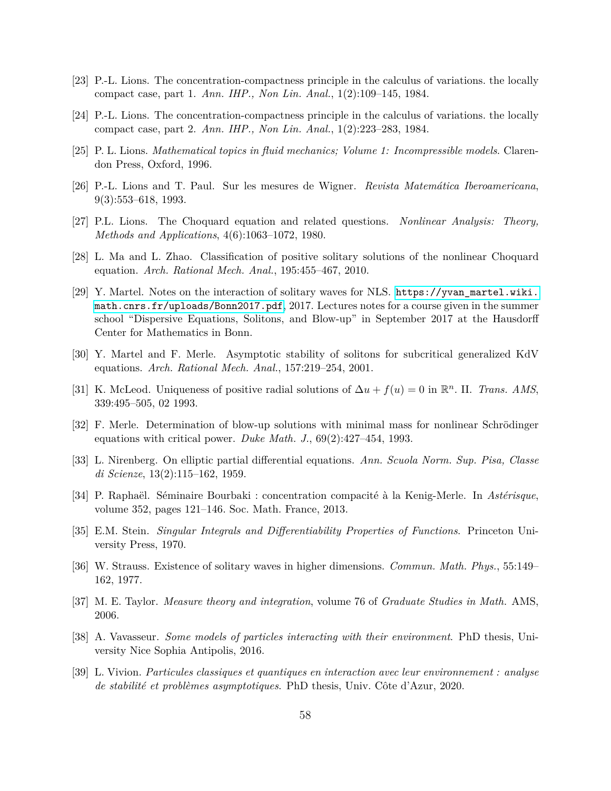- <span id="page-57-5"></span>[23] P.-L. Lions. The concentration-compactness principle in the calculus of variations. the locally compact case, part 1. *Ann. IHP., Non Lin. Anal.*, 1(2):109–145, 1984.
- <span id="page-57-6"></span>[24] P.-L. Lions. The concentration-compactness principle in the calculus of variations. the locally compact case, part 2. *Ann. IHP., Non Lin. Anal.*, 1(2):223–283, 1984.
- <span id="page-57-16"></span>[25] P. L. Lions. *Mathematical topics in fluid mechanics; Volume 1: Incompressible models*. Clarendon Press, Oxford, 1996.
- <span id="page-57-1"></span>[26] P.-L. Lions and T. Paul. Sur les mesures de Wigner. *Revista Matemática Iberoamericana*, 9(3):553–618, 1993.
- <span id="page-57-3"></span>[27] P.L. Lions. The Choquard equation and related questions. *Nonlinear Analysis: Theory, Methods and Applications*, 4(6):1063–1072, 1980.
- <span id="page-57-4"></span>[28] L. Ma and L. Zhao. Classification of positive solitary solutions of the nonlinear Choquard equation. *Arch. Rational Mech. Anal.*, 195:455–467, 2010.
- <span id="page-57-8"></span>[29] Y. Martel. Notes on the interaction of solitary waves for NLS. [https://yvan\\_martel.wiki.](https://yvan_martel.wiki.math.cnrs.fr/uploads/Bonn2017.pdf) [math.cnrs.fr/uploads/Bonn2017.pdf](https://yvan_martel.wiki.math.cnrs.fr/uploads/Bonn2017.pdf), 2017. Lectures notes for a course given in the summer school "Dispersive Equations, Solitons, and Blow-up" in September 2017 at the Hausdorff Center for Mathematics in Bonn.
- <span id="page-57-7"></span>[30] Y. Martel and F. Merle. Asymptotic stability of solitons for subcritical generalized KdV equations. *Arch. Rational Mech. Anal.*, 157:219–254, 2001.
- <span id="page-57-9"></span>[31] K. McLeod. Uniqueness of positive radial solutions of  $\Delta u + f(u) = 0$  in  $\mathbb{R}^n$ . II. *Trans. AMS*, 339:495–505, 02 1993.
- <span id="page-57-10"></span>[32] F. Merle. Determination of blow-up solutions with minimal mass for nonlinear Schrödinger equations with critical power. *Duke Math. J.*, 69(2):427–454, 1993.
- <span id="page-57-12"></span>[33] L. Nirenberg. On elliptic partial differential equations. *Ann. Scuola Norm. Sup. Pisa, Classe di Scienze*, 13(2):115–162, 1959.
- <span id="page-57-11"></span>[34] P. Raphaël. Séminaire Bourbaki : concentration compacité à la Kenig-Merle. In *Astérisque*, volume 352, pages 121–146. Soc. Math. France, 2013.
- <span id="page-57-14"></span>[35] E.M. Stein. *Singular Integrals and Differentiability Properties of Functions*. Princeton University Press, 1970.
- <span id="page-57-13"></span>[36] W. Strauss. Existence of solitary waves in higher dimensions. *Commun. Math. Phys.*, 55:149– 162, 1977.
- <span id="page-57-15"></span>[37] M. E. Taylor. *Measure theory and integration*, volume 76 of *Graduate Studies in Math.* AMS, 2006.
- <span id="page-57-0"></span>[38] A. Vavasseur. *Some models of particles interacting with their environment*. PhD thesis, University Nice Sophia Antipolis, 2016.
- <span id="page-57-2"></span>[39] L. Vivion. *Particules classiques et quantiques en interaction avec leur environnement : analyse de stabilité et problèmes asymptotiques*. PhD thesis, Univ. Côte d'Azur, 2020.